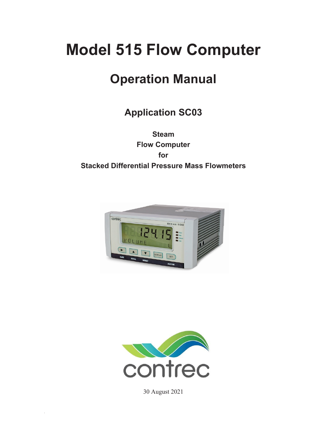# **Model 515 Flow Computer**

# **Operation Manual**

# **Application SC03**

**Steam Flow Computer for Stacked Differential Pressure Mass Flowmeters** 





30 August 2021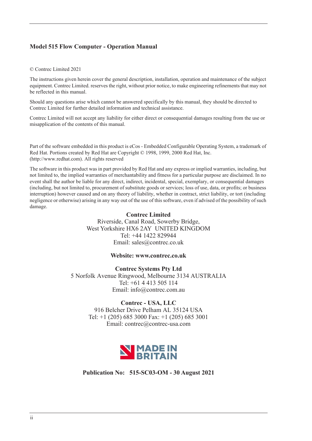### **Model 515 Flow Computer - Operation Manual**

#### © Contrec Limited 2021

The instructions given herein cover the general description, installation, operation and maintenance of the subject equipment. Contrec Limited. reserves the right, without prior notice, to make engineering refinements that may not be reflected in this manual.

Should any questions arise which cannot be answered specifically by this manual, they should be directed to Contrec Limited for further detailed information and technical assistance.

Contrec Limited will not accept any liability for either direct or consequential damages resulting from the use or misapplication of the contents of this manual.

Part of the software embedded in this product is eCos - Embedded Configurable Operating System, a trademark of Red Hat. Portions created by Red Hat are Copyright © 1998, 1999, 2000 Red Hat, Inc. (http://www.redhat.com). All rights reserved

The software in this product was in part provided by Red Hat and any express or implied warranties, including, but not limited to, the implied warranties of merchantability and fitness for a particular purpose are disclaimed. In no event shall the author be liable for any direct, indirect, incidental, special, exemplary, or consequential damages (including, but not limited to, procurement of substitute goods or services; loss of use, data, or profits; or business interruption) however caused and on any theory of liability, whether in contract, strict liability, or tort (including negligence or otherwise) arising in any way out of the use of this software, even if advised of the possibility of such damage.

#### **Contrec Limited**

Riverside, Canal Road, Sowerby Bridge, West Yorkshire HX6 2AY UNITED KINGDOM Tel: +44 1422 829944 Email: sales@contrec.co.uk

#### **Website: www.contrec.co.uk**

**Contrec Systems Pty Ltd** 5 Norfolk Avenue Ringwood, Melbourne 3134 AUSTRALIA Tel: +61 4 413 505 114 Email: info@contrec.com.au

#### **Contrec - USA, LLC**

916 Belcher Drive Pelham AL 35124 USA Tel: +1 (205) 685 3000 Fax: +1 (205) 685 3001 Email: contrec@contrec-usa.com



**Publication No: 515-SC03-OM - 30 August 2021**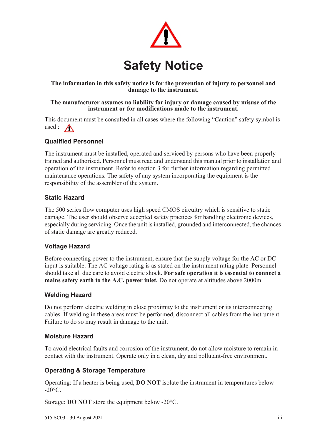

### **The information in this safety notice is for the prevention of injury to personnel and damage to the instrument.**

#### **The manufacturer assumes no liability for injury or damage caused by misuse of the instrument or for modifications made to the instrument.**

This document must be consulted in all cases where the following "Caution" safety symbol is used :  $\bigwedge$ 

### **Qualified Personnel**

The instrument must be installed, operated and serviced by persons who have been properly trained and authorised. Personnel must read and understand this manual prior to installation and operation of the instrument. Refer to section 3 for further information regarding permitted maintenance operations. The safety of any system incorporating the equipment is the responsibility of the assembler of the system.

### **Static Hazard**

The 500 series flow computer uses high speed CMOS circuitry which is sensitive to static damage. The user should observe accepted safety practices for handling electronic devices, especially during servicing. Once the unit is installed, grounded and interconnected, the chances of static damage are greatly reduced.

### **Voltage Hazard**

Before connecting power to the instrument, ensure that the supply voltage for the AC or DC input is suitable. The AC voltage rating is as stated on the instrument rating plate. Personnel should take all due care to avoid electric shock. **For safe operation it is essential to connect a mains safety earth to the A.C. power inlet.** Do not operate at altitudes above 2000m.

### **Welding Hazard**

Do not perform electric welding in close proximity to the instrument or its interconnecting cables. If welding in these areas must be performed, disconnect all cables from the instrument. Failure to do so may result in damage to the unit.

### **Moisture Hazard**

To avoid electrical faults and corrosion of the instrument, do not allow moisture to remain in contact with the instrument. Operate only in a clean, dry and pollutant-free environment.

### **Operating & Storage Temperature**

Operating: If a heater is being used, **DO NOT** isolate the instrument in temperatures below  $-20^{\circ}$ C.

Storage: **DO NOT** store the equipment below -20°C.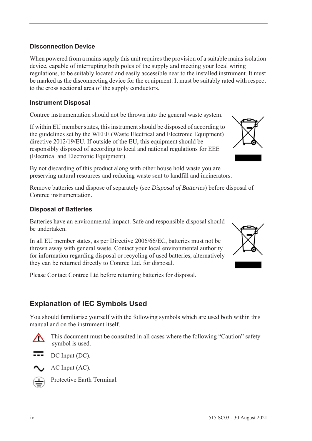### **Disconnection Device**

When powered from a mains supply this unit requires the provision of a suitable mains isolation device, capable of interrupting both poles of the supply and meeting your local wiring regulations, to be suitably located and easily accessible near to the installed instrument. It must be marked as the disconnecting device for the equipment. It must be suitably rated with respect to the cross sectional area of the supply conductors.

### **Instrument Disposal**

Contrec instrumentation should not be thrown into the general waste system.

If within EU member states, this instrument should be disposed of according to the guidelines set by the WEEE (Waste Electrical and Electronic Equipment) directive 2012/19/EU. If outside of the EU, this equipment should be responsibly disposed of according to local and national regulations for EEE (Electrical and Electronic Equipment).

By not discarding of this product along with other house hold waste you are preserving natural resources and reducing waste sent to landfill and incinerators.

Remove batteries and dispose of separately (see *Disposal of Batteries*) before disposal of Contrec instrumentation.

### **Disposal of Batteries**

Batteries have an environmental impact. Safe and responsible disposal should be undertaken.

In all EU member states, as per Directive 2006/66/EC, batteries must not be thrown away with general waste. Contact your local environmental authority for information regarding disposal or recycling of used batteries, alternatively they can be returned directly to Contrec Ltd. for disposal.

Please Contact Contrec Ltd before returning batteries for disposal.

## **Explanation of IEC Symbols Used**

You should familiarise yourself with the following symbols which are used both within this manual and on the instrument itself.



 This document must be consulted in all cases where the following "Caution" safety symbol is used.







Protective Earth Terminal.



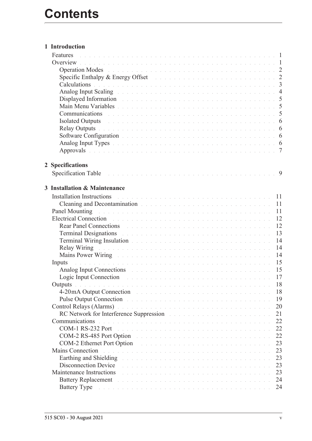|   | <b>Features</b> entering the contract of the contract of the contract of the contract of the contract of the contract of the contract of the contract of the contract of the contract of the contract of the contract of the contra |  |  |  |  |  |  |  |    |
|---|-------------------------------------------------------------------------------------------------------------------------------------------------------------------------------------------------------------------------------------|--|--|--|--|--|--|--|----|
|   |                                                                                                                                                                                                                                     |  |  |  |  |  |  |  |    |
|   |                                                                                                                                                                                                                                     |  |  |  |  |  |  |  |    |
|   | Specific Enthalpy & Energy Offset Enthalps Assembly Contract the Contract of the Contract of the Contract of the Contract of the Contract of the Contract of the Contract of the Contract of the Contract of the Contract of t      |  |  |  |  |  |  |  |    |
|   | Calculations des constructions and construction of the construction of the construction of 3                                                                                                                                        |  |  |  |  |  |  |  |    |
|   | Analog Input Scaling entering the contract of the contract of the contract of the contract of the 4                                                                                                                                 |  |  |  |  |  |  |  |    |
|   | Displayed Information and the contract of the contract of the contract of the state of the 5                                                                                                                                        |  |  |  |  |  |  |  |    |
|   |                                                                                                                                                                                                                                     |  |  |  |  |  |  |  |    |
|   | Communications de la communication de la communication de la communication de la communication de la communication de la communication de la communication de la communication de la communication de la communication de la c      |  |  |  |  |  |  |  |    |
|   | Isolated Outputs and a contract the contract of the contract of the contract of the contract of the contract of                                                                                                                     |  |  |  |  |  |  |  |    |
|   | Relay Outputs descriptions and containing the contract of the contract of the contract of the C                                                                                                                                     |  |  |  |  |  |  |  |    |
|   |                                                                                                                                                                                                                                     |  |  |  |  |  |  |  |    |
|   |                                                                                                                                                                                                                                     |  |  |  |  |  |  |  |    |
|   | Approvals the contract of the contract of the contract of the contract of the contract of the contract of the $\sigma$                                                                                                              |  |  |  |  |  |  |  |    |
|   |                                                                                                                                                                                                                                     |  |  |  |  |  |  |  |    |
|   | 2 Specifications                                                                                                                                                                                                                    |  |  |  |  |  |  |  |    |
|   |                                                                                                                                                                                                                                     |  |  |  |  |  |  |  |    |
|   |                                                                                                                                                                                                                                     |  |  |  |  |  |  |  |    |
| 3 | <b>Installation &amp; Maintenance</b>                                                                                                                                                                                               |  |  |  |  |  |  |  |    |
|   | Installation Instructions and a contract of the contract of the contract of the contract of the contract of the contract of the contract of the contract of the contract of the contract of the contract of the contract of th      |  |  |  |  |  |  |  |    |
|   | Cleaning and Decontamination and the contract of the contract of the contract of the contract of the contract of the contract of the contract of the contract of the contract of the contract of the contract of the contract       |  |  |  |  |  |  |  |    |
|   | Panel Mounting research and contract the contract of the contract of the contract of 11                                                                                                                                             |  |  |  |  |  |  |  |    |
|   | Electrical Connection and a constant of the contract of the contract of the contract of the contract of the contract of the contract of the contract of the contract of the contract of the contract of the contract of the co      |  |  |  |  |  |  |  |    |
|   | Rear Panel Connections and a constant of the contract of the contract of the contract of the contract of the contract of the contract of the contract of the contract of the contract of the contract of the contract of the c      |  |  |  |  |  |  |  |    |
|   | Terminal Designations and a contract the contract of the contract of the contract of the 13                                                                                                                                         |  |  |  |  |  |  |  |    |
|   | Terminal Wiring Insulation and a contract of the contract of the contract of the 14                                                                                                                                                 |  |  |  |  |  |  |  |    |
|   | Relay Wiring Theorem 2014 Communication of the Communication of the Communication of the Relay of the Communication of the Communication of the Communication of the Communication of the Communication of the Communication o      |  |  |  |  |  |  |  |    |
|   | Mains Power Wiring Mathews Allen and Allen and Allen and Allen and Allen and Allen and Allen and Allen and All                                                                                                                      |  |  |  |  |  |  |  |    |
|   | . The contract of the contract of the contract of the contract of the contract $\sim15$<br>Inputs                                                                                                                                   |  |  |  |  |  |  |  |    |
|   | Analog Input Connections and a contract the contract of the contract of the state of the 15                                                                                                                                         |  |  |  |  |  |  |  |    |
|   | Logic Input Connection and a construction of the contract of the contract of the 17                                                                                                                                                 |  |  |  |  |  |  |  |    |
|   | Outputs a communication of the communication of the communication of the communication                                                                                                                                              |  |  |  |  |  |  |  | 18 |
|   | 4-20 mA Output Connection and the contract of the contract of the contract of the contract of the contract of the contract of the contract of the contract of the contract of the contract of the contract of the contract of       |  |  |  |  |  |  |  | 18 |
|   | Pulse Output Connection entry the contract of the contract of the contract of the connection of the connection                                                                                                                      |  |  |  |  |  |  |  | 19 |
|   | Control Relays (Alarms) and a control of the control of the control of the control of the control of the control of the control of the control of the control of the control of the control of the control of the control of t      |  |  |  |  |  |  |  | 20 |
|   | RC Network for Interference Suppression and a contract to the contract of the set of the set of the set of the                                                                                                                      |  |  |  |  |  |  |  | 21 |
|   | Communications                                                                                                                                                                                                                      |  |  |  |  |  |  |  | 22 |
|   | COM-1 RS-232 Port<br>.<br>The contract of the contract of the contract of the contract of the contract of the contract of the contract o                                                                                            |  |  |  |  |  |  |  | 22 |
|   | COM-2 RS-485 Port Option                                                                                                                                                                                                            |  |  |  |  |  |  |  | 22 |
|   | COM-2 Ethernet Port Option                                                                                                                                                                                                          |  |  |  |  |  |  |  | 23 |
|   | <b>Mains Connection</b><br>.<br>In the company of the company of the company of the company of the company of the company of the company of th                                                                                      |  |  |  |  |  |  |  | 23 |
|   | Earthing and Shielding Theorem 2014 Contract of the Contract of the Contract of the Contract of the Contract of the Contract of the Contract of the Contract of the Contract of the Contract of the Contract of the Contract o      |  |  |  |  |  |  |  | 23 |
|   | Disconnection Device<br>.<br>In the second complete state of the second complete state of the second complete state of the second complete                                                                                          |  |  |  |  |  |  |  | 23 |
|   | Maintenance Instructions<br>.<br>In the company of the company of the company of the company of the company of the company of the company of th                                                                                     |  |  |  |  |  |  |  | 23 |
|   | Battery Replacement and the contract of the contract of the contract of the contract of the contract of the contract of the contract of the contract of the contract of the contract of the contract of the contract of the co      |  |  |  |  |  |  |  | 24 |
|   | Battery Type and a contract the contract of the contract of the contract of the contract of the contract of the                                                                                                                     |  |  |  |  |  |  |  | 24 |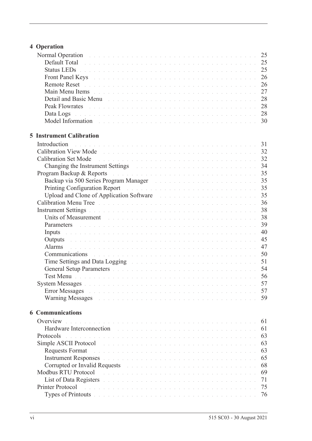# **[4 Operation](#page-34-0)**

| Normal Operation and a contract the contract of the contract of the contract of the 25                                                                                                                                         |  |  |  |  |  |  |  |  |    |
|--------------------------------------------------------------------------------------------------------------------------------------------------------------------------------------------------------------------------------|--|--|--|--|--|--|--|--|----|
| Default Total de la commune de la commune de la commune de la commune de la commune de 25                                                                                                                                      |  |  |  |  |  |  |  |  |    |
| Status LEDs <b>Election Community 25</b> Status Leader Community 25                                                                                                                                                            |  |  |  |  |  |  |  |  |    |
| Front Panel Keys and a construction of the construction of the construction of 26                                                                                                                                              |  |  |  |  |  |  |  |  |    |
|                                                                                                                                                                                                                                |  |  |  |  |  |  |  |  |    |
| Main Menu Items received and contract the contract of the contract of the contract of the contract of the contract of the contract of the contract of the contract of the contract of the contract of the contract of the cont |  |  |  |  |  |  |  |  | 27 |
|                                                                                                                                                                                                                                |  |  |  |  |  |  |  |  |    |
|                                                                                                                                                                                                                                |  |  |  |  |  |  |  |  |    |
| Data Logs de la component de la component de la component de la component de 28                                                                                                                                                |  |  |  |  |  |  |  |  |    |
|                                                                                                                                                                                                                                |  |  |  |  |  |  |  |  |    |
|                                                                                                                                                                                                                                |  |  |  |  |  |  |  |  |    |
| <b>5 Instrument Calibration</b>                                                                                                                                                                                                |  |  |  |  |  |  |  |  |    |
| Introduction                                                                                                                                                                                                                   |  |  |  |  |  |  |  |  |    |
|                                                                                                                                                                                                                                |  |  |  |  |  |  |  |  |    |
|                                                                                                                                                                                                                                |  |  |  |  |  |  |  |  |    |
| Changing the Instrument Settings and a contract of the contract of the state of the 34                                                                                                                                         |  |  |  |  |  |  |  |  |    |
| Program Backup & Reports and a contract the contract of the contract of the state of the 35                                                                                                                                    |  |  |  |  |  |  |  |  |    |
|                                                                                                                                                                                                                                |  |  |  |  |  |  |  |  |    |
|                                                                                                                                                                                                                                |  |  |  |  |  |  |  |  |    |
| Upload and Clone of Application Software and a substitution of the Software and a substitution of Application Software                                                                                                         |  |  |  |  |  |  |  |  |    |
| Calibration Menu Tree Albert and Albert and Albert and Albert and Albert and Albert 36                                                                                                                                         |  |  |  |  |  |  |  |  |    |
|                                                                                                                                                                                                                                |  |  |  |  |  |  |  |  |    |
| Units of Measurement the contract of the contract of the contract of the contract of the contract of the contract of the contract of the contract of the contract of the contract of the contract of the contract of the contr |  |  |  |  |  |  |  |  | 38 |
| Parameters and a construction of the construction of the construction of the 39                                                                                                                                                |  |  |  |  |  |  |  |  |    |
| Inputs and a communication of the communication of the communication of the communication of the communication                                                                                                                 |  |  |  |  |  |  |  |  | 40 |
| Outputs and a construction of the construction of the construction of the construction of the construction of the construction of the construction of the construction of the construction of the construction of the construc |  |  |  |  |  |  |  |  | 45 |
| Alarms<br>de la caractería de la caractería de la caractería de la caractería de la caractería de la caractería de la ca                                                                                                       |  |  |  |  |  |  |  |  | 47 |
| <b>Communications Communications Communications Communications Communications</b>                                                                                                                                              |  |  |  |  |  |  |  |  | 50 |
| Time Settings and Data Logging The Contract of the Contract of the Settings and Data Logging                                                                                                                                   |  |  |  |  |  |  |  |  | 51 |
| General Setup Parameters and a construction of the construction of the state of the 54                                                                                                                                         |  |  |  |  |  |  |  |  |    |
| Test Menu barramente de la construcción de la construcción de la construcción de la construcción de 56                                                                                                                         |  |  |  |  |  |  |  |  |    |
|                                                                                                                                                                                                                                |  |  |  |  |  |  |  |  |    |
| <b>Error Messages</b>                                                                                                                                                                                                          |  |  |  |  |  |  |  |  | 57 |
| Warning Messages and a contract the contract of the contract of the contract of the contract of the contract of the contract of the contract of the contract of the contract of the contract of the contract of the contract o |  |  |  |  |  |  |  |  | 59 |
| <b>6 Communications</b>                                                                                                                                                                                                        |  |  |  |  |  |  |  |  |    |
| Overview<br>.<br>In the second contract of the second contract of the second contract of the second contract of the second contr                                                                                               |  |  |  |  |  |  |  |  | 61 |
| Hardware Interconnection<br>.<br>The contract of the contract of the contract of the contract of the contract of the contract of the contract o                                                                                |  |  |  |  |  |  |  |  | 61 |
| Protocols<br>a construction and a construction of a construction of a construction of a construction of a construction of                                                                                                      |  |  |  |  |  |  |  |  | 63 |
| Simple ASCII Protocol<br>.<br>The second complete state of the complete state of the second complete state of the complete state of the second                                                                                 |  |  |  |  |  |  |  |  | 63 |
| <b>Requests Format</b>                                                                                                                                                                                                         |  |  |  |  |  |  |  |  | 63 |
| Instrument Responses and a construction of the construction of the construction of the construction of the construction of the construction of the construction of the construction of the construction of the construction of |  |  |  |  |  |  |  |  | 65 |
| Corrupted or Invalid Requests and a contract the contract of the contract of the contract of the contract of the contract of the contract of the contract of the contract of the contract of the contract of the contract of t |  |  |  |  |  |  |  |  | 68 |
| Modbus RTU Protocol<br>.<br>The second complete state of the second complete state of the second complete state of the second complete state of                                                                                |  |  |  |  |  |  |  |  | 69 |
| List of Data Registers and a conservation of the conservation of the conservation of the conservation of the conservation of the conservation of the conservation of the conservation of the conservation of the conservation  |  |  |  |  |  |  |  |  | 71 |
| Printer Protocol<br>.<br>In the second complete the second complete second complete the second complete second complete second complete                                                                                        |  |  |  |  |  |  |  |  | 75 |
| Types of Printouts and a contract of the contract of the contract of the contract of the contract of the contract of the contract of the contract of the contract of the contract of the contract of the contract of the contr |  |  |  |  |  |  |  |  | 76 |
|                                                                                                                                                                                                                                |  |  |  |  |  |  |  |  |    |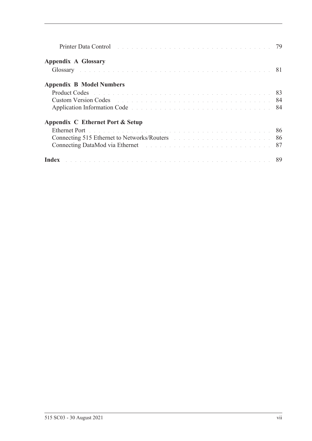| Printer Data Control entrepreneur and the control of the control of the control of the control of the control of the control of the control of the control of the control of the control of the control of the control of the |  |
|-------------------------------------------------------------------------------------------------------------------------------------------------------------------------------------------------------------------------------|--|
| <b>Appendix A Glossary</b>                                                                                                                                                                                                    |  |
|                                                                                                                                                                                                                               |  |
| <b>Appendix B Model Numbers</b>                                                                                                                                                                                               |  |
|                                                                                                                                                                                                                               |  |
| <b>Custom Version Codes Contained Algebra</b> 2014 <b>Custom Version Codes Contained Algebra 2014</b>                                                                                                                         |  |
| Application Information Code                                                                                                                                                                                                  |  |
| Appendix C Ethernet Port & Setup                                                                                                                                                                                              |  |
| Ethernet Port de la communicación de la communicación de la communicación de la communicación 86                                                                                                                              |  |
| Connecting 515 Ethernet to Networks/Routers and the connection of the state of the state of the state of the state of the state of the state of the state of the state of the state of the state of the state of the state of |  |
|                                                                                                                                                                                                                               |  |
| Index <b>Index International Contract Construction</b> in the construction of the construction of $89$                                                                                                                        |  |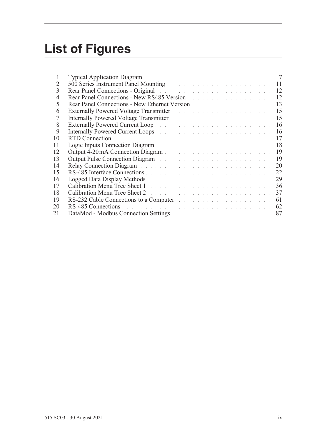# **List of Figures**

| 1  | Typical Application Diagram and a contract of the contract of the contract of the 7                                                                                                                                            |    |
|----|--------------------------------------------------------------------------------------------------------------------------------------------------------------------------------------------------------------------------------|----|
| 2  | 500 Series Instrument Panel Mounting and a contract of the series of the 11                                                                                                                                                    |    |
| 3  | Rear Panel Connections - Original entrepreneur and a series of the series of the 12                                                                                                                                            |    |
| 4  | Rear Panel Connections - New RS485 Version                                                                                                                                                                                     | 12 |
| 5  | Rear Panel Connections - New Ethernet Version                                                                                                                                                                                  | 13 |
| 6  | Externally Powered Voltage Transmitter North State Land and Alexandre Powered Voltage Transmitter North State Land                                                                                                             | 15 |
| 7  | Internally Powered Voltage Transmitter March 2014 and March 2014                                                                                                                                                               | 15 |
| 8  |                                                                                                                                                                                                                                | 16 |
| 9  | Internally Powered Current Loops and a contract to the contract of the contract of the contract of the contract of the contract of the contract of the contract of the contract of the contract of the contract of the contrac | 16 |
| 10 |                                                                                                                                                                                                                                | 17 |
| 11 | Logic Inputs Connection Diagram and a connection of the Connection of the Connection of the Connection of the Connection of the Connection of the Connection of the Connection of the Connection of the Connection of the Conn | 18 |
| 12 | Output 4-20mA Connection Diagram                                                                                                                                                                                               | 19 |
| 13 | Output Pulse Connection Diagram and a connection of the Connection of the Connection of the Connection of the Connection of the Connection of the Connection of the Connection of the Connection of the Connection of the Conn | 19 |
| 14 | Relay Connection Diagram and a connection of the connection of the Connection of the Connection of the Connection of the Connection of the Connection of the Connection of the Connection of the Connection of the Connection  | 20 |
| 15 |                                                                                                                                                                                                                                | 22 |
| 16 | Logged Data Display Methods and a contract the contract of the contract of the contract of the contract of the                                                                                                                 | 29 |
| 17 |                                                                                                                                                                                                                                | 36 |
| 18 | Calibration Menu Tree Sheet 2 and the contract of the contract of the contract of the contract of the contract of the contract of the contract of the contract of the contract of the contract of the contract of the contract | 37 |
| 19 | RS-232 Cable Connections to a Computer and a substitution of the set of the set of the set of the set of the set of the set of the set of the set of the set of the set of the set of the set of the set of the set of the set | 61 |
| 20 |                                                                                                                                                                                                                                | 62 |
| 21 | DataMod - Modbus Connection Settings and a connection of the settings of the connection of the settings of the connection of the settings of the connection of the connection of the connection of the connection of the conne | 87 |
|    |                                                                                                                                                                                                                                |    |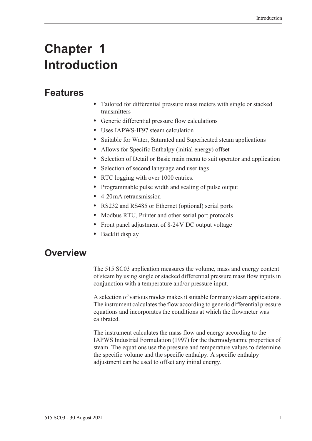# <span id="page-10-0"></span>**Chapter 1 Introduction**

# <span id="page-10-1"></span>**Features**

- **•** Tailored for differential pressure mass meters with single or stacked transmitters
- **•** Generic differential pressure flow calculations
- **•** Uses IAPWS-IF97 steam calculation
- **•** Suitable for Water, Saturated and Superheated steam applications
- **•** Allows for Specific Enthalpy (initial energy) offset
- **•** Selection of Detail or Basic main menu to suit operator and application
- **•** Selection of second language and user tags
- RTC logging with over 1000 entries.
- **•** Programmable pulse width and scaling of pulse output
- **•** 4-20 mA retransmission
- **•** RS232 and RS485 or Ethernet (optional) serial ports
- **•** Modbus RTU, Printer and other serial port protocols
- **•** Front panel adjustment of 8-24 V DC output voltage
- **•** Backlit display

# <span id="page-10-2"></span>**Overview**

The 515 SC03 application measures the volume, mass and energy content of steam by using single or stacked differential pressure mass flow inputs in conjunction with a temperature and/or pressure input.

A selection of various modes makes it suitable for many steam applications. The instrument calculates the flow according to generic differential pressure equations and incorporates the conditions at which the flowmeter was calibrated.

The instrument calculates the mass flow and energy according to the IAPWS Industrial Formulation (1997) for the thermodynamic properties of steam. The equations use the pressure and temperature values to determine the specific volume and the specific enthalpy. A specific enthalpy adjustment can be used to offset any initial energy.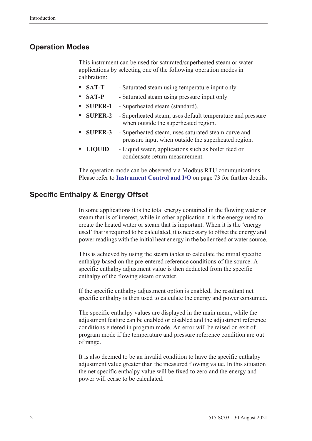### <span id="page-11-0"></span>**Operation Modes**

This instrument can be used for saturated/superheated steam or water applications by selecting one of the following operation modes in calibration:

- **• SAT-T** Saturated steam using temperature input only
- **• SAT-P** Saturated steam using pressure input only
- **• SUPER-1** Superheated steam (standard).
- **• SUPER-2** Superheated steam, uses default temperature and pressure when outside the superheated region.
- **• SUPER-3** Superheated steam, uses saturated steam curve and pressure input when outside the superheated region.
- **• LIQUID** Liquid water, applications such as boiler feed or condensate return measurement.

The operation mode can be observed via Modbus RTU communications. Please refer to **[Instrument Control and I/O](#page-82-0)** on page 73 for further details.

### <span id="page-11-1"></span>**Specific Enthalpy & Energy Offset**

In some applications it is the total energy contained in the flowing water or steam that is of interest, while in other application it is the energy used to create the heated water or steam that is important. When it is the 'energy used' that is required to be calculated, it is necessary to offset the energy and power readings with the initial heat energy in the boiler feed or water source.

This is achieved by using the steam tables to calculate the initial specific enthalpy based on the pre-entered reference conditions of the source. A specific enthalpy adjustment value is then deducted from the specific enthalpy of the flowing steam or water.

If the specific enthalpy adjustment option is enabled, the resultant net specific enthalpy is then used to calculate the energy and power consumed.

The specific enthalpy values are displayed in the main menu, while the adjustment feature can be enabled or disabled and the adjustment reference conditions entered in program mode. An error will be raised on exit of program mode if the temperature and pressure reference condition are out of range.

It is also deemed to be an invalid condition to have the specific enthalpy adjustment value greater than the measured flowing value. In this situation the net specific enthalpy value will be fixed to zero and the energy and power will cease to be calculated.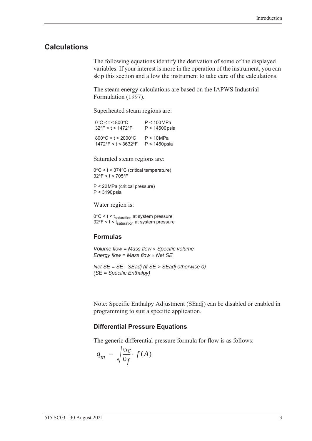### <span id="page-12-0"></span>**Calculations**

The following equations identify the derivation of some of the displayed variables. If your interest is more in the operation of the instrument, you can skip this section and allow the instrument to take care of the calculations.

The steam energy calculations are based on the IAPWS Industrial Formulation (1997).

Superheated steam regions are:

| $0^{\circ}$ C < t < 800 $^{\circ}$ C    | P < 100 MPa      |
|-----------------------------------------|------------------|
| $32^{\circ}$ F < t < 1472 $^{\circ}$ F  | $P < 14500$ psia |
| $800^{\circ}$ C < t < 2000 $^{\circ}$ C | P < 10 MPa       |
| 1472°F < t < 3632°F                     | $P < 1450$ psia  |

Saturated steam regions are:

 $0^{\circ}$ C < t < 374 $^{\circ}$ C (critical temperature)  $32^{\circ}$ F < t < 705 $^{\circ}$ F

P < 22 MPa (critical pressure) P < 3190 psia

Water region is:

 $0^{\circ}$ C < t < t<sub>saturation</sub> at system pressure  $32^{\circ}$ F < t < t<sub>saturation</sub> at system pressure

#### **Formulas**

*Volume flow = Mass flow Specific volume Energy flow = Mass flow Net SE*

*Net SE = SE - SEadj (if SE > SEadj otherwise 0) (SE = Specific Enthalpy)*

Note: Specific Enthalpy Adjustment (SEadj) can be disabled or enabled in programming to suit a specific application.

### **Differential Pressure Equations**

The generic differential pressure formula for flow is as follows:

$$
q_m = \sqrt{\frac{\nu_c}{\nu_f}} \cdot f(A)
$$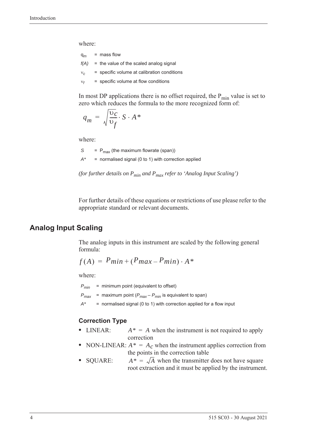where:

| $q_m$ | $=$ mass flow                                  |
|-------|------------------------------------------------|
|       | $f(A)$ = the value of the scaled analog signal |
| $V_C$ | = specific volume at calibration conditions    |
| $V_f$ | $=$ specific volume at flow conditions         |

In most DP applications there is no offset required, the  $P_{min}$  value is set to zero which reduces the formula to the more recognized form of:

$$
q_m = \sqrt{\frac{\mathrm{v}_c}{\mathrm{v}_f}} \cdot S \cdot A^*
$$

where:

 $S = P_{max}$  (the maximum flowrate (span)) *A\** = normalised signal (0 to 1) with correction applied

*(for further details on Pmin and Pmax refer to 'Analog Input Scaling')*

For further details of these equations or restrictions of use please refer to the appropriate standard or relevant documents.

### <span id="page-13-0"></span>**Analog Input Scaling**

The analog inputs in this instrument are scaled by the following general formula:

$$
f(A) = P_{min} + (P_{max} - P_{min}) \cdot A^*
$$

where:

*Pmin* = minimum point (equivalent to offset)

 $P_{max}$  = maximum point ( $P_{max} - P_{min}$  is equivalent to span)

*A\** = normalised signal (0 to 1) with correction applied for a flow input

#### **Correction Type**

- LINEAR:  $A^* = A$  when the instrument is not required to apply correction
- NON-LINEAR:  $A^* = A_c$  when the instrument applies correction from the points in the correction table
- SQUARE:  $A^* = \sqrt{A}$  when the transmitter does not have square root extraction and it must be applied by the instrument.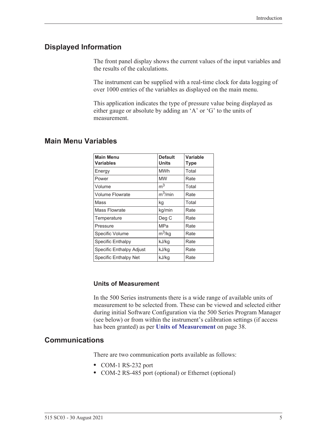### <span id="page-14-0"></span>**Displayed Information**

The front panel display shows the current values of the input variables and the results of the calculations.

The instrument can be supplied with a real-time clock for data logging of over 1000 entries of the variables as displayed on the main menu.

This application indicates the type of pressure value being displayed as either gauge or absolute by adding an 'A' or 'G' to the units of measurement.

### <span id="page-14-1"></span>**Main Menu Variables**

| <b>Main Menu</b><br><b>Variables</b> | <b>Default</b><br><b>Units</b> | Variable<br>Type |
|--------------------------------------|--------------------------------|------------------|
| Energy                               | <b>MWh</b>                     | Total            |
| Power                                | <b>MW</b>                      | Rate             |
| Volume                               | m <sup>3</sup>                 | Total            |
| <b>Volume Flowrate</b>               | $m^3/m$ in                     | Rate             |
| Mass                                 | kg                             | Total            |
| Mass Flowrate                        | kg/min                         | Rate             |
| Temperature                          | Deg C                          | Rate             |
| Pressure                             | MPa                            | Rate             |
| Specific Volume                      | $m^3$ /kg                      | Rate             |
| <b>Specific Enthalpy</b>             | kJ/kg                          | Rate             |
| Specific Enthalpy Adjust             | kJ/kg                          | Rate             |
| Specific Enthalpy Net                | kJ/kg                          | Rate             |

### **Units of Measurement**

In the 500 Series instruments there is a wide range of available units of measurement to be selected from. These can be viewed and selected either during initial Software Configuration via the 500 Series Program Manager (see below) or from within the instrument's calibration settings (if access has been granted) as per **[Units of Measurement](#page-47-2)** on page 38.

### <span id="page-14-2"></span>**Communications**

There are two communication ports available as follows:

- **•** COM-1 RS-232 port
- **•** COM-2 RS-485 port (optional) or Ethernet (optional)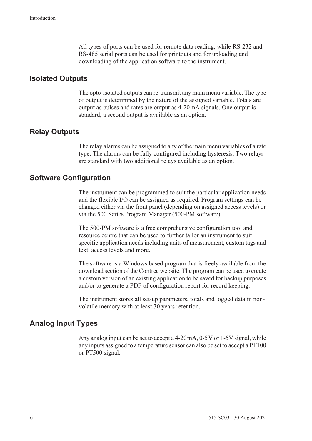All types of ports can be used for remote data reading, while RS-232 and RS-485 serial ports can be used for printouts and for uploading and downloading of the application software to the instrument.

### <span id="page-15-0"></span>**Isolated Outputs**

The opto-isolated outputs can re-transmit any main menu variable. The type of output is determined by the nature of the assigned variable. Totals are output as pulses and rates are output as 4-20 mA signals. One output is standard, a second output is available as an option.

### <span id="page-15-1"></span>**Relay Outputs**

The relay alarms can be assigned to any of the main menu variables of a rate type. The alarms can be fully configured including hysteresis. Two relays are standard with two additional relays available as an option.

### <span id="page-15-2"></span>**Software Configuration**

The instrument can be programmed to suit the particular application needs and the flexible I/O can be assigned as required. Program settings can be changed either via the front panel (depending on assigned access levels) or via the 500 Series Program Manager (500-PM software).

The 500-PM software is a free comprehensive configuration tool and resource centre that can be used to further tailor an instrument to suit specific application needs including units of measurement, custom tags and text, access levels and more.

The software is a Windows based program that is freely available from the download section of the Contrec website. The program can be used to create a custom version of an existing application to be saved for backup purposes and/or to generate a PDF of configuration report for record keeping.

The instrument stores all set-up parameters, totals and logged data in nonvolatile memory with at least 30 years retention.

### <span id="page-15-3"></span>**Analog Input Types**

Any analog input can be set to accept a 4-20 mA, 0-5 V or 1-5 V signal, while any inputs assigned to a temperature sensor can also be set to accept a PT100 or PT500 signal.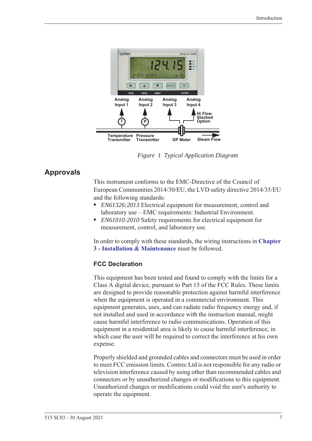

*Figure 1 Typical Application Diagram*

## <span id="page-16-0"></span>**Approvals**

<span id="page-16-1"></span>This instrument conforms to the EMC-Directive of the Council of European Communities 2014/30/EU, the LVD safety directive 2014/35/EU and the following standards:

- **•** *EN61326:2013* Electrical equipment for measurement, control and laboratory use – EMC requirements: Industrial Environment.
- **•** *EN61010:2010* Safety requirements for electrical equipment for measurement, control, and laboratory use.

In order to comply with these standards, the wiring instructions in **[Chapter](#page-20-5)  [3 - Installation & Maintenance](#page-20-5)** must be followed.

### **FCC Declaration**

This equipment has been tested and found to comply with the limits for a Class A digital device, pursuant to Part 15 of the FCC Rules. These limits are designed to provide reasonable protection against harmful interference when the equipment is operated in a commercial environment. This equipment generates, uses, and can radiate radio frequency energy and, if not installed and used in accordance with the instruction manual, might cause harmful interference to radio communications. Operation of this equipment in a residential area is likely to cause harmful interference, in which case the user will be required to correct the interference at his own expense.

Properly shielded and grounded cables and connectors must be used in order to meet FCC emission limits. Contrec Ltd is not responsible for any radio or television interference caused by using other than recommended cables and connectors or by unauthorized changes or modifications to this equipment. Unauthorized changes or modifications could void the user's authority to operate the equipment.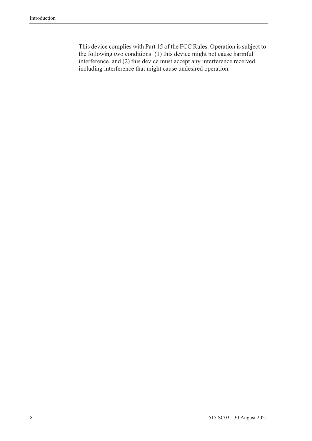This device complies with Part 15 of the FCC Rules. Operation is subject to the following two conditions: (1) this device might not cause harmful interference, and (2) this device must accept any interference received, including interference that might cause undesired operation.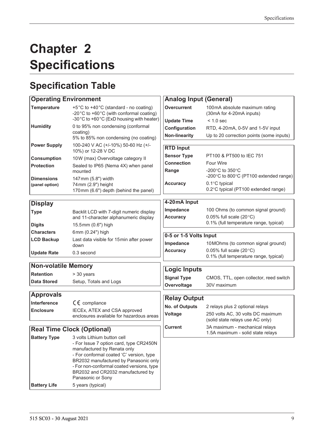# <span id="page-18-0"></span>**Chapter 2 Specifications**

# <span id="page-18-1"></span>**Specification Table**

| <b>Operating Environment</b>        |                                                                                                                                                                                                                                                                                                   | <b>Analog Input (General)</b>                               |                                                                                             |  |  |  |  |  |
|-------------------------------------|---------------------------------------------------------------------------------------------------------------------------------------------------------------------------------------------------------------------------------------------------------------------------------------------------|-------------------------------------------------------------|---------------------------------------------------------------------------------------------|--|--|--|--|--|
| <b>Temperature</b>                  | +5°C to +40°C (standard - no coating)<br>-20°C to +60°C (with conformal coating)<br>-30°C to +60°C (ExD housing with heater)                                                                                                                                                                      | <b>Overcurrent</b>                                          | 100mA absolute maximum rating<br>(30mA for 4-20mA inputs)                                   |  |  |  |  |  |
| <b>Humidity</b>                     | 0 to 95% non condensing (conformal<br>coating)<br>5% to 85% non condensing (no coating)                                                                                                                                                                                                           | <b>Update Time</b><br>Configuration<br><b>Non-linearity</b> | $< 1.0$ sec<br>RTD, 4-20mA, 0-5V and 1-5V input<br>Up to 20 correction points (some inputs) |  |  |  |  |  |
| <b>Power Supply</b>                 | 100-240 V AC (+/-10%) 50-60 Hz (+/-<br>10%) or 12-28 V DC                                                                                                                                                                                                                                         | <b>RTD Input</b>                                            |                                                                                             |  |  |  |  |  |
| <b>Consumption</b>                  | 10W (max) Overvoltage category II                                                                                                                                                                                                                                                                 | <b>Sensor Type</b>                                          | PT100 & PT500 to IEC 751                                                                    |  |  |  |  |  |
| <b>Protection</b>                   | Sealed to IP65 (Nema 4X) when panel                                                                                                                                                                                                                                                               | <b>Connection</b>                                           | <b>Four Wire</b>                                                                            |  |  |  |  |  |
|                                     | mounted                                                                                                                                                                                                                                                                                           | Range                                                       | -200 $\degree$ C to 350 $\degree$ C<br>-200°C to 800°C (PT100 extended range)               |  |  |  |  |  |
| <b>Dimensions</b><br>(panel option) | 147mm (5.8") width<br>74mm (2.9") height<br>170mm (6.6") depth (behind the panel)                                                                                                                                                                                                                 | <b>Accuracy</b>                                             | 0.1°C typical<br>0.2°C typical (PT100 extended range)                                       |  |  |  |  |  |
| <b>Display</b>                      |                                                                                                                                                                                                                                                                                                   | 4-20mA Input                                                |                                                                                             |  |  |  |  |  |
| <b>Type</b>                         | Backlit LCD with 7-digit numeric display                                                                                                                                                                                                                                                          | Impedance                                                   | 100 Ohms (to common signal ground)                                                          |  |  |  |  |  |
|                                     | and 11-character alphanumeric display                                                                                                                                                                                                                                                             | <b>Accuracy</b>                                             | 0.05% full scale $(20^{\circ}C)$                                                            |  |  |  |  |  |
| <b>Digits</b>                       | 15.5mm (0.6") high                                                                                                                                                                                                                                                                                |                                                             | 0.1% (full temperature range, typical)                                                      |  |  |  |  |  |
| <b>Characters</b>                   | 6mm (0.24") high                                                                                                                                                                                                                                                                                  |                                                             |                                                                                             |  |  |  |  |  |
| <b>LCD Backup</b>                   | Last data visible for 15min after power                                                                                                                                                                                                                                                           | 0-5 or 1-5 Volts Input                                      |                                                                                             |  |  |  |  |  |
|                                     | down                                                                                                                                                                                                                                                                                              | Impedance                                                   | 10 MOhms (to common signal ground)                                                          |  |  |  |  |  |
| <b>Update Rate</b>                  | 0.3 second                                                                                                                                                                                                                                                                                        | <b>Accuracy</b>                                             | 0.05% full scale $(20^{\circ}C)$<br>0.1% (full temperature range, typical)                  |  |  |  |  |  |
| <b>Non-volatile Memory</b>          |                                                                                                                                                                                                                                                                                                   |                                                             |                                                                                             |  |  |  |  |  |
| <b>Retention</b>                    | > 30 years                                                                                                                                                                                                                                                                                        | <b>Logic Inputs</b>                                         |                                                                                             |  |  |  |  |  |
| <b>Data Stored</b>                  | Setup, Totals and Logs                                                                                                                                                                                                                                                                            | <b>Signal Type</b>                                          | CMOS, TTL, open collector, reed switch                                                      |  |  |  |  |  |
|                                     |                                                                                                                                                                                                                                                                                                   | Overvoltage                                                 | 30V maximum                                                                                 |  |  |  |  |  |
| <b>Approvals</b>                    |                                                                                                                                                                                                                                                                                                   | <b>Relay Output</b>                                         |                                                                                             |  |  |  |  |  |
| Interference                        | $C \in \mathbb{C}$ compliance                                                                                                                                                                                                                                                                     | No. of Outputs                                              | 2 relays plus 2 optional relays                                                             |  |  |  |  |  |
| <b>Enclosure</b>                    | IECEx, ATEX and CSA approved                                                                                                                                                                                                                                                                      | Voltage                                                     | 250 volts AC, 30 volts DC maximum                                                           |  |  |  |  |  |
|                                     | enclosures available for hazardous areas                                                                                                                                                                                                                                                          |                                                             | (solid state relays use AC only)                                                            |  |  |  |  |  |
| <b>Real Time Clock (Optional)</b>   |                                                                                                                                                                                                                                                                                                   | <b>Current</b>                                              | 3A maximum - mechanical relays<br>1.5A maximum - solid state relays                         |  |  |  |  |  |
| <b>Battery Type</b>                 | 3 volts Lithium button cell<br>- For Issue 7 option card, type CR2450N<br>manufactured by Renata only<br>- For conformal coated 'C' version, type<br>BR2032 manufactured by Panasonic only<br>- For non-conformal coated versions, type<br>BR2032 and CR2032 manufactured by<br>Panasonic or Sony |                                                             |                                                                                             |  |  |  |  |  |

**Battery Life** 5 years (typical)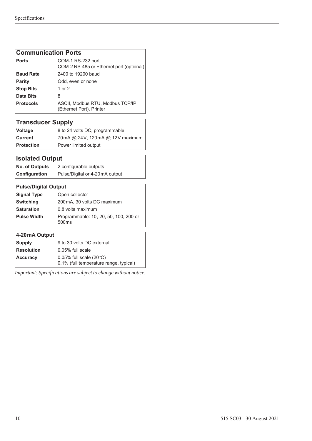### **Communication Ports**

| <b>Ports</b>     | COM-1 RS-232 port<br>COM-2 RS-485 or Ethernet port (optional) |
|------------------|---------------------------------------------------------------|
| <b>Baud Rate</b> | 2400 to 19200 baud                                            |
| <b>Parity</b>    | Odd, even or none                                             |
| <b>Stop Bits</b> | 1 or 2                                                        |
| Data Bits        | 8                                                             |
| <b>Protocols</b> | ASCII, Modbus RTU, Modbus TCP/IP<br>(Ethernet Port), Printer  |

# **Transducer Supply**

| <b>Voltage</b>    | 8 to 24 volts DC, programmable  |
|-------------------|---------------------------------|
| l Current l       | 70mA @ 24V, 120mA @ 12V maximum |
| <b>Protection</b> | Power limited output            |

### **Isolated Output**

| <b>No. of Outputs</b> | 2 configurable outputs         |
|-----------------------|--------------------------------|
| Configuration         | Pulse/Digital or 4-20mA output |

| <b>Pulse/Digital Output</b> |                                                            |  |  |  |  |
|-----------------------------|------------------------------------------------------------|--|--|--|--|
| <b>Signal Type</b>          | Open collector                                             |  |  |  |  |
| <b>Switching</b>            | 200mA, 30 volts DC maximum                                 |  |  |  |  |
| <b>Saturation</b>           | 0.8 volts maximum                                          |  |  |  |  |
| <b>Pulse Width</b>          | Programmable: 10, 20, 50, 100, 200 or<br>500 <sub>ms</sub> |  |  |  |  |
|                             |                                                            |  |  |  |  |
| 4-20 mA Output              |                                                            |  |  |  |  |
|                             |                                                            |  |  |  |  |

| <b>Supply</b>     | 9 to 30 volts DC external              |
|-------------------|----------------------------------------|
| <b>Resolution</b> | $0.05\%$ full scale                    |
| <b>Accuracy</b>   | $0.05\%$ full scale (20 $\degree$ C)   |
|                   | 0.1% (full temperature range, typical) |

*Important: Specifications are subject to change without notice.*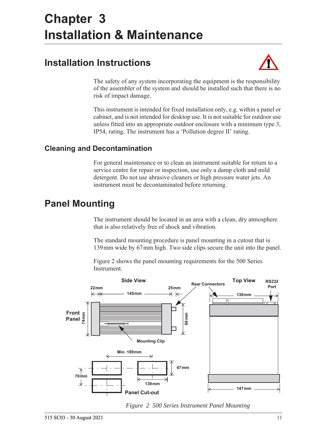# <span id="page-20-5"></span><span id="page-20-0"></span>**Chapter 3 Installation & Maintenance**

# <span id="page-20-1"></span>**Installation Instructions**



The safety of any system incorporating the equipment is the responsibility of the assembler of the system and should be installed such that there is no risk of impact damage.

This instrument is intended for fixed installation only, e.g. within a panel or cabinet, and is not intended for desktop use. It is not suitable for outdoor use unless fitted into an appropriate outdoor enclosure with a minimum type 3, IP54, rating. The instrument has a 'Pollution degree II' rating.

### <span id="page-20-2"></span>**Cleaning and Decontamination**

For general maintenance or to clean an instrument suitable for return to a service centre for repair or inspection, use only a damp cloth and mild detergent. Do not use abrasive cleaners or high pressure water jets. An instrument must be decontaminated before returning.

# <span id="page-20-3"></span>**Panel Mounting**

The instrument should be located in an area with a clean, dry atmosphere that is also relatively free of shock and vibration.

The standard mounting procedure is panel mounting in a cutout that is 139 mm wide by 67 mm high. Two side clips secure the unit into the panel.

[Figure 2](#page-20-4) shows the panel mounting requirements for the 500 Series Instrument.



<span id="page-20-4"></span>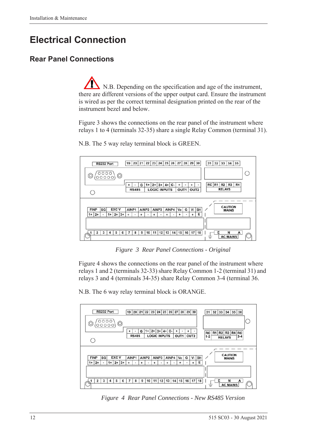# <span id="page-21-0"></span>**Electrical Connection**

## <span id="page-21-1"></span>**Rear Panel Connections**

N.B. Depending on the specification and age of the instrument, there are different versions of the upper output card. Ensure the instrument is wired as per the correct terminal designation printed on the rear of the instrument bezel and below.

[Figure 3](#page-21-2) shows the connections on the rear panel of the instrument where relays 1 to 4 (terminals 32-35) share a single Relay Common (terminal 31).



N.B. The 5 way relay terminal block is GREEN.

*Figure 3 Rear Panel Connections - Original*

<span id="page-21-2"></span>[Figure 4](#page-21-3) shows the connections on the rear panel of the instrument where relays 1 and 2 (terminals 32-33) share Relay Common 1-2 (terminal 31) and relays 3 and 4 (terminals 34-35) share Relay Common 3-4 (terminal 36.

N.B. The 6 way relay terminal block is ORANGE.



<span id="page-21-3"></span>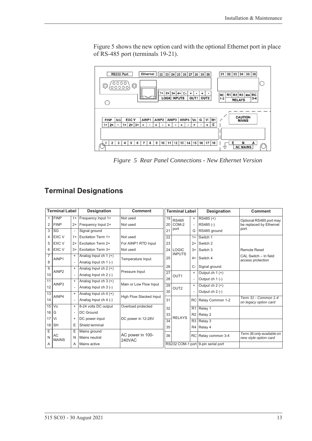[Figure 5](#page-22-1) shows the new option card with the optional Ethernet port in place of RS-485 port (terminals 19-21).



<span id="page-22-1"></span>*Figure 5 Rear Panel Connections - New Ethernet Version*

## <span id="page-22-0"></span>**Terminal Designations**

|                 | <b>Terminal Label</b>              |                          | Designation               | <b>Comment</b>          | <b>Terminal Label</b> |                                    |                | Designation           | <b>Comment</b>                                     |
|-----------------|------------------------------------|--------------------------|---------------------------|-------------------------|-----------------------|------------------------------------|----------------|-----------------------|----------------------------------------------------|
| 1               | <b>FINP</b>                        | $1+$                     | Frequency Input 1+        | Not used                | 19                    | <b>RS485</b>                       | $\ddot{}$      | RS485 (+)             | Optional RS485 port may                            |
| 2               | <b>FINP</b>                        | $2+$                     | Frequency Input 2+        | Not used                | 20                    | COM-2                              |                | RS485 (-)             | be replaced by Ethernet                            |
| 3               | SG                                 | $\overline{\phantom{a}}$ | Signal ground             |                         | 21                    | port                               | G              | RS485 ground          | port.                                              |
| 4               | EXC V                              | $1+$                     | <b>Excitation Term 1+</b> | Not used                | 22                    |                                    | $1+$           | Switch 1              |                                                    |
| 5               | EXC V                              | $2+$                     | <b>Excitation Term 2+</b> | For AINP1 RTD Input     | 23                    |                                    | $2+$           | Switch 2              |                                                    |
| 6               | <b>EXC V</b>                       | $3+$                     | <b>Excitation Term 3+</b> | Not used                | 24                    | <b>LOGIC</b>                       | $3+$           | Switch 3              | <b>Remote Reset</b>                                |
| $\overline{7}$  | AINP1                              | $\ddot{}$                | Analog Input ch $1 (+)$   | 25<br>Temperature Input | <b>INPUTS</b>         | $4+$                               | Switch 4       | CAL Switch - In field |                                                    |
| 8               |                                    |                          | Analog Input ch 1 (-)     |                         |                       |                                    |                | access protection     |                                                    |
| 9               |                                    | $\ddot{}$                | Analog Input ch $2 (+)$   | Pressure Input          | 26                    |                                    | $C-$           | Signal ground         |                                                    |
| 10              | AINP <sub>2</sub>                  |                          | Analog Input ch 2 (-)     |                         | $\overline{27}$       | OUT <sub>1</sub>                   | $+$            | Output ch $1 (+)$     |                                                    |
| 11              |                                    | $\ddot{}$                | Analog Input ch $3 (+)$   |                         | 28                    |                                    |                | Output $ch 1$ (-)     |                                                    |
| 12              | AINP3                              | $\overline{\phantom{a}}$ | Analog Input ch 3 (-)     | Main or Low Flow Input  | 29                    | OUT <sub>2</sub>                   | $\ddot{}$      | Output ch $2 (+)$     |                                                    |
| $\overline{13}$ |                                    | $\ddot{}$                | Analog Input ch $4 (+)$   |                         | 30                    |                                    |                | Output $ch 2$ (-)     |                                                    |
| 14              | AINP4                              |                          | Analog Input ch 4 (-)     | High Flow Stacked Input | 31                    |                                    | <b>RC</b>      | Relay Common 1-2      | Term 31 - Common 1-4<br>on legacy option card      |
| 15              | Vo                                 | $\ddot{}$                | 8-24 volts DC output      | Overload protected      | 32                    |                                    | R <sub>1</sub> | Relay 1               |                                                    |
| 16              | G                                  | $\blacksquare$           | <b>DC</b> Ground          |                         | 33                    |                                    | R2             | Relay 2               |                                                    |
| 17              | Vi                                 | $\ddot{}$                | DC power input            | DC power in 12-28V      | $\overline{34}$       | <b>RELAYS</b>                      | R3             | Relay 3               |                                                    |
| 18              | <b>SH</b>                          | E                        | Shield terminal           |                         | 35                    |                                    | R4             | Relay 4               |                                                    |
| Ε               |                                    | Ε                        | Mains ground              |                         |                       |                                    |                |                       |                                                    |
| N               | AC<br><b>MAINS</b>                 | N                        | Mains neutral             | AC power in 100-        | 36                    |                                    | RC             | Relay common 3-4      | Term 36 only available on<br>new style option card |
| A               | <b>240VAC</b><br>Mains active<br>Α |                          |                           |                         |                       | RS232 COM-1 port 9-pin serial port |                |                       |                                                    |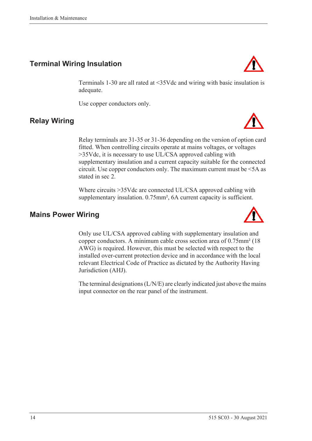## <span id="page-23-0"></span>**Terminal Wiring Insulation**

Terminals 1-30 are all rated at <35Vdc and wiring with basic insulation is adequate.

Use copper conductors only.

stated in sec 2.

## <span id="page-23-1"></span>**Relay Wiring**

Relay terminals are 31-35 or 31-36 depending on the version of option card fitted. When controlling circuits operate at mains voltages, or voltages >35Vdc, it is necessary to use UL/CSA approved cabling with supplementary insulation and a current capacity suitable for the connected circuit. Use copper conductors only. The maximum current must be <5A as

Where circuits >35Vdc are connected UL/CSA approved cabling with supplementary insulation. 0.75mm<sup>2</sup>, 6A current capacity is sufficient.

### <span id="page-23-2"></span>**Mains Power Wiring**

Only use UL/CSA approved cabling with supplementary insulation and copper conductors. A minimum cable cross section area of 0.75mm² (18 AWG) is required. However, this must be selected with respect to the installed over-current protection device and in accordance with the local relevant Electrical Code of Practice as dictated by the Authority Having Jurisdiction (AHJ).

The terminal designations (L/N/E) are clearly indicated just above the mains input connector on the rear panel of the instrument.







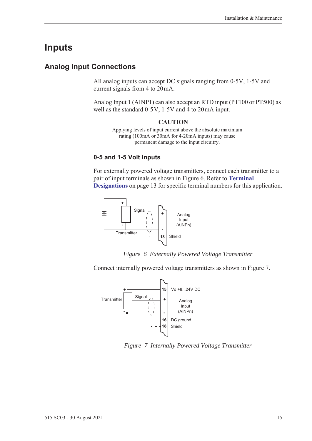# <span id="page-24-0"></span>**Inputs**

### <span id="page-24-1"></span>**Analog Input Connections**

All analog inputs can accept DC signals ranging from 0-5V, 1-5V and current signals from 4 to 20 mA.

Analog Input 1 (AINP1) can also accept an RTD input (PT100 or PT500) as well as the standard  $0-5V$ ,  $1-5V$  and  $4$  to  $20mA$  input.

#### **CAUTION**

Applying levels of input current above the absolute maximum rating (100mA or 30mA for 4-20mA inputs) may cause permanent damage to the input circuitry.

#### **0-5 and 1-5 Volt Inputs**

For externally powered voltage transmitters, connect each transmitter to a pair of input terminals as shown in [Figure 6.](#page-24-2) Refer to **[Terminal](#page-22-0)  [Designations](#page-22-0)** on page 13 for specific terminal numbers for this application.



*Figure 6 Externally Powered Voltage Transmitter*

<span id="page-24-2"></span>Connect internally powered voltage transmitters as shown in [Figure 7.](#page-24-3)



<span id="page-24-3"></span>*Figure 7 Internally Powered Voltage Transmitter*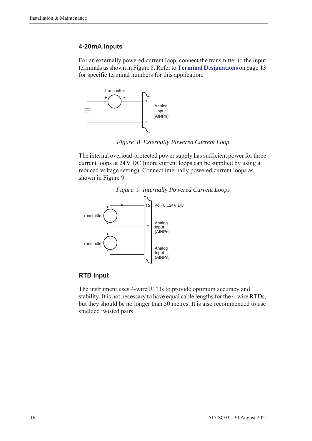### **4-20 mA Inputs**

For an externally powered current loop, connect the transmitter to the input terminals as shown in [Figure 8](#page-25-0). Refer to **[Terminal Designations](#page-22-0)** on page 13 for specific terminal numbers for this application.



*Figure 8 Externally Powered Current Loop*

<span id="page-25-0"></span>The internal overload-protected power supply has sufficient power for three current loops at 24 V DC (more current loops can be supplied by using a reduced voltage setting). Connect internally powered current loops as shown in [Figure 9](#page-25-1).



<span id="page-25-1"></span>

### **RTD Input**

The instrument uses 4-wire RTDs to provide optimum accuracy and stability. It is not necessary to have equal cable lengths for the 4-wire RTDs, but they should be no longer than 50 metres. It is also recommended to use shielded twisted pairs.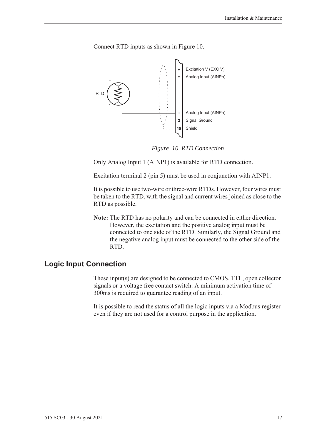

Connect RTD inputs as shown in [Figure 10.](#page-26-1)

*Figure 10 RTD Connection*

<span id="page-26-1"></span>Only Analog Input 1 (AINP1) is available for RTD connection.

Excitation terminal 2 (pin 5) must be used in conjunction with AINP1.

It is possible to use two-wire or three-wire RTDs. However, four wires must be taken to the RTD, with the signal and current wires joined as close to the RTD as possible.

**Note:** The RTD has no polarity and can be connected in either direction. However, the excitation and the positive analog input must be connected to one side of the RTD. Similarly, the Signal Ground and the negative analog input must be connected to the other side of the RTD.

### <span id="page-26-0"></span>**Logic Input Connection**

These input(s) are designed to be connected to CMOS, TTL, open collector signals or a voltage free contact switch. A minimum activation time of 300ms is required to guarantee reading of an input.

It is possible to read the status of all the logic inputs via a Modbus register even if they are not used for a control purpose in the application.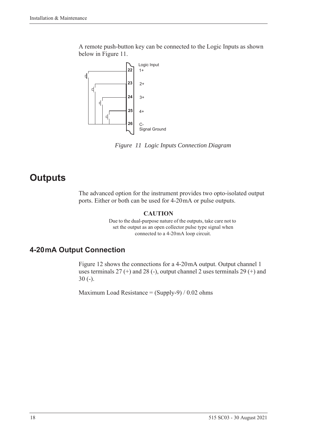A remote push-button key can be connected to the Logic Inputs as shown below in [Figure 11](#page-27-2).



<span id="page-27-2"></span>*Figure 11 Logic Inputs Connection Diagram*

# <span id="page-27-0"></span>**Outputs**

The advanced option for the instrument provides two opto-isolated output ports. Either or both can be used for 4-20 mA or pulse outputs.

#### **CAUTION**

Due to the dual-purpose nature of the outputs, take care not to set the output as an open collector pulse type signal when connected to a 4-20 mA loop circuit.

# <span id="page-27-1"></span>**4-20 mA Output Connection**

[Figure 12](#page-28-1) shows the connections for a 4-20 mA output. Output channel 1 uses terminals  $27 (+)$  and  $28 (-)$ , output channel 2 uses terminals  $29 (+)$  and 30 (-).

Maximum Load Resistance =  $(Supply-9) / 0.02$  ohms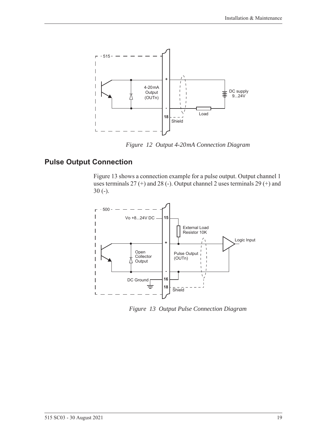

*Figure 12 Output 4-20 mA Connection Diagram*

### <span id="page-28-0"></span>**Pulse Output Connection**

<span id="page-28-1"></span>[Figure 13](#page-28-2) shows a connection example for a pulse output. Output channel 1 uses terminals 27 (+) and 28 (-). Output channel 2 uses terminals 29 (+) and 30 (-).



<span id="page-28-2"></span>*Figure 13 Output Pulse Connection Diagram*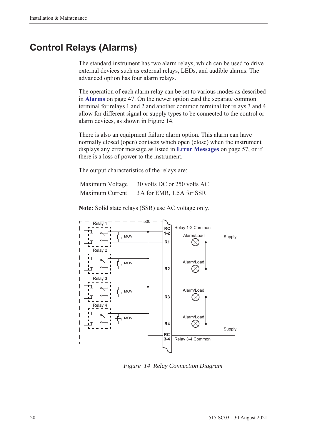# <span id="page-29-0"></span>**Control Relays (Alarms)**

The standard instrument has two alarm relays, which can be used to drive external devices such as external relays, LEDs, and audible alarms. The advanced option has four alarm relays.

The operation of each alarm relay can be set to various modes as described in **Alarms** [on page 47](#page-56-1). On the newer option card the separate common terminal for relays 1 and 2 and another common terminal for relays 3 and 4 allow for different signal or supply types to be connected to the control or alarm devices, as shown in [Figure 14.](#page-29-1)

There is also an equipment failure alarm option. This alarm can have normally closed (open) contacts which open (close) when the instrument displays any error message as listed in **[Error Messages](#page-66-2)** on page 57, or if there is a loss of power to the instrument.

The output characteristics of the relays are:

| Maximum Voltage | 30 volts DC or 250 volts AC |
|-----------------|-----------------------------|
| Maximum Current | 3A for EMR, 1.5A for SSR    |

**Note:** Solid state relays (SSR) use AC voltage only.



<span id="page-29-1"></span>*Figure 14 Relay Connection Diagram*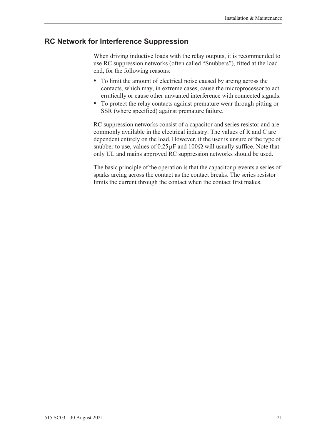### <span id="page-30-0"></span>**RC Network for Interference Suppression**

When driving inductive loads with the relay outputs, it is recommended to use RC suppression networks (often called "Snubbers"), fitted at the load end, for the following reasons:

- **•** To limit the amount of electrical noise caused by arcing across the contacts, which may, in extreme cases, cause the microprocessor to act erratically or cause other unwanted interference with connected signals.
- **•** To protect the relay contacts against premature wear through pitting or SSR (where specified) against premature failure.

RC suppression networks consist of a capacitor and series resistor and are commonly available in the electrical industry. The values of R and C are dependent entirely on the load. However, if the user is unsure of the type of snubber to use, values of  $0.25 \mu$ F and  $100 \Omega$  will usually suffice. Note that only UL and mains approved RC suppression networks should be used.

The basic principle of the operation is that the capacitor prevents a series of sparks arcing across the contact as the contact breaks. The series resistor limits the current through the contact when the contact first makes.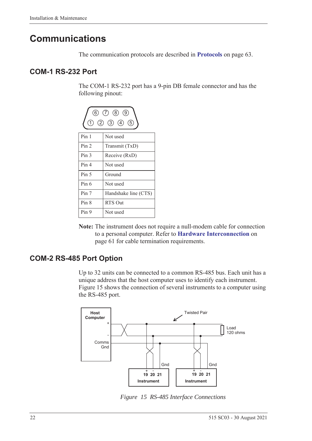# <span id="page-31-0"></span>**Communications**

The communication protocols are described in **Protocols** [on page 63.](#page-72-3)

### <span id="page-31-1"></span>**COM-1 RS-232 Port**

The COM-1 RS-232 port has a 9-pin DB female connector and has the following pinout:



**Note:** The instrument does not require a null-modem cable for connection to a personal computer. Refer to **[Hardware Interconnection](#page-70-4)** on [page 61](#page-70-4) for cable termination requirements.

### <span id="page-31-2"></span>**COM-2 RS-485 Port Option**

Up to 32 units can be connected to a common RS-485 bus. Each unit has a unique address that the host computer uses to identify each instrument. [Figure 15](#page-31-3) shows the connection of several instruments to a computer using the RS-485 port.



<span id="page-31-3"></span>*Figure 15 RS-485 Interface Connections*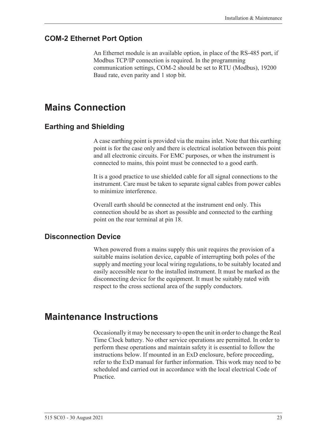### <span id="page-32-0"></span>**COM-2 Ethernet Port Option**

An Ethernet module is an available option, in place of the RS-485 port, if Modbus TCP/IP connection is required. In the programming communication settings, COM-2 should be set to RTU (Modbus), 19200 Baud rate, even parity and 1 stop bit.

# <span id="page-32-1"></span>**Mains Connection**

### <span id="page-32-2"></span>**Earthing and Shielding**

A case earthing point is provided via the mains inlet. Note that this earthing point is for the case only and there is electrical isolation between this point and all electronic circuits. For EMC purposes, or when the instrument is connected to mains, this point must be connected to a good earth.

It is a good practice to use shielded cable for all signal connections to the instrument. Care must be taken to separate signal cables from power cables to minimize interference.

Overall earth should be connected at the instrument end only. This connection should be as short as possible and connected to the earthing point on the rear terminal at pin 18.

### <span id="page-32-3"></span>**Disconnection Device**

When powered from a mains supply this unit requires the provision of a suitable mains isolation device, capable of interrupting both poles of the supply and meeting your local wiring regulations, to be suitably located and easily accessible near to the installed instrument. It must be marked as the disconnecting device for the equipment. It must be suitably rated with respect to the cross sectional area of the supply conductors.

# <span id="page-32-4"></span>**Maintenance Instructions**

Occasionally it may be necessary to open the unit in order to change the Real Time Clock battery. No other service operations are permitted. In order to perform these operations and maintain safety it is essential to follow the instructions below. If mounted in an ExD enclosure, before proceeding, refer to the ExD manual for further information. This work may need to be scheduled and carried out in accordance with the local electrical Code of Practice.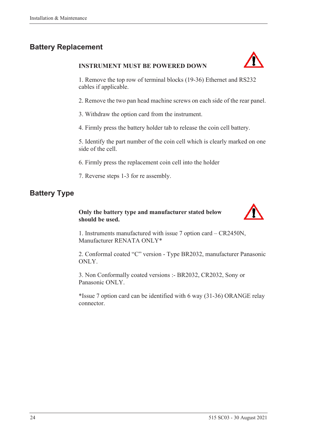## <span id="page-33-0"></span>**Battery Replacement**

#### **INSTRUMENT MUST BE POWERED DOWN**



1. Remove the top row of terminal blocks (19-36) Ethernet and RS232 cables if applicable.

2. Remove the two pan head machine screws on each side of the rear panel.

3. Withdraw the option card from the instrument.

4. Firmly press the battery holder tab to release the coin cell battery.

5. Identify the part number of the coin cell which is clearly marked on one side of the cell.

6. Firmly press the replacement coin cell into the holder

7. Reverse steps 1-3 for re assembly.

### <span id="page-33-1"></span>**Battery Type**

#### **Only the battery type and manufacturer stated below should be used.**



1. Instruments manufactured with issue 7 option card – CR2450N, Manufacturer RENATA ONLY\*

2. Conformal coated "C" version - Type BR2032, manufacturer Panasonic ONLY.

3. Non Conformally coated versions :- BR2032, CR2032, Sony or Panasonic ONLY.

\*Issue 7 option card can be identified with 6 way (31-36) ORANGE relay connector.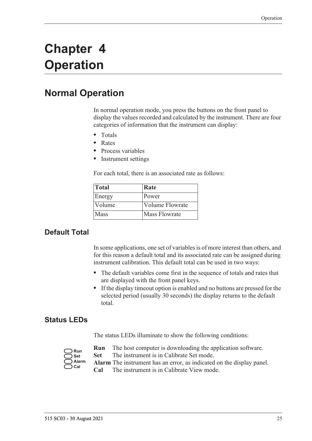# <span id="page-34-0"></span>**Chapter 4 Operation**

# <span id="page-34-1"></span>**Normal Operation**

In normal operation mode, you press the buttons on the front panel to display the values recorded and calculated by the instrument. There are four categories of information that the instrument can display:

- **•** Totals
- **•** Rates
- **•** Process variables
- **•** Instrument settings

For each total, there is an associated rate as follows:

| <b>Total</b> | Rate                   |
|--------------|------------------------|
| Energy       | Power                  |
| Volume       | <b>Volume Flowrate</b> |
| Mass         | Mass Flowrate          |

### <span id="page-34-2"></span>**Default Total**

In some applications, one set of variables is of more interest than others, and for this reason a default total and its associated rate can be assigned during instrument calibration. This default total can be used in two ways:

- **•** The default variables come first in the sequence of totals and rates that are displayed with the front panel keys.
- **•** If the display timeout option is enabled and no buttons are pressed for the selected period (usually 30 seconds) the display returns to the default total.

### <span id="page-34-3"></span>**Status LEDs**

The status LEDs illuminate to show the following conditions:

| Run   |
|-------|
| Set   |
| Alarm |
| :al   |

- **Run** The host computer is downloading the application software.
- **Set** The instrument is in Calibrate Set mode.
- **Alarm** The instrument has an error, as indicated on the display panel.
- **Cal** The instrument is in Calibrate View mode.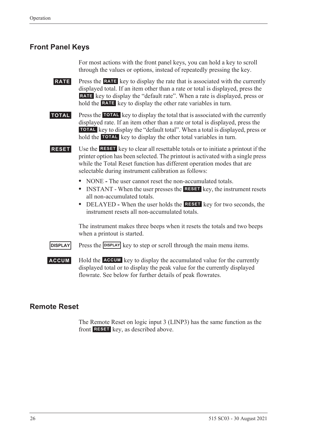### <span id="page-35-0"></span>**Front Panel Keys**

For most actions with the front panel keys, you can hold a key to scroll through the values or options, instead of repeatedly pressing the key.

**RATE** Press the **RATE** key to display the rate that is associated with the currently displayed total. If an item other than a rate or total is displayed, press the RATE key to display the "default rate". When a rate is displayed, press or hold the **RATE** key to display the other rate variables in turn.

**TOTAL** Press the TOTAL key to display the total that is associated with the currently displayed rate. If an item other than a rate or total is displayed, press the **TOTAL** key to display the "default total". When a total is displayed, press or hold the **TOTAL** key to display the other total variables in turn.

**RESET** Use the **RESET** key to clear all resettable totals or to initiate a printout if the printer option has been selected. The printout is activated with a single press while the Total Reset function has different operation modes that are selectable during instrument calibration as follows:

- NONE The user cannot reset the non-accumulated totals.
- INSTANT When the user presses the **RESET** key, the instrument resets all non-accumulated totals.
- DELAYED When the user holds the **RESET** key for two seconds, the instrument resets all non-accumulated totals.

The instrument makes three beeps when it resets the totals and two beeps when a printout is started.

**DISPLAY** Press the **DISPLAY** key to step or scroll through the main menu items.

**ACCUM** Hold the **ACCUM** key to display the accumulated value for the currently displayed total or to display the peak value for the currently displayed flowrate. See below for further details of peak flowrates.

### <span id="page-35-1"></span>**Remote Reset**

The Remote Reset on logic input 3 (LINP3) has the same function as the front **RESET** key, as described above.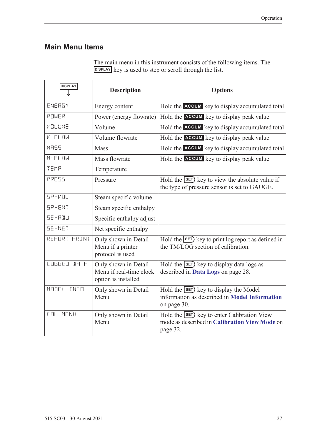### **Main Menu Items**

| The main menu in this instrument consists of the following items. The |  |
|-----------------------------------------------------------------------|--|
| DISPLAY key is used to step or scroll through the list.               |  |

| <b>DISPLAY</b>  | <b>Description</b>                                                     | <b>Options</b>                                                                                               |
|-----------------|------------------------------------------------------------------------|--------------------------------------------------------------------------------------------------------------|
| ENERGY          | Energy content                                                         | Hold the ACCUM key to display accumulated total                                                              |
| POWER           | Power (energy flowrate)                                                | Hold the <b>ACCUM</b> key to display peak value                                                              |
| VOLUME          | Volume                                                                 | Hold the ACCUM key to display accumulated total                                                              |
| $V - FLIN$      | Volume flowrate                                                        | Hold the <b>ACCUM</b> key to display peak value                                                              |
| MR55            | <b>Mass</b>                                                            | Hold the ACCUM key to display accumulated total                                                              |
| $M-FLDW$        | Mass flowrate                                                          | Hold the <b>ACCUM</b> key to display peak value                                                              |
| TEMP            | Temperature                                                            |                                                                                                              |
| PRESS           | Pressure                                                               | Hold the SET key to view the absolute value if<br>the type of pressure sensor is set to GAUGE.               |
| $SP-VOL$        | Steam specific volume                                                  |                                                                                                              |
| SP-ENT          | Steam specific enthalpy                                                |                                                                                                              |
| SE-ADJ          | Specific enthalpy adjust                                               |                                                                                                              |
| SE-NET          | Net specific enthalpy                                                  |                                                                                                              |
| REPORT PRINT    | Only shown in Detail<br>Menu if a printer<br>protocol is used          | Hold the $\overline{\text{set}}$ key to print log report as defined in<br>the TM/LOG section of calibration. |
| LOGGED DATA     | Only shown in Detail<br>Menu if real-time clock<br>option is installed | Hold the <b>SET</b> ) key to display data logs as<br>described in Data Logs on page 28.                      |
| MODEL INFO      | Only shown in Detail<br>Menu                                           | Hold the <b>SET</b> key to display the Model<br>information as described in Model Information<br>on page 30. |
| <b>CAL MENU</b> | Only shown in Detail<br>Menu                                           | Hold the SET) key to enter Calibration View<br>mode as described in Calibration View Mode on<br>page 32.     |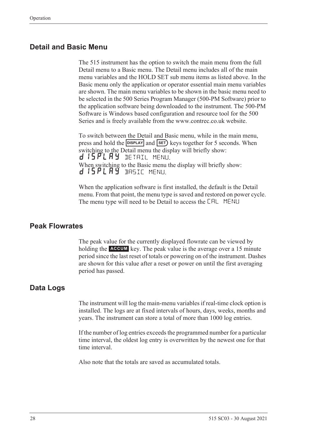#### **Detail and Basic Menu**

The 515 instrument has the option to switch the main menu from the full Detail menu to a Basic menu. The Detail menu includes all of the main menu variables and the HOLD SET sub menu items as listed above. In the Basic menu only the application or operator essential main menu variables are shown. The main menu variables to be shown in the basic menu need to be selected in the 500 Series Program Manager (500-PM Software) prior to the application software being downloaded to the instrument. The 500-PM Software is Windows based configuration and resource tool for the 500 Series and is freely available from the www.contrec.co.uk website.

To switch between the Detail and Basic menu, while in the main menu, press and hold the **DISPLAY** and **SET**) keys together for 5 seconds. When switching to the Detail menu the display will briefly show: d 15 PL A Y DETAIL MENU. When switching to the Basic menu the display will briefly show: d 15PLAY BASIC MENU.

When the application software is first installed, the default is the Detail menu. From that point, the menu type is saved and restored on power cycle. The menu type will need to be Detail to access the CAL MENU

#### **Peak Flowrates**

The peak value for the currently displayed flowrate can be viewed by holding the **ACCUM** key. The peak value is the average over a 15 minute period since the last reset of totals or powering on of the instrument. Dashes are shown for this value after a reset or power on until the first averaging period has passed.

#### <span id="page-37-0"></span>**Data Logs**

The instrument will log the main-menu variables if real-time clock option is installed. The logs are at fixed intervals of hours, days, weeks, months and years. The instrument can store a total of more than 1000 log entries.

If the number of log entries exceeds the programmed number for a particular time interval, the oldest log entry is overwritten by the newest one for that time interval.

Also note that the totals are saved as accumulated totals.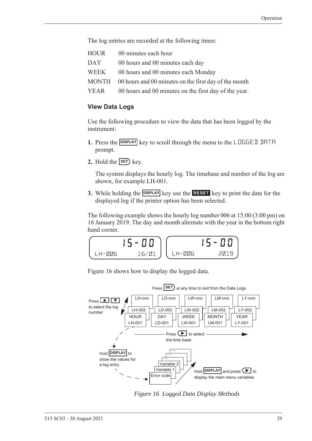The log entries are recorded at the following times:

| HOUR | 00 minutes each hour                                        |
|------|-------------------------------------------------------------|
| DAY  | 00 hours and 00 minutes each day                            |
| WEEK | 00 hours and 00 minutes each Monday                         |
|      | MONTH 00 hours and 00 minutes on the first day of the month |
| YEAR | 00 hours and 00 minutes on the first day of the year.       |

#### **View Data Logs**

Use the following procedure to view the data that has been logged by the instrument:

- 1. Press the **DISPLAY** key to scroll through the menu to the LOGGE I IHTH prompt.
- **2.** Hold the  $\overline{\text{SET}}$  key.

The system displays the hourly log. The timebase and number of the log are shown, for example LH-001.

**3.** While holding the **DISPLAY** key use the **RESET** key to print the data for the displayed log if the printer option has been selected.

The following example shows the hourly log number 006 at 15:00 (3:00 pm) on 16 January 2019. The day and month alternate with the year in the bottom right hand corner.

$$
\begin{array}{|c|c|c|c|}\n\hline\n\text{LH-B06} & \text{15-00} \\
\hline\n\text{LH-B06} & \text{16/01} \\
\hline\n\end{array}\n\quad\n\begin{array}{|c|c|c|}\n\hline\n\text{LH-B06} & \text{15-00} \\
\hline\n\text{LH-B06} & \text{2019}\n\end{array}
$$

[Figure 16](#page-38-0) shows how to display the logged data.



<span id="page-38-0"></span>*Figure 16 Logged Data Display Methods*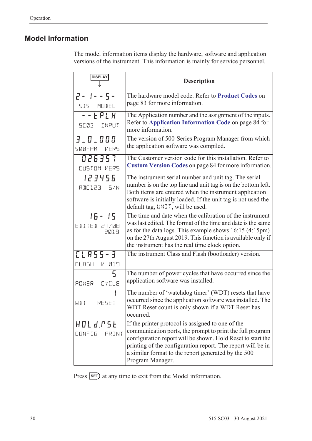### <span id="page-39-1"></span><span id="page-39-0"></span>**Model Information**

The model information items display the hardware, software and application versions of the instrument. This information is mainly for service personnel.

| <b>DISPLAY</b>                       | <b>Description</b>                                                                                                                                                                                                                                                                                                      |
|--------------------------------------|-------------------------------------------------------------------------------------------------------------------------------------------------------------------------------------------------------------------------------------------------------------------------------------------------------------------------|
| $2 - 1 - 5 -$<br>515 MODEL           | The hardware model code. Refer to Product Codes on<br>page 83 for more information.                                                                                                                                                                                                                                     |
| $  EPLH$<br>SC03 INPUT               | The Application number and the assignment of the inputs.<br>Refer to Application Information Code on page 84 for<br>more information.                                                                                                                                                                                   |
| 3.0.000<br>SØØ-PM VERS               | The version of 500-Series Program Manager from which<br>the application software was compiled.                                                                                                                                                                                                                          |
| 026357<br>CUSTOM VERS                | The Customer version code for this installation. Refer to<br><b>Custom Version Codes on page 84 for more information.</b>                                                                                                                                                                                               |
| 123456<br>RBE123 5/N                 | The instrument serial number and unit tag. The serial<br>number is on the top line and unit tag is on the bottom left.<br>Both items are entered when the instrument application<br>software is initially loaded. If the unit tag is not used the<br>default tag, UNIT, will be used.                                   |
| $15 - 15$<br>EDITED 27/08<br>2019    | The time and date when the calibration of the instrument<br>was last edited. The format of the time and date is the same<br>as for the data logs. This example shows $16:15(4:15pm)$<br>on the 27th August 2019. This function is available only if<br>the instrument has the real time clock option.                   |
| <b>CLASS-3</b><br>FLASH<br>$V - 219$ | The instrument Class and Flash (bootloader) version.                                                                                                                                                                                                                                                                    |
| 5<br>POWER EYELE                     | The number of power cycles that have occurred since the<br>application software was installed.                                                                                                                                                                                                                          |
| RESET<br>WIT                         | The number of 'watchdog timer' (WDT) resets that have<br>occurred since the application software was installed. The<br>WDT Reset count is only shown if a WDT Reset has<br>occurred.                                                                                                                                    |
| HOLd.PSE<br><b>CONFIG</b><br>PRINT   | If the printer protocol is assigned to one of the<br>communication ports, the prompt to print the full program<br>configuration report will be shown. Hold Reset to start the<br>printing of the configuration report. The report will be in<br>a similar format to the report generated by the 500<br>Program Manager. |

Press **SET**) at any time to exit from the Model information.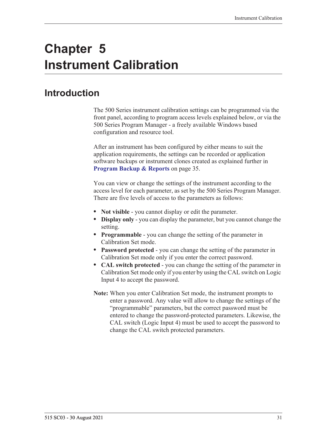# **Chapter 5 Instrument Calibration**

## **Introduction**

The 500 Series instrument calibration settings can be programmed via the front panel, according to program access levels explained below, or via the 500 Series Program Manager - a freely available Windows based configuration and resource tool.

After an instrument has been configured by either means to suit the application requirements, the settings can be recorded or application software backups or instrument clones created as explained further in **[Program Backup & Reports](#page-44-0)** on page 35.

You can view or change the settings of the instrument according to the access level for each parameter, as set by the 500 Series Program Manager. There are five levels of access to the parameters as follows:

- **• Not visible** you cannot display or edit the parameter.
- **• Display only** you can display the parameter, but you cannot change the setting.
- **• Programmable** you can change the setting of the parameter in Calibration Set mode.
- **• Password protected** you can change the setting of the parameter in Calibration Set mode only if you enter the correct password.
- **• CAL switch protected**  you can change the setting of the parameter in Calibration Set mode only if you enter by using the CAL switch on Logic Input 4 to accept the password.
- **Note:** When you enter Calibration Set mode, the instrument prompts to enter a password. Any value will allow to change the settings of the "programmable" parameters, but the correct password must be entered to change the password-protected parameters. Likewise, the CAL switch (Logic Input 4) must be used to accept the password to change the CAL switch protected parameters.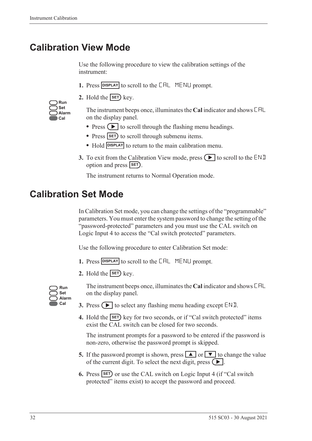## <span id="page-41-0"></span>**Calibration View Mode**

Use the following procedure to view the calibration settings of the instrument:

- 1. Press **DISPLAY** to scroll to the **CAL** MENLI prompt.
- **2.** Hold the  $\overline{\text{SET}}$  key.

| Run   |
|-------|
| Set   |
| Alarm |
| Cal   |

The instrument beeps once, illuminates the **Cal** indicator and shows CAL on the display panel.

- Press  $\left( \blacktriangleright \right)$  to scroll through the flashing menu headings.
- Press **SET**) to scroll through submenu items.
- Hold **DISPLAY** to return to the main calibration menu.
- **3.** To exit from the Calibration View mode, press  $\Box$  to scroll to the END option and press **SET**).

The instrument returns to Normal Operation mode.

## **Calibration Set Mode**

In Calibration Set mode, you can change the settings of the "programmable" parameters. You must enter the system password to change the setting of the "password-protected" parameters and you must use the CAL switch on Logic Input 4 to access the "Cal switch protected" parameters.

Use the following procedure to enter Calibration Set mode:

- **1.** Press **DISPLAY** to scroll to the **CAL** MENLI prompt.
- **2.** Hold the  $\overline{\text{SET}}$  key.



The instrument beeps once, illuminates the **Cal** indicator and shows CAL on the display panel.

- **3.** Press  $\left( \blacktriangleright \right)$  to select any flashing menu heading except END.
- **4.** Hold the **SET** key for two seconds, or if "Cal switch protected" items exist the CAL switch can be closed for two seconds.

The instrument prompts for a password to be entered if the password is non-zero, otherwise the password prompt is skipped.

- **5.** If the password prompt is shown, press  $\boxed{\blacktriangle}$  or  $\boxed{\blacktriangledown}$  to change the value of the current digit. To select the next digit, press  $\left( \blacktriangleright \right)$ .
- **6.** Press **SET** or use the CAL switch on Logic Input 4 (if "Cal switch protected" items exist) to accept the password and proceed.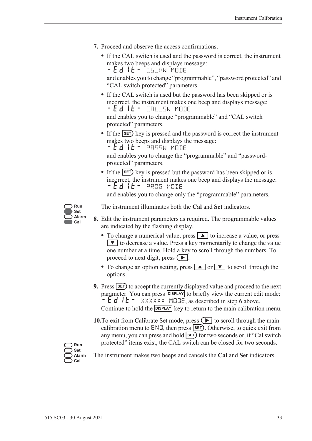- **7.** Proceed and observe the access confirmations.
	- **•** If the CAL switch is used and the password is correct, the instrument makes two beeps and displays message: - Ed IL - CS\_PW MODE

and enables you to change "programmable", "password protected" and "CAL switch protected" parameters.

**•** If the CAL switch is used but the password has been skipped or is incorrect, the instrument makes one beep and displays message: -EDIT- CAL\_SW MODE

and enables you to change "programmable" and "CAL switch protected" parameters.

• If the **SET**) key is pressed and the password is correct the instrument makes two beeps and displays the message:

 $-Ed$  it - PASSW MODE

and enables you to change the "programmable" and "passwordprotected" parameters.

• If the **SET**) key is pressed but the password has been skipped or is incorrect, the instrument makes one beep and displays the message: -EDIT- PROG MODE

and enables you to change only the "programmable" parameters.



The instrument illuminates both the **Cal** and **Set** indicators.

- **8.** Edit the instrument parameters as required. The programmable values are indicated by the flashing display.
	- To change a numerical value, press **A** to increase a value, or press  $\blacktriangledown$  to decrease a value. Press a key momentarily to change the value one number at a time. Hold a key to scroll through the numbers. To proceed to next digit, press  $( \blacktriangleright ).$
	- To change an option setting, press **A** or **V** to scroll through the options.
- **9.** Press **SET** to accept the currently displayed value and proceed to the next parameter. You can press **DISPLAY** to briefly view the current edit mode:  $-Ed$   $E - \frac{2}{x}$  XXXXXX MODE, as described in step 6 above. Continue to hold the **DISPLAY** key to return to the main calibration menu.
- **10.**To exit from Calibrate Set mode, press  $\left( \blacktriangleright \right)$  to scroll through the main calibration menu to  $ENI$ , then press  $SET$ . Otherwise, to quick exit from any menu, you can press and hold **SET** for two seconds or, if "Cal switch protected" items exist, the CAL switch can be closed for two seconds.

**Run Set Alarm Cal**

The instrument makes two beeps and cancels the **Cal** and **Set** indicators.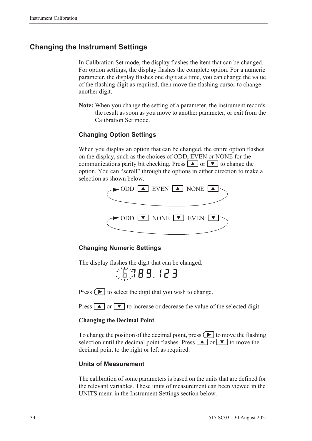### **Changing the Instrument Settings**

In Calibration Set mode, the display flashes the item that can be changed. For option settings, the display flashes the complete option. For a numeric parameter, the display flashes one digit at a time, you can change the value of the flashing digit as required, then move the flashing cursor to change another digit.

**Note:** When you change the setting of a parameter, the instrument records the result as soon as you move to another parameter, or exit from the Calibration Set mode.

#### **Changing Option Settings**

When you display an option that can be changed, the entire option flashes on the display, such as the choices of ODD, EVEN or NONE for the communications parity bit checking. Press  $\boxed{\blacktriangle}$  or  $\boxed{\blacktriangledown}$  to change the option. You can "scroll" through the options in either direction to make a selection as shown below.



#### **Changing Numeric Settings**

The display flashes the digit that can be changed.

第第89.123

Press  $\left( \blacktriangleright \right)$  to select the digit that you wish to change.

Press  $\boxed{\blacktriangle}$  or  $\boxed{\blacktriangledown}$  to increase or decrease the value of the selected digit.

#### **Changing the Decimal Point**

To change the position of the decimal point, press  $\Box$  to move the flashing selection until the decimal point flashes. Press  $\boxed{\blacktriangle}$  or  $\boxed{\blacktriangledown}$  to move the decimal point to the right or left as required.

#### **Units of Measurement**

The calibration of some parameters is based on the units that are defined for the relevant variables. These units of measurement can been viewed in the UNITS menu in the Instrument Settings section below.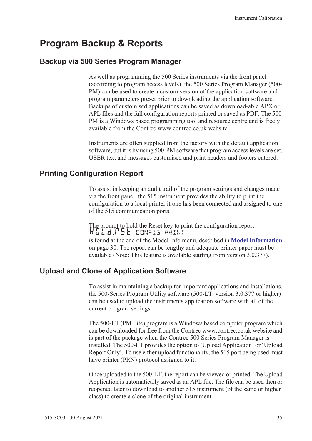## <span id="page-44-0"></span>**Program Backup & Reports**

### **Backup via 500 Series Program Manager**

As well as programming the 500 Series instruments via the front panel (according to program access levels), the 500 Series Program Manager (500- PM) can be used to create a custom version of the application software and program parameters preset prior to downloading the application software. Backups of customised applications can be saved as download-able APX or APL files and the full configuration reports printed or saved as PDF. The 500- PM is a Windows based programming tool and resource centre and is freely available from the Contrec www.contrec.co.uk website.

Instruments are often supplied from the factory with the default application software, but it is by using 500-PM software that program access levels are set, USER text and messages customised and print headers and footers entered.

### **Printing Configuration Report**

To assist in keeping an audit trail of the program settings and changes made via the front panel, the 515 instrument provides the ability to print the configuration to a local printer if one has been connected and assigned to one of the 515 communication ports.

The prompt to hold the Reset key to print the configuration report HOLd:P5E config print is found at the end of the Model Info menu, described in **[Model Information](#page-39-1)** [on page 30](#page-39-1). The report can be lengthy and adequate printer paper must be available (Note: This feature is available starting from version 3.0.377).

### **Upload and Clone of Application Software**

To assist in maintaining a backup for important applications and installations, the 500-Series Program Utility software (500-LT, version 3.0.377 or higher) can be used to upload the instruments application software with all of the current program settings.

The 500-LT (PM Lite) program is a Windows based computer program which can be downloaded for free from the Contrec www.contrec.co.uk website and is part of the package when the Contrec 500 Series Program Manager is installed. The 500-LT provides the option to 'Upload Application' or 'Upload Report Only'. To use either upload functionality, the 515 port being used must have printer (PRN) protocol assigned to it.

Once uploaded to the 500-LT, the report can be viewed or printed. The Upload Application is automatically saved as an APL file. The file can be used then or reopened later to download to another 515 instrument (of the same or higher class) to create a clone of the original instrument.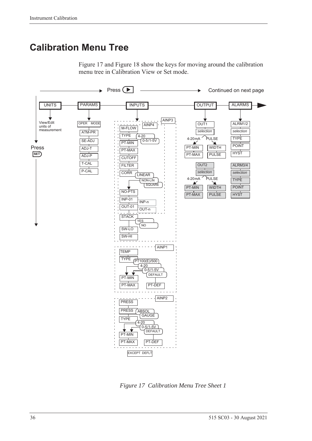## **Calibration Menu Tree**

[Figure 17](#page-45-0) and [Figure 18](#page-46-0) show the keys for moving around the calibration menu tree in Calibration View or Set mode.



<span id="page-45-0"></span>*Figure 17 Calibration Menu Tree Sheet 1*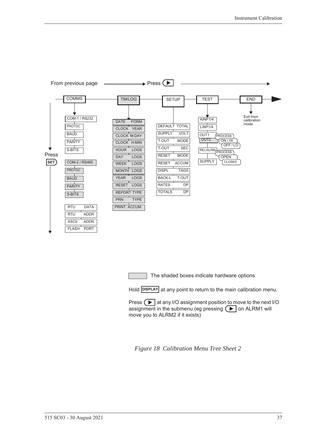

The shaded boxes indicate hardware options

Hold **DISPLAY** at any point to return to the main calibration menu.

Press  $\Box$  at any I/O assignment position to move to the next I/O assignment in the submenu (eg pressing  $\left( \blacktriangleright \right)$  on ALRM1 will move you to ALRM2 if it exists)

<span id="page-46-0"></span>*Figure 18 Calibration Menu Tree Sheet 2*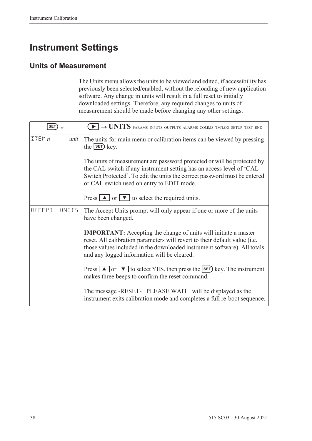## **Instrument Settings**

### **Units of Measurement**

The Units menu allows the units to be viewed and edited, if accessibility has previously been selected/enabled, without the reloading of new application software. Any change in units will result in a full reset to initially downloaded settings. Therefore, any required changes to units of measurement should be made before changing any other settings.

| <b>SET</b>              | $\blacktriangleright$ $\rightarrow$ UNITS params inputs outputs alarms comms tm/log setup test end                                                                                                                                                                              |  |
|-------------------------|---------------------------------------------------------------------------------------------------------------------------------------------------------------------------------------------------------------------------------------------------------------------------------|--|
| ITEMn<br>unit           | The units for main menu or calibration items can be viewed by pressing<br>the $s$ $F$ $k$ ey.                                                                                                                                                                                   |  |
|                         | The units of measurement are password protected or will be protected by<br>the CAL switch if any instrument setting has an access level of 'CAL<br>Switch Protected'. To edit the units the correct password must be entered<br>or CAL switch used on entry to EDIT mode.       |  |
|                         | Press $\boxed{\blacktriangle}$ or $\boxed{\blacktriangledown}$ to select the required units.                                                                                                                                                                                    |  |
| <b>ACCEPT</b><br>LINIT5 | The Accept Units prompt will only appear if one or more of the units<br>have been changed.                                                                                                                                                                                      |  |
|                         | <b>IMPORTANT:</b> Accepting the change of units will initiate a master<br>reset. All calibration parameters will revert to their default value (i.e.<br>those values included in the downloaded instrument software). All totals<br>and any logged information will be cleared. |  |
|                         | Press $\Box$ or $\nabla$ to select YES, then press the <b>SET</b> ) key. The instrument<br>makes three beeps to confirm the reset command.                                                                                                                                      |  |
|                         | The message -RESET- PLEASE WAIT will be displayed as the<br>instrument exits calibration mode and completes a full re-boot sequence.                                                                                                                                            |  |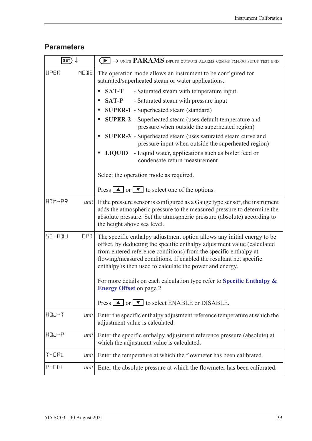### **Parameters**

| SET)              | $\rightarrow$ units PARAMS inputs outputs alarms comms tm/log setup test end                                                                                                                                                                                                                                                                                                                                                                                            |  |
|-------------------|-------------------------------------------------------------------------------------------------------------------------------------------------------------------------------------------------------------------------------------------------------------------------------------------------------------------------------------------------------------------------------------------------------------------------------------------------------------------------|--|
| MODE<br>OPER      | The operation mode allows an instrument to be configured for<br>saturated/superheated steam or water applications.                                                                                                                                                                                                                                                                                                                                                      |  |
|                   | <b>SAT-T</b><br>- Saturated steam with temperature input<br>$\bullet$                                                                                                                                                                                                                                                                                                                                                                                                   |  |
|                   | <b>SAT-P</b><br>- Saturated steam with pressure input<br>$\bullet$                                                                                                                                                                                                                                                                                                                                                                                                      |  |
|                   | <b>SUPER-1</b> - Superheated steam (standard)<br>$\bullet$                                                                                                                                                                                                                                                                                                                                                                                                              |  |
|                   | <b>SUPER-2</b> - Superheated steam (uses default temperature and<br>$\bullet$<br>pressure when outside the superheated region)                                                                                                                                                                                                                                                                                                                                          |  |
|                   | SUPER-3 - Superheated steam (uses saturated steam curve and<br>pressure input when outside the superheated region)                                                                                                                                                                                                                                                                                                                                                      |  |
|                   | - Liquid water, applications such as boiler feed or<br><b>LIQUID</b><br>condensate return measurement                                                                                                                                                                                                                                                                                                                                                                   |  |
|                   | Select the operation mode as required.                                                                                                                                                                                                                                                                                                                                                                                                                                  |  |
|                   | Press $\boxed{\triangle}$ or $\boxed{\triangledown}$ to select one of the options.                                                                                                                                                                                                                                                                                                                                                                                      |  |
| ATM-PR<br>unit    | If the pressure sensor is configured as a Gauge type sensor, the instrument<br>adds the atmospheric pressure to the measured pressure to determine the<br>absolute pressure. Set the atmospheric pressure (absolute) according to<br>the height above sea level.                                                                                                                                                                                                        |  |
| SE-ADJ<br>OPT.    | The specific enthalpy adjustment option allows any initial energy to be<br>offset, by deducting the specific enthalpy adjustment value (calculated<br>from entered reference conditions) from the specific enthalpy at<br>flowing/measured conditions. If enabled the resultant net specific<br>enthalpy is then used to calculate the power and energy.<br>For more details on each calculation type refer to Specific Enthalpy $\&$<br><b>Energy Offset on page 2</b> |  |
|                   | Press $\boxed{\blacktriangle}$ or $\boxed{\blacktriangledown}$ to select ENABLE or DISABLE.                                                                                                                                                                                                                                                                                                                                                                             |  |
| $HJJ-T$<br>unit   | Enter the specific enthalpy adjustment reference temperature at which the<br>adjustment value is calculated.                                                                                                                                                                                                                                                                                                                                                            |  |
| ADJ-P<br>unit     | Enter the specific enthalpy adjustment reference pressure (absolute) at<br>which the adjustment value is calculated.                                                                                                                                                                                                                                                                                                                                                    |  |
| $T - LHL$<br>unit | Enter the temperature at which the flowmeter has been calibrated.                                                                                                                                                                                                                                                                                                                                                                                                       |  |
| $P-CHL$<br>unit   | Enter the absolute pressure at which the flowmeter has been calibrated.                                                                                                                                                                                                                                                                                                                                                                                                 |  |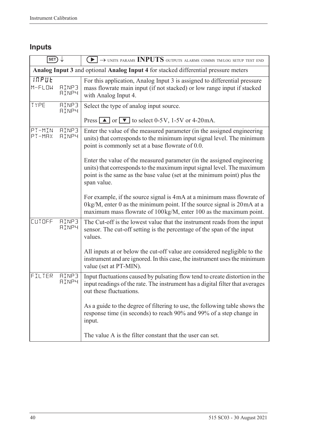## **Inputs**

| SET)              |                              | $\rightarrow$ UNITS PARAMS INPUTS OUTPUTS ALARMS COMMS TM/LOG SETUP TEST END                                                                                                                                                               |  |  |
|-------------------|------------------------------|--------------------------------------------------------------------------------------------------------------------------------------------------------------------------------------------------------------------------------------------|--|--|
|                   |                              | Analog Input 3 and optional Analog Input 4 for stacked differential pressure meters                                                                                                                                                        |  |  |
| INPUE<br>$M-FLUM$ | <b>AINP3</b><br><b>AINP4</b> | For this application, Analog Input 3 is assigned to differential pressure<br>mass flowrate main input (if not stacked) or low range input if stacked<br>with Analog Input 4.                                                               |  |  |
| TYPE              | <b>AINP3</b><br><b>AINP4</b> | Select the type of analog input source.                                                                                                                                                                                                    |  |  |
|                   |                              | Press $\boxed{\blacktriangle}$ or $\boxed{\blacktriangledown}$ to select 0-5V, 1-5V or 4-20mA.                                                                                                                                             |  |  |
| PT-MIN<br>PT-MRX  | <b>AINP3</b><br><b>AINP4</b> | Enter the value of the measured parameter (in the assigned engineering<br>units) that corresponds to the minimum input signal level. The minimum<br>point is commonly set at a base flowrate of 0.0.                                       |  |  |
|                   |                              | Enter the value of the measured parameter (in the assigned engineering<br>units) that corresponds to the maximum input signal level. The maximum<br>point is the same as the base value (set at the minimum point) plus the<br>span value. |  |  |
|                   |                              | For example, if the source signal is 4mA at a minimum mass flowrate of<br>$0\text{kg/M}$ , enter 0 as the minimum point. If the source signal is $20\text{mA}$ at a<br>maximum mass flowrate of 100 kg/M, enter 100 as the maximum point.  |  |  |
| <b>CUTOFF</b>     | <b>AINP3</b><br><b>AINP4</b> | The Cut-off is the lowest value that the instrument reads from the input<br>sensor. The cut-off setting is the percentage of the span of the input<br>values.                                                                              |  |  |
|                   |                              | All inputs at or below the cut-off value are considered negligible to the<br>instrument and are ignored. In this case, the instrument uses the minimum<br>value (set at PT-MIN).                                                           |  |  |
| FILTER            | <b>AINP3</b><br><b>AINP4</b> | Input fluctuations caused by pulsating flow tend to create distortion in the<br>input readings of the rate. The instrument has a digital filter that averages<br>out these fluctuations.                                                   |  |  |
|                   |                              | As a guide to the degree of filtering to use, the following table shows the<br>response time (in seconds) to reach 90% and 99% of a step change in<br>input.                                                                               |  |  |
|                   |                              | The value A is the filter constant that the user can set.                                                                                                                                                                                  |  |  |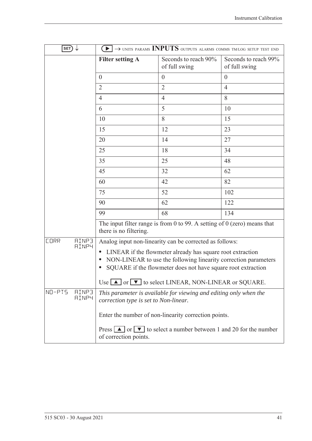| SET)                                        |                                       | $\blacktriangleright$ $\rightarrow$ units params INPUTS outputs alarms comms tm/log setup test end                                                                                                                                                                            |                                       |
|---------------------------------------------|---------------------------------------|-------------------------------------------------------------------------------------------------------------------------------------------------------------------------------------------------------------------------------------------------------------------------------|---------------------------------------|
|                                             | <b>Filter setting A</b>               | Seconds to reach 90%<br>of full swing                                                                                                                                                                                                                                         | Seconds to reach 99%<br>of full swing |
|                                             | $\overline{0}$                        | $\overline{0}$                                                                                                                                                                                                                                                                | $\overline{0}$                        |
|                                             | $\overline{2}$                        | $\overline{2}$                                                                                                                                                                                                                                                                | $\overline{4}$                        |
|                                             | $\overline{4}$                        | $\overline{4}$                                                                                                                                                                                                                                                                | 8                                     |
|                                             | 6                                     | 5                                                                                                                                                                                                                                                                             | 10                                    |
|                                             | 10                                    | 8                                                                                                                                                                                                                                                                             | 15                                    |
|                                             | 15                                    | 12                                                                                                                                                                                                                                                                            | 23                                    |
|                                             | 20                                    | 14                                                                                                                                                                                                                                                                            | 27                                    |
|                                             | 25                                    | 18                                                                                                                                                                                                                                                                            | 34                                    |
|                                             | 35                                    | 25                                                                                                                                                                                                                                                                            | 48                                    |
|                                             | 45                                    | 32                                                                                                                                                                                                                                                                            | 62                                    |
|                                             | 60                                    | 42                                                                                                                                                                                                                                                                            | 82                                    |
|                                             | 75                                    | 52                                                                                                                                                                                                                                                                            | 102                                   |
|                                             | 90                                    | 62                                                                                                                                                                                                                                                                            | 122                                   |
|                                             | 99                                    | 68                                                                                                                                                                                                                                                                            | 134                                   |
|                                             | there is no filtering.                | The input filter range is from 0 to 99. A setting of $0$ (zero) means that                                                                                                                                                                                                    |                                       |
| <b>AINP3</b><br><b>CORR</b><br><b>AINP4</b> |                                       | Analog input non-linearity can be corrected as follows:                                                                                                                                                                                                                       |                                       |
|                                             |                                       | LINEAR if the flowmeter already has square root extraction<br>NON-LINEAR to use the following linearity correction parameters<br>SQUARE if the flowmeter does not have square root extraction<br>Use $\blacksquare$ or $\blacksquare$ to select LINEAR, NON-LINEAR or SQUARE. |                                       |
| $NQ - P T S$<br>RINP3<br><b>AINP4</b>       | correction type is set to Non-linear. | This parameter is available for viewing and editing only when the                                                                                                                                                                                                             |                                       |
|                                             |                                       | Enter the number of non-linearity correction points.                                                                                                                                                                                                                          |                                       |
|                                             | of correction points.                 | Press $\boxed{\blacktriangle}$ or $\boxed{\blacktriangledown}$ to select a number between 1 and 20 for the number                                                                                                                                                             |                                       |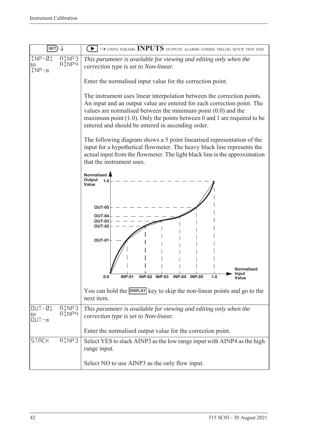| <b>SET</b>                                                          | $\rightarrow$ units params INPUTS outputs alarms comms tm/log setup test end                                                                                                                                                                                                                                                                             |  |  |
|---------------------------------------------------------------------|----------------------------------------------------------------------------------------------------------------------------------------------------------------------------------------------------------------------------------------------------------------------------------------------------------------------------------------------------------|--|--|
| INP-01<br>RINP3<br><b>AINP4</b><br>to<br>$INP - n$                  | This parameter is available for viewing and editing only when the<br>correction type is set to Non-linear.                                                                                                                                                                                                                                               |  |  |
|                                                                     | Enter the normalised input value for the correction point.                                                                                                                                                                                                                                                                                               |  |  |
|                                                                     | The instrument uses linear interpolation between the correction points.<br>An input and an output value are entered for each correction point. The<br>values are normalised between the minimum point $(0.0)$ and the<br>maximum point $(1.0)$ . Only the points between 0 and 1 are required to be<br>entered and should be entered in ascending order. |  |  |
|                                                                     | The following diagram shows a 5 point linearised representation of the<br>input for a hypothetical flowmeter. The heavy black line represents the<br>actual input from the flowmeter. The light black line is the approximation<br>that the instrument uses.                                                                                             |  |  |
|                                                                     | Normalised<br>Output<br>1.0<br>Value                                                                                                                                                                                                                                                                                                                     |  |  |
|                                                                     | <b>OUT-05</b><br>OUT-04                                                                                                                                                                                                                                                                                                                                  |  |  |
|                                                                     | <b>OUT-03</b><br><b>OUT-02</b>                                                                                                                                                                                                                                                                                                                           |  |  |
|                                                                     | <b>OUT-01</b>                                                                                                                                                                                                                                                                                                                                            |  |  |
|                                                                     | Normalised<br>Input<br><b>INP-02 INP-03</b><br>$INP-04$<br><b>INP-05</b><br><b>INP-01</b><br>1.0<br>0.0                                                                                                                                                                                                                                                  |  |  |
|                                                                     | You can hold the <b>DISPLAY</b> key to skip the non-linear points and go to the<br>next item.                                                                                                                                                                                                                                                            |  |  |
| $OUT-21$<br><b>AINP3</b><br><b>AINP4</b><br>to<br>$[[] \cup T - n]$ | This parameter is available for viewing and editing only when the<br>correction type is set to Non-linear.                                                                                                                                                                                                                                               |  |  |
|                                                                     | Enter the normalised output value for the correction point.                                                                                                                                                                                                                                                                                              |  |  |
| <b>AINP3</b><br><b>STACK</b>                                        | Select YES to stack AINP3 as the low range input with AINP4 as the high<br>range input.                                                                                                                                                                                                                                                                  |  |  |
|                                                                     | Select NO to use AINP3 as the only flow input.                                                                                                                                                                                                                                                                                                           |  |  |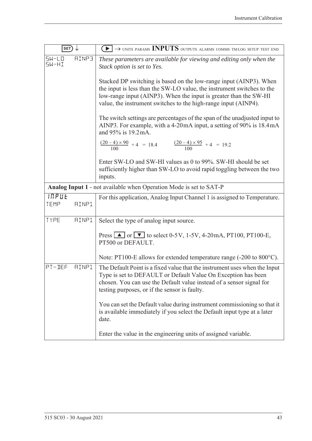| $ $ SET $)$                                                 | $\left(\blacktriangleright\right)\rightarrow$ units params INPUTS outputs alarms comms tm/log setup test end                                                                                                                                                                         |  |
|-------------------------------------------------------------|--------------------------------------------------------------------------------------------------------------------------------------------------------------------------------------------------------------------------------------------------------------------------------------|--|
| <b>AINP3</b><br>$5W - L$ <sup><math>0</math></sup><br>5W-HI | These parameters are available for viewing and editing only when the<br>Stack option is set to Yes.                                                                                                                                                                                  |  |
|                                                             | Stacked DP switching is based on the low-range input (AINP3). When<br>the input is less than the SW-LO value, the instrument switches to the<br>low-range input (AINP3). When the input is greater than the SW-HI<br>value, the instrument switches to the high-range input (AINP4). |  |
|                                                             | The switch settings are percentages of the span of the unadjusted input to<br>AINP3. For example, with a 4-20mA input, a setting of 90% is 18.4mA<br>and 95% is 19.2 mA.                                                                                                             |  |
|                                                             | $\frac{(20-4)\times 90}{100} + 4 = 18.4$ $\frac{(20-4)\times 95}{100} + 4 = 19.2$                                                                                                                                                                                                    |  |
|                                                             | Enter SW-LO and SW-HI values as 0 to 99%. SW-HI should be set<br>sufficiently higher than SW-LO to avoid rapid toggling between the two<br>inputs.                                                                                                                                   |  |
|                                                             | Analog Input 1 - not available when Operation Mode is set to SAT-P                                                                                                                                                                                                                   |  |
| <b>INPUE</b><br>TEMP<br><b>AINP1</b>                        | For this application, Analog Input Channel 1 is assigned to Temperature.                                                                                                                                                                                                             |  |
| TYPE<br><b>AINP1</b>                                        | Select the type of analog input source.                                                                                                                                                                                                                                              |  |
|                                                             | Press $\Box$ or $\nabla$ to select 0-5V, 1-5V, 4-20mA, PT100, PT100-E,<br>PT500 or DEFAULT.                                                                                                                                                                                          |  |
|                                                             | Note: PT100-E allows for extended temperature range (-200 to 800°C).                                                                                                                                                                                                                 |  |
| PT-DEF<br><b>AINP1</b>                                      | The Default Point is a fixed value that the instrument uses when the Input<br>Type is set to DEFAULT or Default Value On Exception has been<br>chosen. You can use the Default value instead of a sensor signal for<br>testing purposes, or if the sensor is faulty.                 |  |
|                                                             | You can set the Default value during instrument commissioning so that it<br>is available immediately if you select the Default input type at a later<br>date.                                                                                                                        |  |
|                                                             | Enter the value in the engineering units of assigned variable.                                                                                                                                                                                                                       |  |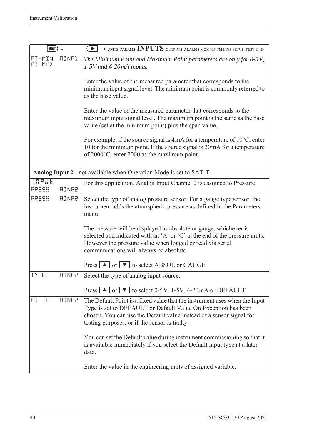| SET)             |              | $\blacktriangleright$ $\rightarrow$ units params INPUTS outputs alarms comms tmlog setup test end                                                                                                                                                                    |
|------------------|--------------|----------------------------------------------------------------------------------------------------------------------------------------------------------------------------------------------------------------------------------------------------------------------|
| PT-MIN<br>PT-MAX | <b>AINP1</b> | The Minimum Point and Maximum Point parameters are only for 0-5V,<br>1-5V and 4-20mA inputs.                                                                                                                                                                         |
|                  |              | Enter the value of the measured parameter that corresponds to the<br>minimum input signal level. The minimum point is commonly referred to<br>as the base value.                                                                                                     |
|                  |              | Enter the value of the measured parameter that corresponds to the<br>maximum input signal level. The maximum point is the same as the base<br>value (set at the minimum point) plus the span value.                                                                  |
|                  |              | For example, if the source signal is 4 mA for a temperature of $10^{\circ}$ C, enter<br>10 for the minimum point. If the source signal is 20 mA for a temperature<br>of $2000$ °C, enter 2000 as the maximum point.                                                  |
|                  |              | Analog Input 2 - not available when Operation Mode is set to SAT-T                                                                                                                                                                                                   |
| INPUE<br>PRESS   | <b>AINP2</b> | For this application, Analog Input Channel 2 is assigned to Pressure.                                                                                                                                                                                                |
| PRESS            | <b>AINP2</b> | Select the type of analog pressure sensor. For a gauge type sensor, the<br>instrument adds the atmospheric pressure as defined in the Parameters<br>menu.                                                                                                            |
|                  |              | The pressure will be displayed as absolute or gauge, whichever is<br>selected and indicated with an 'A' or 'G' at the end of the pressure units.<br>However the pressure value when logged or read via serial<br>communications will always be absolute.             |
|                  |              | Press $\boxed{\blacktriangle}$ or $\boxed{\blacktriangledown}$ to select ABSOL or GAUGE.                                                                                                                                                                             |
| TYPE             | <b>AINP2</b> | Select the type of analog input source.                                                                                                                                                                                                                              |
|                  |              | Press $\Box$ or $\Box$ to select 0-5V, 1-5V, 4-20mA or DEFAULT.                                                                                                                                                                                                      |
| PT-DEF           | <b>AINP2</b> | The Default Point is a fixed value that the instrument uses when the Input<br>Type is set to DEFAULT or Default Value On Exception has been<br>chosen. You can use the Default value instead of a sensor signal for<br>testing purposes, or if the sensor is faulty. |
|                  |              | You can set the Default value during instrument commissioning so that it<br>is available immediately if you select the Default input type at a later<br>date.                                                                                                        |
|                  |              | Enter the value in the engineering units of assigned variable.                                                                                                                                                                                                       |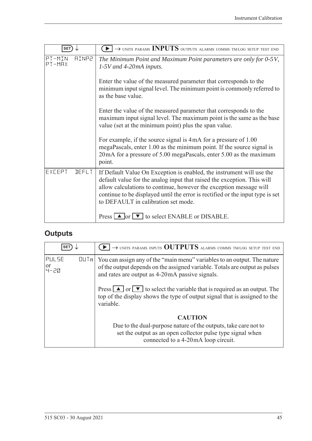| <b>SET</b>                       | $\rightarrow$ UNITS PARAMS INPUTS OUTPUTS ALARMS COMMS TM/LOG SETUP TEST END                                                                                                                                                                                                                                                                    |
|----------------------------------|-------------------------------------------------------------------------------------------------------------------------------------------------------------------------------------------------------------------------------------------------------------------------------------------------------------------------------------------------|
| PT-MIN<br><b>AINP2</b><br>PT-MAX | The Minimum Point and Maximum Point parameters are only for 0-5V,<br>$1-5V$ and 4-20mA inputs.                                                                                                                                                                                                                                                  |
|                                  | Enter the value of the measured parameter that corresponds to the<br>minimum input signal level. The minimum point is commonly referred to<br>as the base value.                                                                                                                                                                                |
|                                  | Enter the value of the measured parameter that corresponds to the<br>maximum input signal level. The maximum point is the same as the base<br>value (set at the minimum point) plus the span value.                                                                                                                                             |
|                                  | For example, if the source signal is 4mA for a pressure of 1.00<br>megaPascals, enter 1.00 as the minimum point. If the source signal is<br>20 mA for a pressure of 5.00 megaPascals, enter 5.00 as the maximum<br>point.                                                                                                                       |
| EXCEPT<br><b>JEFLT</b>           | If Default Value On Exception is enabled, the instrument will use the<br>default value for the analog input that raised the exception. This will<br>allow calculations to continue, however the exception message will<br>continue to be displayed until the error is rectified or the input type is set<br>to DEFAULT in calibration set mode. |
|                                  | Press $\Box$ or $\nabla$ to select ENABLE or DISABLE.                                                                                                                                                                                                                                                                                           |

## **Outputs**

| <b>SET</b>            |      | $\rightarrow$ UNITS PARAMS INPUTS OUTPUTS ALARMS COMMS TM/LOG SETUP TEST END                                                                                                                               |
|-----------------------|------|------------------------------------------------------------------------------------------------------------------------------------------------------------------------------------------------------------|
| PULSE<br> or<br> 닉-근Q | [[]] | You can assign any of the "main menu" variables to an output. The nature<br>of the output depends on the assigned variable. Totals are output as pulses<br>and rates are output as 4-20mA passive signals. |
|                       |      | Press $\Box$ or $\nabla$ to select the variable that is required as an output. The<br>top of the display shows the type of output signal that is assigned to the<br>variable.                              |
|                       |      | <b>CAUTION</b><br>Due to the dual-purpose nature of the outputs, take care not to<br>set the output as an open collector pulse type signal when<br>connected to a 4-20mA loop circuit.                     |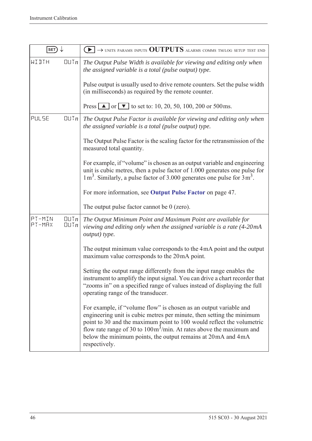| SET)                                   | $\rightarrow$ units params inputs OUTPUTS alarms comms tm/log setup test end<br>$\blacktriangleright$ 1                                                                                                                                                                                                                                                                                         |
|----------------------------------------|-------------------------------------------------------------------------------------------------------------------------------------------------------------------------------------------------------------------------------------------------------------------------------------------------------------------------------------------------------------------------------------------------|
| WIJTH<br>QUTn                          | The Output Pulse Width is available for viewing and editing only when<br>the assigned variable is a total (pulse output) type.                                                                                                                                                                                                                                                                  |
|                                        | Pulse output is usually used to drive remote counters. Set the pulse width<br>(in milliseconds) as required by the remote counter.                                                                                                                                                                                                                                                              |
|                                        | Press $\Box$ or $\Box$ to set to: 10, 20, 50, 100, 200 or 500 ms.                                                                                                                                                                                                                                                                                                                               |
| PULSE<br>QUTn                          | The Output Pulse Factor is available for viewing and editing only when<br>the assigned variable is a total (pulse output) type.                                                                                                                                                                                                                                                                 |
|                                        | The Output Pulse Factor is the scaling factor for the retransmission of the<br>measured total quantity.                                                                                                                                                                                                                                                                                         |
|                                        | For example, if "volume" is chosen as an output variable and engineering<br>unit is cubic metres, then a pulse factor of 1.000 generates one pulse for<br>$1 \text{ m}^3$ . Similarly, a pulse factor of 3.000 generates one pulse for $3 \text{ m}^3$ .                                                                                                                                        |
|                                        | For more information, see Output Pulse Factor on page 47.                                                                                                                                                                                                                                                                                                                                       |
|                                        | The output pulse factor cannot be $0$ (zero).                                                                                                                                                                                                                                                                                                                                                   |
| PT-MIN<br>QUTn<br>PT-MRX<br>$QU$ T $n$ | The Output Minimum Point and Maximum Point are available for<br>viewing and editing only when the assigned variable is a rate (4-20mA<br>output) type.                                                                                                                                                                                                                                          |
|                                        | The output minimum value corresponds to the 4mA point and the output<br>maximum value corresponds to the 20mA point.                                                                                                                                                                                                                                                                            |
|                                        | Setting the output range differently from the input range enables the<br>instrument to amplify the input signal. You can drive a chart recorder that<br>"zooms in" on a specified range of values instead of displaying the full<br>operating range of the transducer.                                                                                                                          |
|                                        | For example, if "volume flow" is chosen as an output variable and<br>engineering unit is cubic metres per minute, then setting the minimum<br>point to 30 and the maximum point to 100 would reflect the volumetric<br>flow rate range of 30 to $100 \text{m}^3/\text{min}$ . At rates above the maximum and<br>below the minimum points, the output remains at 20 mA and 4 mA<br>respectively. |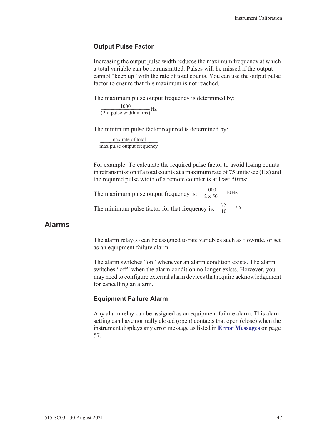#### <span id="page-56-0"></span>**Output Pulse Factor**

Increasing the output pulse width reduces the maximum frequency at which a total variable can be retransmitted. Pulses will be missed if the output cannot "keep up" with the rate of total counts. You can use the output pulse factor to ensure that this maximum is not reached.

The maximum pulse output frequency is determined by:

 $\frac{1000}{(2 \times \text{pulse width in ms)}}$ Hz

The minimum pulse factor required is determined by:

max rate of total max pulse output frequency ------------------------------------------------------------------

For example: To calculate the required pulse factor to avoid losing counts in retransmission if a total counts at a maximum rate of 75 units/sec (Hz) and the required pulse width of a remote counter is at least 50 ms:

The maximum pulse output frequency is:  $\frac{1000}{2 \times 50}$  = 10Hz The minimum pulse factor for that frequency is:  $\frac{75}{10}$  $\frac{73}{10}$  = 7.5

#### **Alarms**

The alarm relay(s) can be assigned to rate variables such as flowrate, or set as an equipment failure alarm.

The alarm switches "on" whenever an alarm condition exists. The alarm switches "off" when the alarm condition no longer exists. However, you may need to configure external alarm devices that require acknowledgement for cancelling an alarm.

#### **Equipment Failure Alarm**

Any alarm relay can be assigned as an equipment failure alarm. This alarm setting can have normally closed (open) contacts that open (close) when the instrument displays any error message as listed in **[Error Messages](#page-66-0)** on page [57.](#page-66-0)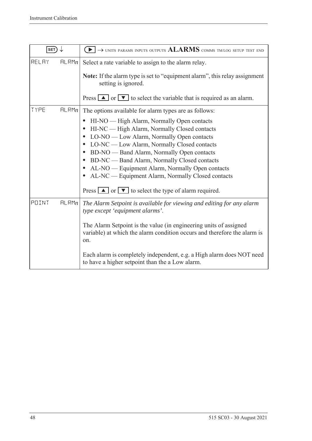| SET)  |       | $\rightarrow$ units params inputs outputs $\rm ALARMS$ comms tm/log setup test end                                                                                                                                                                                                                                                                                                                                                                                                                                                                                                                  |
|-------|-------|-----------------------------------------------------------------------------------------------------------------------------------------------------------------------------------------------------------------------------------------------------------------------------------------------------------------------------------------------------------------------------------------------------------------------------------------------------------------------------------------------------------------------------------------------------------------------------------------------------|
| RELAY | HLRMn | Select a rate variable to assign to the alarm relay.<br><b>Note:</b> If the alarm type is set to "equipment alarm", this relay assignment<br>setting is ignored.<br>Press $\boxed{\blacktriangle}$ or $\boxed{\blacktriangledown}$ to select the variable that is required as an alarm.                                                                                                                                                                                                                                                                                                             |
| TYPE  | HLRMn | The options available for alarm types are as follows:<br>HI-NO — High Alarm, Normally Open contacts<br>HI-NC — High Alarm, Normally Closed contacts<br>$\bullet$<br>LO-NO — Low Alarm, Normally Open contacts<br>$\bullet$<br>LO-NC — Low Alarm, Normally Closed contacts<br>BD-NO — Band Alarm, Normally Open contacts<br>$\bullet$<br>BD-NC — Band Alarm, Normally Closed contacts<br>$\bullet$<br>AL-NO — Equipment Alarm, Normally Open contacts<br>$\bullet$<br>AL-NC — Equipment Alarm, Normally Closed contacts<br>$\bullet$<br>Press $\Box$ or $\Box$ to select the type of alarm required. |
| POINT | HLRMn | The Alarm Setpoint is available for viewing and editing for any alarm<br>type except 'equipment alarms'.<br>The Alarm Setpoint is the value (in engineering units of assigned<br>variable) at which the alarm condition occurs and therefore the alarm is<br>on.<br>Each alarm is completely independent, e.g. a High alarm does NOT need<br>to have a higher setpoint than the a Low alarm.                                                                                                                                                                                                        |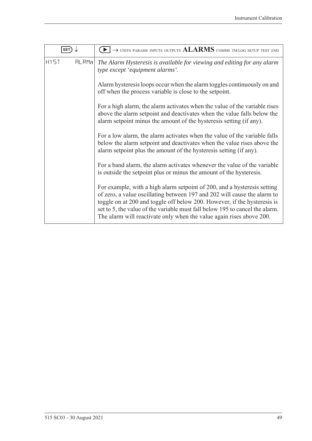| <b>SET</b>           | $\blacktriangleright$ $\rightarrow$ units params inputs outputs $ALARMS$ comms tm/log setup test end                                                                                                                                                                                                                                                                                     |
|----------------------|------------------------------------------------------------------------------------------------------------------------------------------------------------------------------------------------------------------------------------------------------------------------------------------------------------------------------------------------------------------------------------------|
| <b>HY5T</b><br>FLRMn | The Alarm Hysteresis is available for viewing and editing for any alarm<br>type except 'equipment alarms'.                                                                                                                                                                                                                                                                               |
|                      | Alarm hysteresis loops occur when the alarm toggles continuously on and<br>off when the process variable is close to the setpoint.                                                                                                                                                                                                                                                       |
|                      | For a high alarm, the alarm activates when the value of the variable rises<br>above the alarm setpoint and deactivates when the value falls below the<br>alarm setpoint minus the amount of the hysteresis setting (if any).                                                                                                                                                             |
|                      | For a low alarm, the alarm activates when the value of the variable falls<br>below the alarm setpoint and deactivates when the value rises above the<br>alarm setpoint plus the amount of the hysteresis setting (if any).                                                                                                                                                               |
|                      | For a band alarm, the alarm activates whenever the value of the variable<br>is outside the setpoint plus or minus the amount of the hysteresis.                                                                                                                                                                                                                                          |
|                      | For example, with a high alarm setpoint of 200, and a hysteresis setting<br>of zero, a value oscillating between 197 and 202 will cause the alarm to<br>toggle on at 200 and toggle off below 200. However, if the hysteresis is<br>set to 5, the value of the variable must fall below 195 to cancel the alarm.<br>The alarm will reactivate only when the value again rises above 200. |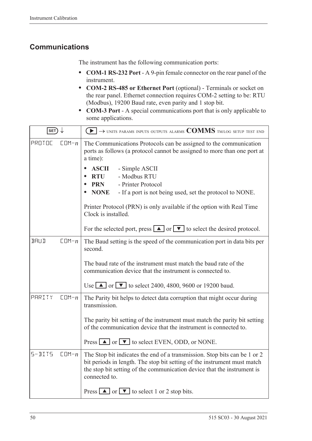### **Communications**

The instrument has the following communication ports:

- **• COM-1 RS-232 Port** A 9-pin female connector on the rear panel of the instrument.
- **• COM-2 RS-485 or Ethernet Port** (optional) Terminals or socket on the rear panel. Ethernet connection requires COM-2 setting to be: RTU (Modbus), 19200 Baud rate, even parity and 1 stop bit.
- **• COM-3 Port** A special communications port that is only applicable to some applications.

| SET)                     | $\left\{ \blacktriangleright\right\} \rightarrow$ units params inputs outputs alarms $\text{COMMS}$ tm/log setup test end                                                                                                                         |
|--------------------------|---------------------------------------------------------------------------------------------------------------------------------------------------------------------------------------------------------------------------------------------------|
| PROTOC<br>$CDM - n$      | The Communications Protocols can be assigned to the communication<br>ports as follows (a protocol cannot be assigned to more than one port at<br>a time):                                                                                         |
|                          | <b>ASCII</b><br>- Simple ASCII<br>- Modbus RTU<br><b>RTU</b><br>- Printer Protocol<br><b>PRN</b><br><b>NONE</b><br>- If a port is not being used, set the protocol to NONE.                                                                       |
|                          | Printer Protocol (PRN) is only available if the option with Real Time<br>Clock is installed.                                                                                                                                                      |
|                          | For the selected port, press $\Box$ or $\Box$ to select the desired protocol.                                                                                                                                                                     |
| <b>BRUD</b><br>$CDM - n$ | The Baud setting is the speed of the communication port in data bits per<br>second.                                                                                                                                                               |
|                          | The baud rate of the instrument must match the baud rate of the<br>communication device that the instrument is connected to.                                                                                                                      |
|                          | Use $\boxed{\blacktriangle}$ or $\boxed{\blacktriangledown}$ to select 2400, 4800, 9600 or 19200 baud.                                                                                                                                            |
| PARITY<br>$CDM - n$      | The Parity bit helps to detect data corruption that might occur during<br>transmission.                                                                                                                                                           |
|                          | The parity bit setting of the instrument must match the parity bit setting<br>of the communication device that the instrument is connected to.                                                                                                    |
|                          | Press $\Box$ or $\nabla$ to select EVEN, ODD, or NONE.                                                                                                                                                                                            |
| $5 - 3115$<br>$CDM - n$  | The Stop bit indicates the end of a transmission. Stop bits can be 1 or 2<br>bit periods in length. The stop bit setting of the instrument must match<br>the stop bit setting of the communication device that the instrument is<br>connected to. |
|                          | Press $\boxed{\blacktriangle}$ or $\boxed{\blacktriangledown}$ to select 1 or 2 stop bits.                                                                                                                                                        |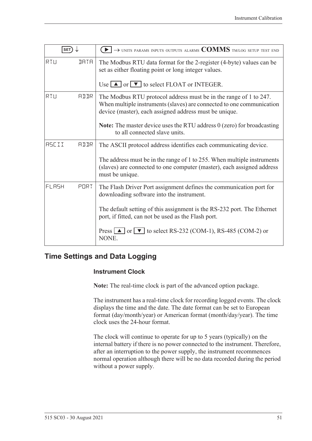| <b>SET</b>   |             | $\rightarrow$ units params inputs outputs alarms $\text{COMMS}$ tm/log setup test end                                                                                                                |
|--------------|-------------|------------------------------------------------------------------------------------------------------------------------------------------------------------------------------------------------------|
| RTU          | <b>JATA</b> | The Modbus RTU data format for the 2-register (4-byte) values can be<br>set as either floating point or long integer values.                                                                         |
|              |             | Use $\Box$ or $\nabla$ to select FLOAT or INTEGER.                                                                                                                                                   |
| RTU          | <b>ALLR</b> | The Modbus RTU protocol address must be in the range of 1 to 247.<br>When multiple instruments (slaves) are connected to one communication<br>device (master), each assigned address must be unique. |
|              |             | <b>Note:</b> The master device uses the RTU address 0 (zero) for broadcasting<br>to all connected slave units.                                                                                       |
| <b>ASCII</b> | AIIR        | The ASCII protocol address identifies each communicating device.                                                                                                                                     |
|              |             | The address must be in the range of 1 to 255. When multiple instruments<br>(slaves) are connected to one computer (master), each assigned address<br>must be unique.                                 |
| FLASH        | PORT        | The Flash Driver Port assignment defines the communication port for<br>downloading software into the instrument.                                                                                     |
|              |             | The default setting of this assignment is the RS-232 port. The Ethernet<br>port, if fitted, can not be used as the Flash port.                                                                       |
|              |             | Press $\Box$ or $\nabla$ to select RS-232 (COM-1), RS-485 (COM-2) or<br>NONE.                                                                                                                        |

### **Time Settings and Data Logging**

#### **Instrument Clock**

**Note:** The real-time clock is part of the advanced option package.

The instrument has a real-time clock for recording logged events. The clock displays the time and the date. The date format can be set to European format (day/month/year) or American format (month/day/year). The time clock uses the 24-hour format.

The clock will continue to operate for up to 5 years (typically) on the internal battery if there is no power connected to the instrument. Therefore, after an interruption to the power supply, the instrument recommences normal operation although there will be no data recorded during the period without a power supply.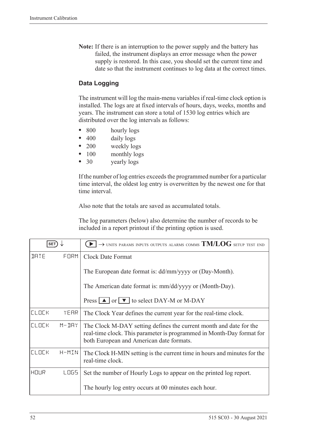**Note:** If there is an interruption to the power supply and the battery has failed, the instrument displays an error message when the power supply is restored. In this case, you should set the current time and date so that the instrument continues to log data at the correct times.

#### **Data Logging**

The instrument will log the main-menu variables if real-time clock option is installed. The logs are at fixed intervals of hours, days, weeks, months and years. The instrument can store a total of 1530 log entries which are distributed over the log intervals as follows:

- 800 hourly logs
- 400 daily logs
- 200 weekly logs
- 100 monthly logs
- 30 yearly logs

If the number of log entries exceeds the programmed number for a particular time interval, the oldest log entry is overwritten by the newest one for that time interval.

Also note that the totals are saved as accumulated totals.

The log parameters (below) also determine the number of records to be included in a report printout if the printing option is used.

| <b>SET</b>   |           | $\rightarrow$ units params inputs outputs alarms comms $\mathrm{TM}/\mathrm{LOG}$ setup test end                                                                                        |
|--------------|-----------|-----------------------------------------------------------------------------------------------------------------------------------------------------------------------------------------|
| <b>JATE</b>  | FORM      | <b>Clock Date Format</b>                                                                                                                                                                |
|              |           | The European date format is: dd/mm/yyyy or (Day-Month).                                                                                                                                 |
|              |           | The American date format is: mm/dd/yyyy or (Month-Day).                                                                                                                                 |
|              |           | Press $\boxed{\blacktriangle}$ or $\boxed{\blacktriangledown}$ to select DAY-M or M-DAY                                                                                                 |
| <b>CLOCK</b> | YEAR      | The Clock Year defines the current year for the real-time clock.                                                                                                                        |
| <b>CLOCK</b> | $M - JHY$ | The Clock M-DAY setting defines the current month and date for the<br>real-time clock. This parameter is programmed in Month-Day format for<br>both European and American date formats. |
| <b>ELDEK</b> | H-MIN     | The Clock H-MIN setting is the current time in hours and minutes for the<br>real-time clock.                                                                                            |
| HOUR         | LOGS.     | Set the number of Hourly Logs to appear on the printed log report.                                                                                                                      |
|              |           | The hourly log entry occurs at 00 minutes each hour.                                                                                                                                    |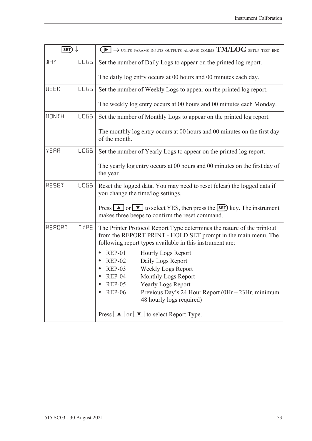| SET)         |             | $\blacktriangleright$ $\rightarrow$ units params inputs outputs alarms comms TM/LOG setup test end                                                                                                                                                                                                                    |
|--------------|-------------|-----------------------------------------------------------------------------------------------------------------------------------------------------------------------------------------------------------------------------------------------------------------------------------------------------------------------|
| IJΑY         | <b>LOGS</b> | Set the number of Daily Logs to appear on the printed log report.                                                                                                                                                                                                                                                     |
|              |             | The daily log entry occurs at 00 hours and 00 minutes each day.                                                                                                                                                                                                                                                       |
| <b>WEEK</b>  | <b>LOGS</b> | Set the number of Weekly Logs to appear on the printed log report.                                                                                                                                                                                                                                                    |
|              |             | The weekly log entry occurs at 00 hours and 00 minutes each Monday.                                                                                                                                                                                                                                                   |
| <b>MONTH</b> | LO65        | Set the number of Monthly Logs to appear on the printed log report.                                                                                                                                                                                                                                                   |
|              |             | The monthly log entry occurs at 00 hours and 00 minutes on the first day<br>of the month.                                                                                                                                                                                                                             |
| YEAR         | LO65        | Set the number of Yearly Logs to appear on the printed log report.                                                                                                                                                                                                                                                    |
|              |             | The yearly log entry occurs at 00 hours and 00 minutes on the first day of<br>the year.                                                                                                                                                                                                                               |
| RESET        | <b>LOGS</b> | Reset the logged data. You may need to reset (clear) the logged data if<br>you change the time/log settings.                                                                                                                                                                                                          |
|              |             | Press $\Box$ or $\nabla$ to select YES, then press the <b>SET</b> ) key. The instrument<br>makes three beeps to confirm the reset command.                                                                                                                                                                            |
| REPORT       | TYPE        | The Printer Protocol Report Type determines the nature of the printout<br>from the REPORT PRINT - HOLD.SET prompt in the main menu. The<br>following report types available in this instrument are:                                                                                                                   |
|              |             | $REP-01$<br><b>Hourly Logs Report</b><br>$\bullet$<br>Daily Logs Report<br><b>REP-02</b><br><b>Weekly Logs Report</b><br>$REP-03$<br>Monthly Logs Report<br>$REP-04$<br><b>REP-05</b><br><b>Yearly Logs Report</b><br><b>REP-06</b><br>Previous Day's 24 Hour Report (0Hr - 23Hr, minimum<br>48 hourly logs required) |
|              |             | Press $\boxed{\blacktriangle}$ or $\boxed{\blacktriangledown}$ to select Report Type.                                                                                                                                                                                                                                 |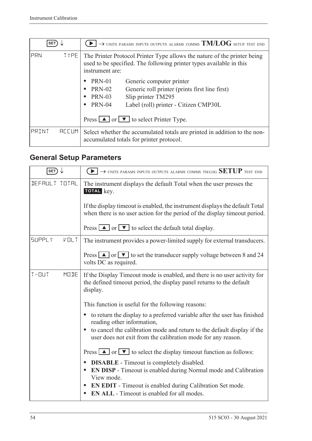| <b>SET</b> |              | $\rightarrow$ units params inputs outputs alarms comms $\mathrm{TM}/\mathrm{LOG}$ setup test end                                                                   |
|------------|--------------|--------------------------------------------------------------------------------------------------------------------------------------------------------------------|
| PRN        | <b>TYPE</b>  | The Printer Protocol Printer Type allows the nature of the printer being<br>used to be specified. The following printer types available in this<br>instrument are: |
|            |              | PRN-01<br>Generic computer printer                                                                                                                                 |
|            |              | <b>PRN-02</b><br>Generic roll printer (prints first line first)<br>$\bullet$                                                                                       |
|            |              | Slip printer TM295<br><b>PRN-03</b><br>٠                                                                                                                           |
|            |              | <b>PRN-04</b><br>Label (roll) printer - Citizen CMP30L<br>$\bullet$                                                                                                |
|            |              | Press $\boxed{\blacktriangle}$ or $\boxed{\blacktriangledown}$ to select Printer Type.                                                                             |
| PRINT      | <b>ACCUM</b> | Select whether the accumulated totals are printed in addition to the non-<br>accumulated totals for printer protocol.                                              |

## <span id="page-63-0"></span>**General Setup Parameters**

| SET)                             | $\rightarrow$ units params inputs outputs alarms comms tm/log $\operatorname{SETUP}$ test end                                                                      |
|----------------------------------|--------------------------------------------------------------------------------------------------------------------------------------------------------------------|
| DEFAULT TOTAL                    | The instrument displays the default Total when the user presses the<br>TOTAL key.                                                                                  |
|                                  | If the display timeout is enabled, the instrument displays the default Total<br>when there is no user action for the period of the display time out period.        |
|                                  | Press $\boxed{\blacktriangle}$ or $\boxed{\blacktriangledown}$ to select the default total display.                                                                |
| <b>SUPPLY</b><br>$V \square L$ T | The instrument provides a power-limited supply for external transducers.                                                                                           |
|                                  | Press $\boxed{\blacktriangle}$ or $\boxed{\blacktriangledown}$ to set the transducer supply voltage between 8 and 24<br>volts DC as required.                      |
| $T - 11T$<br>MODE                | If the Display Timeout mode is enabled, and there is no user activity for<br>the defined timeout period, the display panel returns to the default<br>display.      |
|                                  | This function is useful for the following reasons:                                                                                                                 |
|                                  | to return the display to a preferred variable after the user has finished<br>$\bullet$<br>reading other information,                                               |
|                                  | to cancel the calibration mode and return to the default display if the<br>user does not exit from the calibration mode for any reason.                            |
|                                  | Press $\boxed{\blacktriangle}$ or $\boxed{\blacktriangledown}$ to select the display timeout function as follows:                                                  |
|                                  | <b>DISABLE</b> - Timeout is completely disabled.<br>$\bullet$<br><b>EN DISP</b> - Timeout is enabled during Normal mode and Calibration<br>$\bullet$<br>View mode. |
|                                  | <b>EN EDIT</b> - Timeout is enabled during Calibration Set mode.<br>$\bullet$<br><b>EN ALL</b> - Timeout is enabled for all modes.                                 |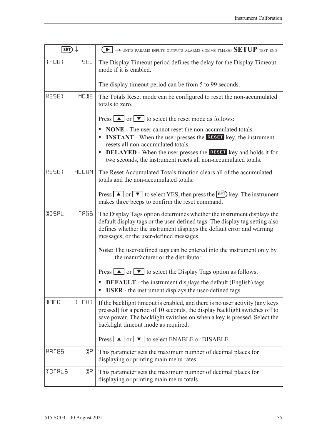| SET)          |              | $\textcolor{red}{\blacktriangleright} \rightarrow$ units params inputs outputs alarms comms tm/log $\text{SETUP}$ test end                                                                                                                                                                                                             |
|---------------|--------------|----------------------------------------------------------------------------------------------------------------------------------------------------------------------------------------------------------------------------------------------------------------------------------------------------------------------------------------|
| $T - 11T$     | <b>SEC</b>   | The Display Timeout period defines the delay for the Display Timeout<br>mode if it is enabled.                                                                                                                                                                                                                                         |
|               |              | The display timeout period can be from 5 to 99 seconds.                                                                                                                                                                                                                                                                                |
| RESET         | MODE         | The Totals Reset mode can be configured to reset the non-accumulated<br>totals to zero.                                                                                                                                                                                                                                                |
|               |              | Press $\boxed{\blacktriangle}$ or $\boxed{\blacktriangledown}$ to select the reset mode as follows:                                                                                                                                                                                                                                    |
|               |              | <b>NONE</b> - The user cannot reset the non-accumulated totals.<br><b>INSTANT</b> - When the user presses the <b>RESET</b> key, the instrument<br>resets all non-accumulated totals.<br><b>DELAYED</b> - When the user presses the <b>RESET</b> key and holds it for<br>two seconds, the instrument resets all non-accumulated totals. |
| RESET         | <b>REEUM</b> | The Reset Accumulated Totals function clears all of the accumulated                                                                                                                                                                                                                                                                    |
|               |              | totals and the non-accumulated totals.                                                                                                                                                                                                                                                                                                 |
|               |              | Press $\Box$ or $\nabla$ to select YES, then press the <b>SET</b> ) key. The instrument<br>makes three beeps to confirm the reset command.                                                                                                                                                                                             |
| <b>IISPL</b>  | <b>TRG5</b>  | The Display Tags option determines whether the instrument displays the<br>default display tags or the user-defined tags. The display tag setting also<br>defines whether the instrument displays the default error and warning<br>messages, or the user-defined messages.                                                              |
|               |              | Note: The user-defined tags can be entered into the instrument only by<br>the manufacturer or the distributor.                                                                                                                                                                                                                         |
|               |              | Press $\Delta$ or $\nabla$ to select the Display Tags option as follows:                                                                                                                                                                                                                                                               |
|               |              | <b>DEFAULT</b> - the instrument displays the default (English) tags<br>USER - the instrument displays the user-defined tags.                                                                                                                                                                                                           |
| $B H L K - L$ | $T - 11T$    | If the backlight time out is enabled, and there is no user activity (any keys<br>pressed) for a period of 10 seconds, the display backlight switches off to<br>save power. The backlight switches on when a key is pressed. Select the<br>backlight timeout mode as required.                                                          |
|               |              | Press $\boxed{\blacktriangle}$ or $\boxed{\blacktriangledown}$ to select ENABLE or DISABLE.                                                                                                                                                                                                                                            |
| RATES         | IJΡ          | This parameter sets the maximum number of decimal places for<br>displaying or printing main menu rates.                                                                                                                                                                                                                                |
| TOTALS        | ηp           | This parameter sets the maximum number of decimal places for<br>displaying or printing main menu totals.                                                                                                                                                                                                                               |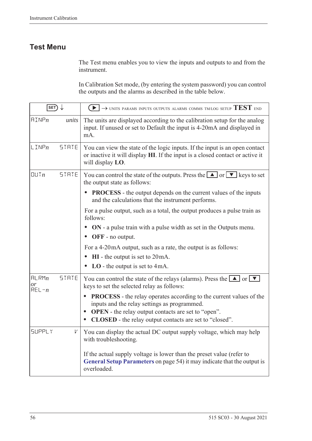### **Test Menu**

The Test menu enables you to view the inputs and outputs to and from the instrument.

In Calibration Set mode, (by entering the system password) you can control the outputs and the alarms as described in the table below.

| $\overline{\text{SET}}$  |              | $\blacktriangleright$ $\blacktriangleright$ UNITS PARAMS INPUTS OUTPUTS ALARMS COMMS TM/LOG SETUP $\text{TEST}$ end                                                                                                                                              |
|--------------------------|--------------|------------------------------------------------------------------------------------------------------------------------------------------------------------------------------------------------------------------------------------------------------------------|
| $\text{HIMP}_n$          | units        | The units are displayed according to the calibration setup for the analog<br>input. If unused or set to Default the input is 4-20mA and displayed in<br>mA.                                                                                                      |
| $L$ INP $n$              | <b>STRTE</b> | You can view the state of the logic inputs. If the input is an open contact<br>or inactive it will display HI. If the input is a closed contact or active it<br>will display LO.                                                                                 |
| UUTn                     | <b>STRTE</b> | You can control the state of the outputs. Press the $\Box$ or $\nabla$ keys to set<br>the output state as follows:                                                                                                                                               |
|                          |              | <b>PROCESS</b> - the output depends on the current values of the inputs<br>and the calculations that the instrument performs.                                                                                                                                    |
|                          |              | For a pulse output, such as a total, the output produces a pulse train as<br>follows:                                                                                                                                                                            |
|                          |              | ON - a pulse train with a pulse width as set in the Outputs menu.<br>OFF - no output.                                                                                                                                                                            |
|                          |              | For a 4-20mA output, such as a rate, the output is as follows:                                                                                                                                                                                                   |
|                          |              | $HI$ - the output is set to $20mA$ .                                                                                                                                                                                                                             |
|                          |              | $LO$ - the output is set to 4mA.                                                                                                                                                                                                                                 |
| HLRMn<br>or<br>$REL - n$ | <b>STRTE</b> | You can control the state of the relays (alarms). Press the $\boxed{\blacktriangle}$ or $\boxed{\blacktriangledown}$<br>keys to set the selected relay as follows:                                                                                               |
|                          |              | <b>PROCESS</b> - the relay operates according to the current values of the<br>inputs and the relay settings as programmed.<br><b>OPEN</b> - the relay output contacts are set to "open".<br>$\bullet$<br>CLOSED - the relay output contacts are set to "closed". |
| <b>SUPPLY</b>            | V            | You can display the actual DC output supply voltage, which may help<br>with troubleshooting.                                                                                                                                                                     |
|                          |              | If the actual supply voltage is lower than the preset value (refer to<br>General Setup Parameters on page 54) it may indicate that the output is<br>overloaded.                                                                                                  |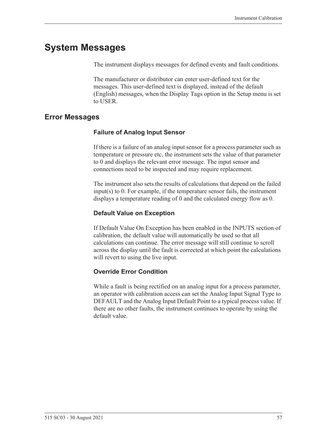## **System Messages**

The instrument displays messages for defined events and fault conditions.

The manufacturer or distributor can enter user-defined text for the messages. This user-defined text is displayed, instead of the default (English) messages, when the Display Tags option in the Setup menu is set to USER.

### <span id="page-66-0"></span>**Error Messages**

#### **Failure of Analog Input Sensor**

If there is a failure of an analog input sensor for a process parameter such as temperature or pressure etc, the instrument sets the value of that parameter to 0 and displays the relevant error message. The input sensor and connections need to be inspected and may require replacement.

The instrument also sets the results of calculations that depend on the failed input(s) to 0. For example, if the temperature sensor fails, the instrument displays a temperature reading of 0 and the calculated energy flow as 0.

#### **Default Value on Exception**

If Default Value On Exception has been enabled in the INPUTS section of calibration, the default value will automatically be used so that all calculations can continue. The error message will still continue to scroll across the display until the fault is corrected at which point the calculations will revert to using the live input.

#### **Override Error Condition**

While a fault is being rectified on an analog input for a process parameter, an operator with calibration access can set the Analog Input Signal Type to DEFAULT and the Analog Input Default Point to a typical process value. If there are no other faults, the instrument continues to operate by using the default value.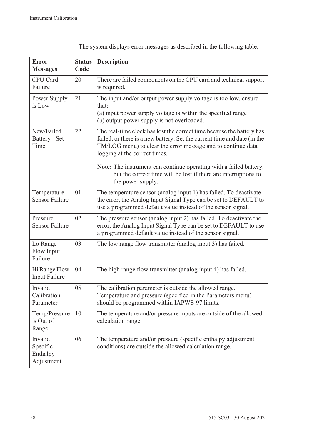| <b>Error</b><br><b>Messages</b>               | <b>Status</b><br>Code | <b>Description</b>                                                                                                                                                                                                                                 |
|-----------------------------------------------|-----------------------|----------------------------------------------------------------------------------------------------------------------------------------------------------------------------------------------------------------------------------------------------|
| CPU Card<br>Failure                           | 20                    | There are failed components on the CPU card and technical support<br>is required.                                                                                                                                                                  |
| Power Supply<br>is Low                        | 21                    | The input and/or output power supply voltage is too low, ensure<br>that:<br>(a) input power supply voltage is within the specified range<br>(b) output power supply is not overloaded.                                                             |
| New/Failed<br>Battery - Set<br>Time           | 22                    | The real-time clock has lost the correct time because the battery has<br>failed, or there is a new battery. Set the current time and date (in the<br>TM/LOG menu) to clear the error message and to continue data<br>logging at the correct times. |
|                                               |                       | Note: The instrument can continue operating with a failed battery,<br>but the correct time will be lost if there are interruptions to<br>the power supply.                                                                                         |
| Temperature<br><b>Sensor Failure</b>          | 01                    | The temperature sensor (analog input 1) has failed. To deactivate<br>the error, the Analog Input Signal Type can be set to DEFAULT to<br>use a programmed default value instead of the sensor signal.                                              |
| Pressure<br><b>Sensor Failure</b>             | 02                    | The pressure sensor (analog input 2) has failed. To deactivate the<br>error, the Analog Input Signal Type can be set to DEFAULT to use<br>a programmed default value instead of the sensor signal.                                                 |
| Lo Range<br>Flow Input<br>Failure             | 03                    | The low range flow transmitter (analog input 3) has failed.                                                                                                                                                                                        |
| Hi Range Flow<br><b>Input Failure</b>         | 04                    | The high range flow transmitter (analog input 4) has failed.                                                                                                                                                                                       |
| Invalid<br>Calibration<br>Parameter           | 05                    | The calibration parameter is outside the allowed range.<br>Temperature and pressure (specified in the Parameters menu)<br>should be programmed within IAPWS-97 limits.                                                                             |
| Temp/Pressure<br>is Out of<br>Range           | 10                    | The temperature and/or pressure inputs are outside of the allowed<br>calculation range.                                                                                                                                                            |
| Invalid<br>Specific<br>Enthalpy<br>Adjustment | 06                    | The temperature and/or pressure (specific enthalpy adjustment<br>conditions) are outside the allowed calculation range.                                                                                                                            |

The system displays error messages as described in the following table: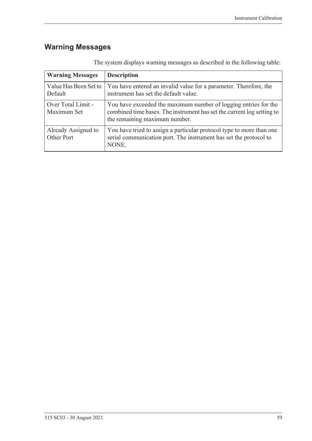## **Warning Messages**

| <b>Warning Messages</b>           | <b>Description</b>                                                                                                                                                         |
|-----------------------------------|----------------------------------------------------------------------------------------------------------------------------------------------------------------------------|
| Value Has Been Set to<br>Default  | You have entered an invalid value for a parameter. Therefore, the<br>instrument has set the default value.                                                                 |
| Over Total Limit -<br>Maximum Set | You have exceeded the maximum number of logging entries for the<br>combined time bases. The instrument has set the current log setting to<br>the remaining maximum number. |
| Already Assigned to<br>Other Port | You have tried to assign a particular protocol type to more than one<br>serial communication port. The instrument has set the protocol to<br>NONE.                         |

The system displays warning messages as described in the following table: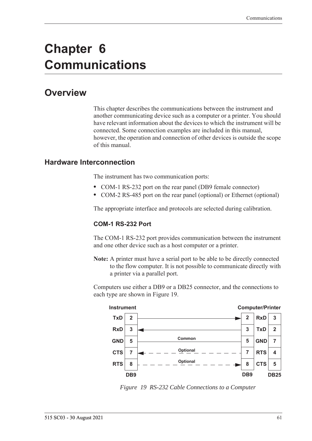# **Chapter 6 Communications**

## **Overview**

This chapter describes the communications between the instrument and another communicating device such as a computer or a printer. You should have relevant information about the devices to which the instrument will be connected. Some connection examples are included in this manual, however, the operation and connection of other devices is outside the scope of this manual.

#### **Hardware Interconnection**

The instrument has two communication ports:

- **•** COM-1 RS-232 port on the rear panel (DB9 female connector)
- **•** COM-2 RS-485 port on the rear panel (optional) or Ethernet (optional)

The appropriate interface and protocols are selected during calibration.

#### **COM-1 RS-232 Port**

The COM-1 RS-232 port provides communication between the instrument and one other device such as a host computer or a printer.

**Note:** A printer must have a serial port to be able to be directly connected to the flow computer. It is not possible to communicate directly with a printer via a parallel port.

Computers use either a DB9 or a DB25 connector, and the connections to each type are shown in [Figure 19.](#page-70-0)



<span id="page-70-0"></span>*Figure 19 RS-232 Cable Connections to a Computer*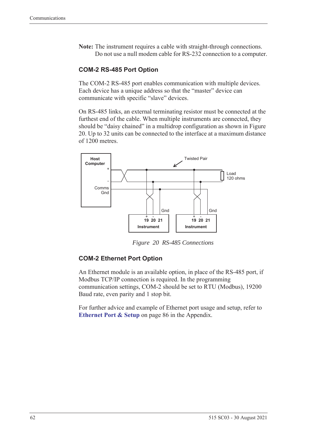**Note:** The instrument requires a cable with straight-through connections. Do not use a null modem cable for RS-232 connection to a computer.

#### **COM-2 RS-485 Port Option**

The COM-2 RS-485 port enables communication with multiple devices. Each device has a unique address so that the "master" device can communicate with specific "slave" devices.

On RS-485 links, an external terminating resistor must be connected at the furthest end of the cable. When multiple instruments are connected, they should be "daisy chained" in a multidrop configuration as shown in Figure [20](#page-71-0). Up to 32 units can be connected to the interface at a maximum distance of 1200 metres.



*Figure 20 RS-485 Connections*

#### <span id="page-71-0"></span>**COM-2 Ethernet Port Option**

An Ethernet module is an available option, in place of the RS-485 port, if Modbus TCP/IP connection is required. In the programming communication settings, COM-2 should be set to RTU (Modbus), 19200 Baud rate, even parity and 1 stop bit.

For further advice and example of Ethernet port usage and setup, refer to **[Ethernet Port & Setup](#page-95-0)** on page 86 in the Appendix.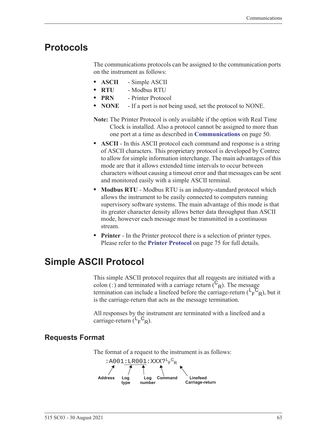# **Protocols**

<span id="page-72-1"></span>The communications protocols can be assigned to the communication ports on the instrument as follows:

- **• ASCII** Simple ASCII
- **• RTU** Modbus RTU
- **• PRN** Printer Protocol
- **• NONE** If a port is not being used, set the protocol to NONE.
- **Note:** The Printer Protocol is only available if the option with Real Time Clock is installed. Also a protocol cannot be assigned to more than one port at a time as described in **[Communications](#page-59-0)** on page 50.
- **• ASCII** In this ASCII protocol each command and response is a string of ASCII characters. This proprietary protocol is developed by Contrec to allow for simple information interchange. The main advantages of this mode are that it allows extended time intervals to occur between characters without causing a timeout error and that messages can be sent and monitored easily with a simple ASCII terminal.
- **• Modbus RTU** Modbus RTU is an industry-standard protocol which allows the instrument to be easily connected to computers running supervisory software systems. The main advantage of this mode is that its greater character density allows better data throughput than ASCII mode, however each message must be transmitted in a continuous stream.
- <span id="page-72-0"></span>**• Printer** - In the Printer protocol there is a selection of printer types. Please refer to the **[Printer Protocol](#page-84-0)** on page 75 for full details.

# **Simple ASCII Protocol**

This simple ASCII protocol requires that all requests are initiated with a colon (:) and terminated with a carriage return  $\binom{C_R}{R}$ . The message termination can include a linefeed before the carriage-return  $(\mathsf{L}_\mathsf{F}^\mathsf{C}_{\mathsf{R}})$ , but it is the carriage-return that acts as the message termination.

<span id="page-72-2"></span>All responses by the instrument are terminated with a linefeed and a carriage-return  $(L_F^C_R)$ .

# **Requests Format**

The format of a request to the instrument is as follows:

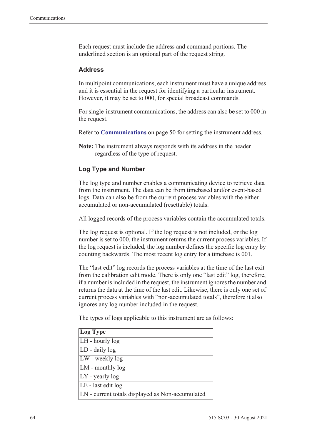Each request must include the address and command portions. The underlined section is an optional part of the request string.

#### <span id="page-73-0"></span>**Address**

In multipoint communications, each instrument must have a unique address and it is essential in the request for identifying a particular instrument. However, it may be set to 000, for special broadcast commands.

For single-instrument communications, the address can also be set to 000 in the request.

Refer to **[Communications](#page-59-0)** on page 50 for setting the instrument address.

**Note:** The instrument always responds with its address in the header regardless of the type of request.

#### **Log Type and Number**

The log type and number enables a communicating device to retrieve data from the instrument. The data can be from timebased and/or event-based logs. Data can also be from the current process variables with the either accumulated or non-accumulated (resettable) totals.

All logged records of the process variables contain the accumulated totals.

The log request is optional. If the log request is not included, or the log number is set to 000, the instrument returns the current process variables. If the log request is included, the log number defines the specific log entry by counting backwards. The most recent log entry for a timebase is 001.

The "last edit" log records the process variables at the time of the last exit from the calibration edit mode. There is only one "last edit" log, therefore, if a number is included in the request, the instrument ignores the number and returns the data at the time of the last edit. Likewise, there is only one set of current process variables with "non-accumulated totals", therefore it also ignores any log number included in the request.

The types of logs applicable to this instrument are as follows:

| Log Type                                         |
|--------------------------------------------------|
| LH - hourly log                                  |
| LD - daily log                                   |
| LW - weekly log                                  |
| LM - monthly log                                 |
| $LY$ - yearly log                                |
| LE - last edit log                               |
| LN - current totals displayed as Non-accumulated |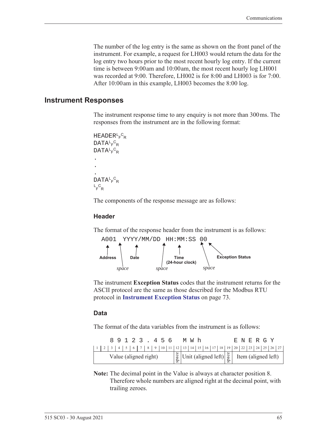The number of the log entry is the same as shown on the front panel of the instrument. For example, a request for LH003 would return the data for the log entry two hours prior to the most recent hourly log entry. If the current time is between 9:00 am and 10:00 am, the most recent hourly log LH001 was recorded at 9:00. Therefore, LH002 is for 8:00 and LH003 is for 7:00. After 10:00 am in this example, LH003 becomes the 8:00 log.

#### **Instrument Responses**

<span id="page-74-1"></span>The instrument response time to any enquiry is not more than 300 ms. The responses from the instrument are in the following format:

```
HEADER<sup>L</sup>F<sup>C</sup>R
DATA<sup>L</sup>F<sup>C</sup>R
DATA<sup>L</sup>F<sup>C</sup>R
.
.
.
DATA<sup>L</sup>F<sup>C</sup>R
L_F^C<sub>R</sub>
```
The components of the response message are as follows:

#### **Header**

The format of the response header from the instrument is as follows:



<span id="page-74-0"></span>The instrument **Exception Status** codes that the instrument returns for the ASCII protocol are the same as those described for the Modbus RTU protocol in **[Instrument Exception Status](#page-82-0)** on page 73.

#### **Data**

The format of the data variables from the instrument is as follows:

|                       |  |  |  |  | 89123.456 |  |  |                                                                                                                                                               |  | M W h |  |  |  |  | E N E R G Y |  |  |
|-----------------------|--|--|--|--|-----------|--|--|---------------------------------------------------------------------------------------------------------------------------------------------------------------|--|-------|--|--|--|--|-------------|--|--|
|                       |  |  |  |  |           |  |  |                                                                                                                                                               |  |       |  |  |  |  |             |  |  |
| Value (aligned right) |  |  |  |  |           |  |  | $\begin{bmatrix} \frac{8}{9} \\ \frac{8}{9} \end{bmatrix}$ Unit (aligned left) $\begin{bmatrix} \frac{8}{9} \\ \frac{8}{9} \end{bmatrix}$ Item (aligned left) |  |       |  |  |  |  |             |  |  |

**Note:** The decimal point in the Value is always at character position 8. Therefore whole numbers are aligned right at the decimal point, with trailing zeroes.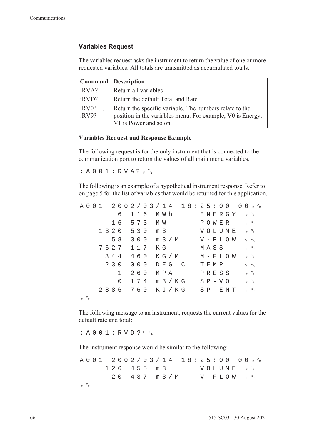#### **Variables Request**

The variables request asks the instrument to return the value of one or more requested variables. All totals are transmitted as accumulated totals.

|                  | <b>Command</b> Description                                                                                                                      |
|------------------|-------------------------------------------------------------------------------------------------------------------------------------------------|
| :RVA?            | Return all variables                                                                                                                            |
| :RVD?            | Return the default Total and Rate                                                                                                               |
| $:RV0?$<br>:RV9? | Return the specific variable. The numbers relate to the<br>position in the variables menu. For example, V0 is Energy,<br>V1 is Power and so on. |

#### **Variables Request and Response Example**

The following request is for the only instrument that is connected to the communication port to return the values of all main menu variables.

: A 0 0 1 : R V A ?  $L_F$   $C_R$ 

The following is an example of a hypothetical instrument response. Refer to [on page 5](#page-14-0) for the list of variables that would be returned for this application.

|             |  |  |  |          |  |                  |  |       | $A\ 0\ 0\ 1\ 2\ 0\ 0\ 2\ / \ 0\ 3\ / \ 1\ 4\ 1\ 8\ :\ 2\ 5\ : \ 0\ 0\ 0\ 0\ _\mathsf{F}\ ^\mathrm{c}_\mathsf{R}$ |  |         |  |                                              |  |                         |  |
|-------------|--|--|--|----------|--|------------------|--|-------|------------------------------------------------------------------------------------------------------------------|--|---------|--|----------------------------------------------|--|-------------------------|--|
|             |  |  |  |          |  | 6.116 MWh        |  |       |                                                                                                                  |  |         |  | ENERGY 'F <sup>c</sup> r                     |  |                         |  |
|             |  |  |  |          |  | 16.573 MW        |  |       |                                                                                                                  |  |         |  | POWER                                        |  | $L_F$ $C_R$             |  |
|             |  |  |  |          |  | 1320.530 m 3     |  |       |                                                                                                                  |  |         |  | VOLUME <sup>L<sub>E</sub>C<sub>R</sub></sup> |  |                         |  |
|             |  |  |  |          |  |                  |  |       | 58.300 m 3/M                                                                                                     |  |         |  | $V - F L O W$ $F c_R$                        |  |                         |  |
|             |  |  |  | 7627.117 |  | КG               |  |       |                                                                                                                  |  | MASS    |  |                                              |  | $L_F$ $C_R$             |  |
|             |  |  |  | 344.460  |  |                  |  |       | K G / M                                                                                                          |  |         |  | M – F L O W                                  |  | $L_{F}$ $C_{R}$         |  |
|             |  |  |  | 230.000  |  |                  |  | DEG C |                                                                                                                  |  | T E M P |  |                                              |  | $L_F$ $C_R$             |  |
|             |  |  |  | 1.260    |  | M P A            |  |       |                                                                                                                  |  |         |  | PRESS                                        |  | $L_{\rm F}$ $C_{\rm R}$ |  |
|             |  |  |  |          |  | $0.174$ m $3/KG$ |  |       |                                                                                                                  |  |         |  | $S P - V O L$                                |  | $L_{F}$ $C_{R}$         |  |
|             |  |  |  |          |  | 2886.760 KJ/KG   |  |       |                                                                                                                  |  |         |  | $S$ $P$ – $E$ $N$ $T$                        |  | $L_{F}$ $C_{R}$         |  |
| $L_F$ $C_R$ |  |  |  |          |  |                  |  |       |                                                                                                                  |  |         |  |                                              |  |                         |  |

The following message to an instrument, requests the current values for the default rate and total:

: A 0 0 1 : R V D ?  $L_F$   $C_R$ 

The instrument response would be similar to the following:

A001 2002/03/14 18:25:00  $F$   $\circ$ <sub>R</sub>  $126.455 m3$ <sup>F</sup> <sup>C</sup> R  $20.437$  m  $3/M$  $F$   $\circ$ <sub>R</sub> L <sup>F</sup> <sup>C</sup> R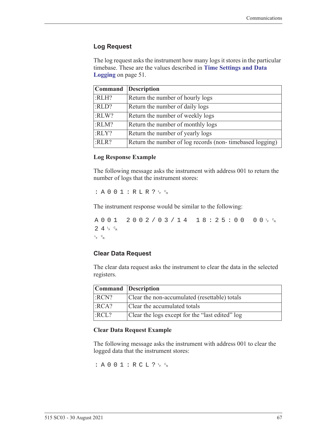#### **Log Request**

The log request asks the instrument how many logs it stores in the particular timebase. These are the values described in **[Time Settings and Data](#page-60-0)  Logging** [on page 51](#page-60-0).

|       | Command Description                                      |
|-------|----------------------------------------------------------|
| :RLH? | Return the number of hourly logs                         |
| :RLD? | Return the number of daily logs                          |
| :RLW? | Return the number of weekly logs                         |
| :RLM? | Return the number of monthly logs                        |
| :RLY? | Return the number of yearly logs                         |
| :RLR? | Return the number of log records (non-timebased logging) |

#### **Log Response Example**

The following message asks the instrument with address 001 to return the number of logs that the instrument stores:

 $: A 0 0 1 : R L R ? \nmid R$ 

The instrument response would be similar to the following:

A001 2002/03/14 18:25:00  $F$   $\circ$ R  $24r$ <sub>F</sub>  $c_R$ L <sup>F</sup> <sup>C</sup> R

#### **Clear Data Request**

The clear data request asks the instrument to clear the data in the selected registers.

| Command Description |                                                 |
|---------------------|-------------------------------------------------|
| :RCN?               | Clear the non-accumulated (resettable) totals   |
| :RCA?               | Clear the accumulated totals                    |
| :RCL?               | Clear the logs except for the "last edited" log |

#### **Clear Data Request Example**

The following message asks the instrument with address 001 to clear the logged data that the instrument stores:

: A 0 0 1 : R C L ?  $L_F$   $c_R$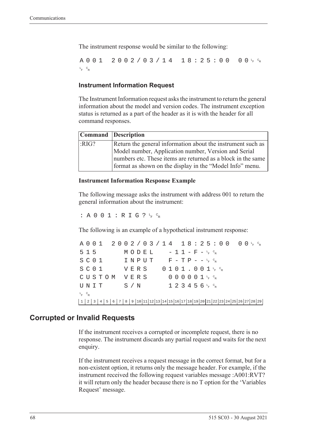The instrument response would be similar to the following:

A001 2002/03/14 18:25:00  $F$   $\circ$ <sub>R</sub> L <sup>F</sup> <sup>C</sup> R

#### **Instrument Information Request**

The Instrument Information request asks the instrument to return the general information about the model and version codes. The instrument exception status is returned as a part of the header as it is with the header for all command responses.

|      | Command Description                                                                                                      |
|------|--------------------------------------------------------------------------------------------------------------------------|
| RIG? | Return the general information about the instrument such as                                                              |
|      | Model number, Application number, Version and Serial                                                                     |
|      | numbers etc. These items are returned as a block in the same<br>format as shown on the display in the "Model Info" menu. |

#### **Instrument Information Response Example**

The following message asks the instrument with address 001 to return the general information about the instrument:

: A 0 0 1 : R I G ?  $L_F$   $C_R$ 

The following is an example of a hypothetical instrument response:

A001 2002/03/14 18:25:00 <sup>F</sup> <sup>C</sup> R  $515$   $MODEL$   $-11-F-F_{R}^{c}$  $S$  C O  $1$  I N P U T F - T P - - <sup>L</sup><sub>F</sub> <sup>C</sup>R  $S$  C O  $1$  V E R S O  $1$  O  $1$  J  $1$  , O  $0$   $1$   $1$   $1$   $6$   $8$ CUSTOM VERS 000001<sup>t</sup>F<sup>c</sup>r  $\texttt{UNIT}$  S/N 123456<sup>L</sup>F <sup>C</sup>R L <sup>F</sup> <sup>C</sup> R 1 2 3 4 5 6 7 8 9 10 11 12 13 14 15 16 17 18 19 20 21 22 23 24 25 26 27 28 29

### **Corrupted or Invalid Requests**

If the instrument receives a corrupted or incomplete request, there is no response. The instrument discards any partial request and waits for the next enquiry.

If the instrument receives a request message in the correct format, but for a non-existent option, it returns only the message header. For example, if the instrument received the following request variables message :A001:RVT? it will return only the header because there is no T option for the 'Variables Request' message.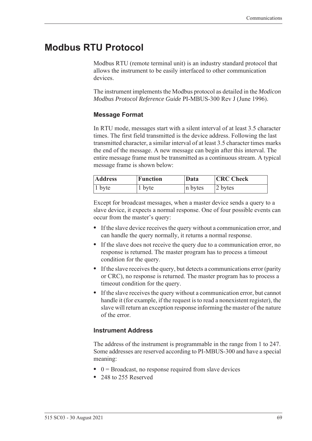# **Modbus RTU Protocol**

<span id="page-78-0"></span>Modbus RTU (remote terminal unit) is an industry standard protocol that allows the instrument to be easily interfaced to other communication devices.

The instrument implements the Modbus protocol as detailed in the *Modicon Modbus Protocol Reference Guide* PI-MBUS-300 Rev J (June 1996).

#### **Message Format**

In RTU mode, messages start with a silent interval of at least 3.5 character times. The first field transmitted is the device address. Following the last transmitted character, a similar interval of at least 3.5 character times marks the end of the message. A new message can begin after this interval. The entire message frame must be transmitted as a continuous stream. A typical message frame is shown below:

| <b>Address</b> | <b>Function</b> | Data    | <b>CRC</b> Check |  |  |  |  |
|----------------|-----------------|---------|------------------|--|--|--|--|
| $ 1$ byte      | 1 byte          | n bytes | 2 bytes          |  |  |  |  |

Except for broadcast messages, when a master device sends a query to a slave device, it expects a normal response. One of four possible events can occur from the master's query:

- **•** If the slave device receives the query without a communication error, and can handle the query normally, it returns a normal response.
- **•** If the slave does not receive the query due to a communication error, no response is returned. The master program has to process a timeout condition for the query.
- **•** If the slave receives the query, but detects a communications error (parity or CRC), no response is returned. The master program has to process a timeout condition for the query.
- **•** If the slave receives the query without a communication error, but cannot handle it (for example, if the request is to read a nonexistent register), the slave will return an exception response informing the master of the nature of the error.

### **Instrument Address**

The address of the instrument is programmable in the range from 1 to 247. Some addresses are reserved according to PI-MBUS-300 and have a special meaning:

- 0 = Broadcast, no response required from slave devices
- **•** 248 to 255 Reserved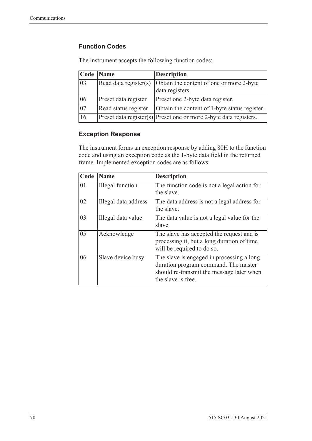# **Function Codes**

| Code            | <b>Name</b>           | <b>Description</b>                                                    |
|-----------------|-----------------------|-----------------------------------------------------------------------|
| 03              | Read data register(s) | Obtain the content of one or more 2-byte<br>data registers.           |
| 06              | Preset data register  | Preset one 2-byte data register.                                      |
| $\overline{07}$ | Read status register  | Obtain the content of 1-byte status register.                         |
| 16              |                       | $ $ Preset data register(s) Preset one or more 2-byte data registers. |

The instrument accepts the following function codes:

#### **Exception Response**

The instrument forms an exception response by adding 80H to the function code and using an exception code as the 1-byte data field in the returned frame. Implemented exception codes are as follows:

| Code | <b>Name</b>             | <b>Description</b>                                                                                                                                   |
|------|-------------------------|------------------------------------------------------------------------------------------------------------------------------------------------------|
| 01   | <b>Illegal</b> function | The function code is not a legal action for<br>the slave.                                                                                            |
| 02   | Illegal data address    | The data address is not a legal address for<br>the slave.                                                                                            |
| 03   | Illegal data value      | The data value is not a legal value for the<br>slave.                                                                                                |
| 05   | Acknowledge             | The slave has accepted the request and is<br>processing it, but a long duration of time<br>will be required to do so.                                |
| 06   | Slave device busy       | The slave is engaged in processing a long<br>duration program command. The master<br>should re-transmit the message later when<br>the slave is free. |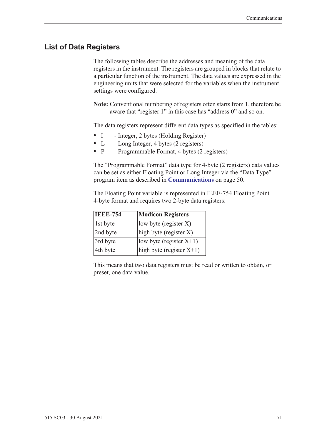# **List of Data Registers**

The following tables describe the addresses and meaning of the data registers in the instrument. The registers are grouped in blocks that relate to a particular function of the instrument. The data values are expressed in the engineering units that were selected for the variables when the instrument settings were configured.

**Note:** Conventional numbering of registers often starts from 1, therefore be aware that "register 1" in this case has "address 0" and so on.

The data registers represent different data types as specified in the tables:

- I Integer, 2 bytes (Holding Register)
- L Long Integer, 4 bytes (2 registers)
- P Programmable Format, 4 bytes (2 registers)

The "Programmable Format" data type for 4-byte (2 registers) data values can be set as either Floating Point or Long Integer via the "Data Type" program item as described in **[Communications](#page-59-0)** on page 50.

The Floating Point variable is represented in IEEE-754 Floating Point 4-byte format and requires two 2-byte data registers:

| <b>IEEE-754</b> | <b>Modicon Registers</b>                       |
|-----------------|------------------------------------------------|
| 1st byte        | low byte (register $X$ )                       |
| 2nd byte        | $\left  \text{high byte (register X)} \right $ |
| 3rd byte        | low byte (register $X+1$ )                     |
| 4th byte        | high byte (register $X+1$ )                    |

This means that two data registers must be read or written to obtain, or preset, one data value.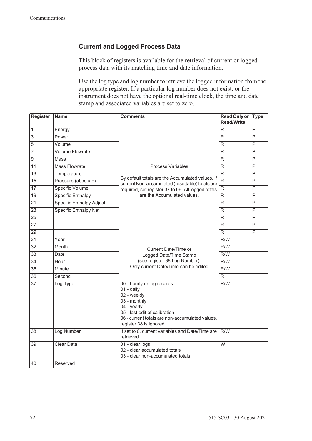## **Current and Logged Process Data**

This block of registers is available for the retrieval of current or logged process data with its matching time and date information.

Use the log type and log number to retrieve the logged information from the appropriate register. If a particular log number does not exist, or the instrument does not have the optional real-time clock, the time and date stamp and associated variables are set to zero.

| Register        | <b>Name</b>                  | <b>Comments</b>                                                                                                                                                                                                | <b>Read Only or</b><br><b>Read/Write</b> | <b>Type</b>             |
|-----------------|------------------------------|----------------------------------------------------------------------------------------------------------------------------------------------------------------------------------------------------------------|------------------------------------------|-------------------------|
| $\overline{1}$  | Energy                       |                                                                                                                                                                                                                | R                                        | P                       |
| $\overline{3}$  | Power                        |                                                                                                                                                                                                                | R                                        | P                       |
| $\overline{5}$  | Volume                       |                                                                                                                                                                                                                | R                                        | P                       |
| $\overline{7}$  | <b>Volume Flowrate</b>       |                                                                                                                                                                                                                | R                                        | P                       |
| $\overline{9}$  | Mass                         |                                                                                                                                                                                                                | R                                        | P                       |
| $\overline{11}$ | <b>Mass Flowrate</b>         | <b>Process Variables</b>                                                                                                                                                                                       | R                                        | P                       |
| 13              | Temperature                  |                                                                                                                                                                                                                | $\overline{R}$                           | P                       |
| 15              | Pressure (absolute)          | By default totals are the Accumulated values. If<br>current Non-accumulated (resettable) totals are                                                                                                            | $\overline{R}$                           | P                       |
| $\overline{17}$ | <b>Specific Volume</b>       | required, set register 37 to 06. All logged totals                                                                                                                                                             | $\overline{\mathsf{R}}$                  | $\overline{P}$          |
| $\overline{19}$ | <b>Specific Enthalpy</b>     | are the Accumulated values.                                                                                                                                                                                    | R                                        | P                       |
| $\overline{21}$ | Specific Enthalpy Adjust     |                                                                                                                                                                                                                | $\overline{R}$                           | P                       |
| $\overline{23}$ | <b>Specific Enthalpy Net</b> |                                                                                                                                                                                                                | R.                                       | P                       |
| $\overline{25}$ |                              |                                                                                                                                                                                                                | R                                        | P                       |
| $\overline{27}$ |                              |                                                                                                                                                                                                                | R                                        | $\overline{\mathsf{P}}$ |
| $\overline{29}$ |                              |                                                                                                                                                                                                                | $\overline{R}$                           | P                       |
| $\overline{31}$ | Year                         |                                                                                                                                                                                                                | R/W                                      | L                       |
| $\overline{32}$ | Month                        | <b>Current Date/Time or</b>                                                                                                                                                                                    | $\overline{R/W}$                         | L                       |
| $\overline{33}$ | Date                         | Logged Date/Time Stamp                                                                                                                                                                                         | $\overline{R/W}$                         | I                       |
| $\overline{34}$ | Hour                         | (see register 38 Log Number).                                                                                                                                                                                  | R/W                                      | $\overline{1}$          |
| $\overline{35}$ | Minute                       | Only current Date/Time can be edited                                                                                                                                                                           | $\overline{R/W}$                         | L                       |
| $\overline{36}$ | Second                       |                                                                                                                                                                                                                | $\overline{R}$                           | $\mathsf{I}$            |
| $\overline{37}$ | Log Type                     | 00 - hourly or log records<br>$01 - \text{daily}$<br>02 - weekly<br>03 - monthly<br>04 - yearly<br>05 - last edit of calibration<br>06 - current totals are non-accumulated values,<br>register 38 is ignored. | R/W                                      | I                       |
| 38              | Log Number                   | If set to 0, current variables and Date/Time are<br>retrieved                                                                                                                                                  | R/W                                      | T                       |
| 39              | <b>Clear Data</b>            | 01 - clear logs<br>02 - clear accumulated totals<br>03 - clear non-accumulated totals                                                                                                                          | $\overline{W}$                           | T                       |
| 40              | Reserved                     |                                                                                                                                                                                                                |                                          |                         |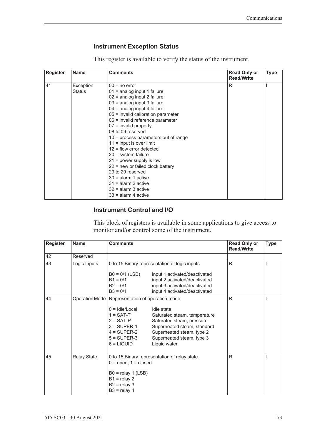## <span id="page-82-1"></span><span id="page-82-0"></span>**Instrument Exception Status**

This register is available to verify the status of the instrument.

| <b>Register</b> | <b>Name</b>   | <b>Comments</b>                        | <b>Read Only or</b><br><b>Read/Write</b> | <b>Type</b> |
|-----------------|---------------|----------------------------------------|------------------------------------------|-------------|
| 41              | Exception     | $00 = no error$                        | R                                        |             |
|                 | <b>Status</b> | $01$ = analog input 1 failure          |                                          |             |
|                 |               | 02 = analog input 2 failure            |                                          |             |
|                 |               | 03 = analog input 3 failure            |                                          |             |
|                 |               | $04$ = analog input 4 failure          |                                          |             |
|                 |               | 05 = invalid calibration parameter     |                                          |             |
|                 |               | 06 = invalid reference parameter       |                                          |             |
|                 |               | $07$ = invalid property                |                                          |             |
|                 |               | 08 to 09 reserved                      |                                          |             |
|                 |               | $10$ = process parameters out of range |                                          |             |
|                 |               | $11 =$ input is over limit             |                                          |             |
|                 |               | $12$ = flow error detected             |                                          |             |
|                 |               | $20 =$ system failure                  |                                          |             |
|                 |               | $21$ = power supply is low             |                                          |             |
|                 |               | $22$ = new or failed clock battery     |                                          |             |
|                 |               | 23 to 29 reserved                      |                                          |             |
|                 |               | $30 =$ alarm 1 active                  |                                          |             |
|                 |               | $31$ = alarm 2 active                  |                                          |             |
|                 |               | $32$ = alarm 3 active                  |                                          |             |
|                 |               | $33$ = alarm 4 active                  |                                          |             |

### **Instrument Control and I/O**

This block of registers is available in some applications to give access to monitor and/or control some of the instrument.

| <b>Register</b> | <b>Name</b>        | <b>Comments</b>                                                                                                                                                                       |                                                                                                                                                                                  | <b>Read Only or</b><br><b>Read/Write</b> | <b>Type</b> |
|-----------------|--------------------|---------------------------------------------------------------------------------------------------------------------------------------------------------------------------------------|----------------------------------------------------------------------------------------------------------------------------------------------------------------------------------|------------------------------------------|-------------|
| 42              | Reserved           |                                                                                                                                                                                       |                                                                                                                                                                                  |                                          |             |
| 43              | Logic Inputs       |                                                                                                                                                                                       | 0 to 15 Binary representation of logic inputs                                                                                                                                    | R                                        |             |
|                 |                    | $B0 = 0/1$ (LSB)<br>$B1 = 0/1$<br>$B2 = 0/1$<br>$B3 = 0/1$                                                                                                                            | input 1 activated/deactivated<br>input 2 activated/deactivated<br>input 3 activated/deactivated<br>input 4 activated/deactivated                                                 |                                          |             |
| 44              |                    | Operation Mode   Representation of operation mode<br>$0 =$ Idle/Local<br>$1 = SAT-T$<br>$2 = SAT-P$<br>$3 = \text{SUPER-1}$<br>$4 = \text{SUPER-2}$<br>$5 =$ SUPER-3<br>$6 = L[QUID]$ | Idle state<br>Saturated steam, temperature<br>Saturated steam, pressure<br>Superheated steam, standard<br>Superheated steam, type 2<br>Superheated steam, type 3<br>Liquid water | R                                        |             |
| 45              | <b>Relay State</b> | $0 =$ open; $1 =$ closed.<br>$B0 =$ relay 1 (LSB)<br>$B1 =$ relay 2<br>$B2 =$ relay 3<br>$B3 =$ relay 4                                                                               | 0 to 15 Binary representation of relay state.                                                                                                                                    | R                                        |             |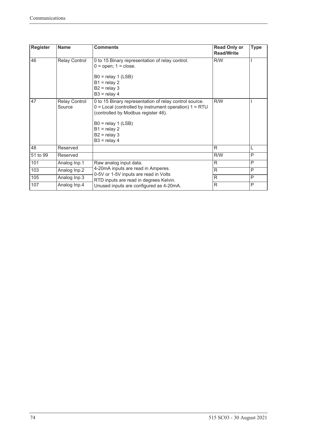| <b>Register</b> | <b>Name</b>                    | <b>Comments</b>                                                                                                                                                                                                                           | <b>Read Only or</b><br><b>Read/Write</b> | <b>Type</b> |
|-----------------|--------------------------------|-------------------------------------------------------------------------------------------------------------------------------------------------------------------------------------------------------------------------------------------|------------------------------------------|-------------|
| 46              | <b>Relay Control</b>           | 0 to 15 Binary representation of relay control.<br>$0 =$ open; $1 =$ close.<br>$B0 =$ relay 1 (LSB)<br>$B1 =$ relay 2<br>$B2 =$ relay 3<br>$B3 =$ relay 4                                                                                 | R/W                                      |             |
| 47              | <b>Relay Control</b><br>Source | 0 to 15 Binary representation of relay control source.<br>$0 =$ Local (controlled by instrument operation) $1 = RTU$<br>(controlled by Modbus register 46).<br>$B0 =$ relay 1 (LSB)<br>$B1 =$ relay 2<br>$B2 =$ relay 3<br>$B3 =$ relay 4 | R/W                                      |             |
| 48              | Reserved                       |                                                                                                                                                                                                                                           | R                                        | L           |
| 51 to 99        | Reserved                       |                                                                                                                                                                                                                                           | R/W                                      | P           |
| 101             | Analog Inp.1                   | Raw analog input data.                                                                                                                                                                                                                    | $\mathsf{R}$                             | P           |
| 103             | Analog Inp.2                   | 4-20mA inputs are read in Amperes.                                                                                                                                                                                                        | R                                        | P           |
| 105             | Analog Inp.3                   | 0-5V or 1-5V inputs are read in Volts<br>RTD inputs are read in degrees Kelvin.                                                                                                                                                           | R                                        | P           |
| 107             | Analog Inp.4                   | Unused inputs are configured as 4-20mA.                                                                                                                                                                                                   | R                                        | P           |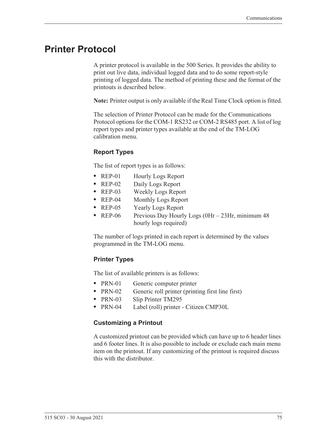# <span id="page-84-0"></span>**Printer Protocol**

<span id="page-84-2"></span>A printer protocol is available in the 500 Series. It provides the ability to print out live data, individual logged data and to do some report-style printing of logged data. The method of printing these and the format of the printouts is described below.

**Note:** Printer output is only available if the Real Time Clock option is fitted.

The selection of Printer Protocol can be made for the Communications Protocol options for the COM-1 RS232 or COM-2 RS485 port. A list of log report types and printer types available at the end of the TM-LOG calibration menu.

### <span id="page-84-3"></span>**Report Types**

The list of report types is as follows:

- REP-01 Hourly Logs Report
- **•** REP-02 Daily Logs Report
- **•** REP-03 Weekly Logs Report
- **•** REP-04 Monthly Logs Report
- **•** REP-05 Yearly Logs Report
- REP-06 Previous Day Hourly Logs (0Hr 23Hr, minimum 48 hourly logs required)

The number of logs printed in each report is determined by the values programmed in the TM-LOG menu.

#### <span id="page-84-4"></span>**Printer Types**

The list of available printers is as follows:

- PRN-01 Generic computer printer
- PRN-02 Generic roll printer (printing first line first)
- **•** PRN-03 Slip Printer TM295
- **•** PRN-04 Label (roll) printer Citizen CMP30L

#### <span id="page-84-1"></span>**Customizing a Printout**

A customized printout can be provided which can have up to 6 header lines and 6 footer lines. It is also possible to include or exclude each main menu item on the printout. If any customizing of the printout is required discuss this with the distributor.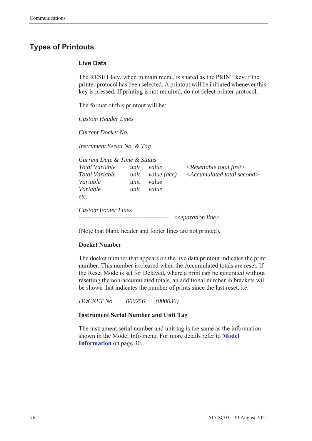# <span id="page-85-1"></span>**Types of Printouts**

#### <span id="page-85-0"></span>**Live Data**

The RESET key, when in main menu, is shared as the PRINT key if the printer protocol has been selected. A printout will be initiated whenever this key is pressed. If printing is not required, do not select printer protocol.

The format of this printout will be:

*Custom Header Lines*

*Current Docket No.* 

*Instrument Serial No. & Tag*

| Current Date & Time & Status                 |                      |                               |                                                                                   |
|----------------------------------------------|----------------------|-------------------------------|-----------------------------------------------------------------------------------|
| Total Variable<br>Total Variable<br>Variable | unit<br>unit<br>unit | value<br>value (acc)<br>value | $\langle$ Resettable total first $\rangle$<br>$\leq$ Accumulated total second $>$ |
| Variable<br>etc.                             | unit                 | value                         |                                                                                   |
| <b>Custom Footer Lines</b>                   |                      |                               | $\leq$ separation line $>$                                                        |

(Note that blank header and footer lines are not printed).

#### **Docket Number**

The docket number that appears on the live data printout indicates the print number. This number is cleared when the Accumulated totals are reset. If the Reset Mode is set for Delayed, where a print can be generated without resetting the non-accumulated totals, an additional number in brackets will be shown that indicates the number of prints since the last reset. i.e.

*DOCKET No. 000256 (000036)*

#### **Instrument Serial Number and Unit Tag**

The instrument serial number and unit tag is the same as the information shown in the Model Info menu. For more details refer to **[Model](#page-39-0)  [Information](#page-39-0)** on page 30.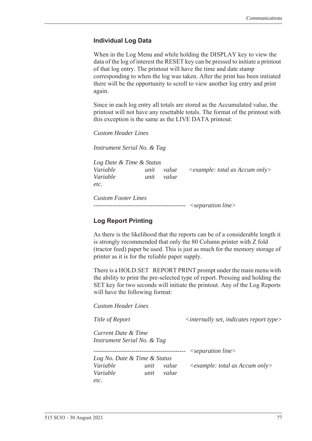#### <span id="page-86-0"></span>**Individual Log Data**

When in the Log Menu and while holding the DISPLAY key to view the data of the log of interest the RESET key can be pressed to initiate a printout of that log entry. The printout will have the time and date stamp corresponding to when the log was taken. After the print has been initiated there will be the opportunity to scroll to view another log entry and print again.

Since in each log entry all totals are stored as the Accumulated value, the printout will not have any resettable totals. The format of the printout with this exception is the same as the LIVE DATA printout:

*Custom Header Lines*

*Instrument Serial No. & Tag*

*Log Date & Time & Status Variable unit value <example: total as Accum only> Variable unit value etc.*

*Custom Footer Lines -------------------------------------------- <separation line>*

#### <span id="page-86-1"></span>**Log Report Printing**

As there is the likelihood that the reports can be of a considerable length it is strongly recommended that only the 80 Column printer with Z fold (tractor feed) paper be used. This is just as much for the memory storage of printer as it is for the reliable paper supply.

There is a HOLD.SET REPORT PRINT prompt under the main menu with the ability to print the pre-selected type of report. Pressing and holding the SET key for two seconds will initiate the printout. Any of the Log Reports will have the following format:

*Custom Header Lines*

*Title of Report*  $\langle$  *internally set, indicates report type>* 

*Current Date & Time Instrument Serial No. & Tag*

*-------------------------------------------- <separation line>*

*Log No. Date & Time & Status Variable unit value <example: total as Accum only> Variable unit value etc.*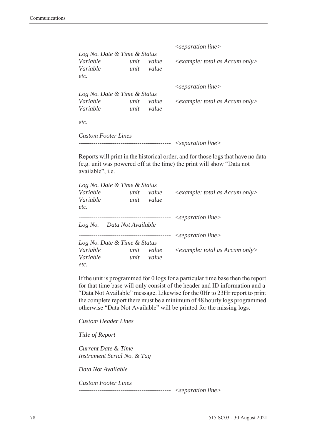|                              |      |          | $\leq$ separation line $>$                       |
|------------------------------|------|----------|--------------------------------------------------|
| Log No. Date & Time & Status |      |          |                                                  |
| Variable                     | unit | value    | $\langle$ example: total as Accum only $\rangle$ |
| Variable                     | unit | value    |                                                  |
| etc.                         |      |          |                                                  |
|                              |      | -------- | $\leq$ separation line $>$                       |
| Log No. Date & Time & Status |      |          |                                                  |
| Variable                     | unit | value    | $\leq$ example: total as Accum only $>$          |
| Variable                     | unit | value    |                                                  |
| etc.                         |      |          |                                                  |
| <b>Custom Footer Lines</b>   |      |          |                                                  |

```
-------------------------------------------- <separation line>
```
Reports will print in the historical order, and for those logs that have no data (e.g. unit was powered off at the time) the print will show "Data not available", i.e.

| Log No. Date & Time & Status |      |           |                                                  |
|------------------------------|------|-----------|--------------------------------------------------|
| Variable                     | unit | value     | $\langle$ example: total as Accum only $\rangle$ |
| Variable                     | unit | value     |                                                  |
| etc.                         |      |           |                                                  |
|                              |      |           | $\leq$ separation line $>$                       |
| Log No. Data Not Available   |      |           |                                                  |
|                              |      | --------- | $\leq$ separation line $>$                       |
| Log No. Date & Time & Status |      |           |                                                  |
| Variable                     | unit | value     | $\leq$ example: total as Accum only $>$          |
| Variable                     | unit | value     |                                                  |
| etc.                         |      |           |                                                  |

If the unit is programmed for 0 logs for a particular time base then the report for that time base will only consist of the header and ID information and a "Data Not Available" message. Likewise for the 0Hr to 23Hr report to print the complete report there must be a minimum of 48 hourly logs programmed otherwise "Data Not Available" will be printed for the missing logs.

*Custom Header Lines*

*Title of Report*

*Current Date & Time Instrument Serial No. & Tag*

*Data Not Available*

*Custom Footer Lines* 

*-------------------------------------------- <separation line>*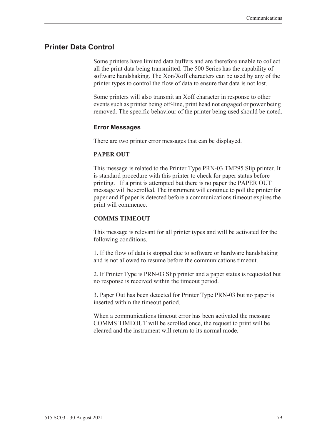# <span id="page-88-0"></span>**Printer Data Control**

Some printers have limited data buffers and are therefore unable to collect all the print data being transmitted. The 500 Series has the capability of software handshaking. The Xon/Xoff characters can be used by any of the printer types to control the flow of data to ensure that data is not lost.

Some printers will also transmit an Xoff character in response to other events such as printer being off-line, print head not engaged or power being removed. The specific behaviour of the printer being used should be noted.

#### <span id="page-88-1"></span>**Error Messages**

There are two printer error messages that can be displayed.

#### **PAPER OUT**

This message is related to the Printer Type PRN-03 TM295 Slip printer. It is standard procedure with this printer to check for paper status before printing. If a print is attempted but there is no paper the PAPER OUT message will be scrolled. The instrument will continue to poll the printer for paper and if paper is detected before a communications timeout expires the print will commence.

#### **COMMS TIMEOUT**

This message is relevant for all printer types and will be activated for the following conditions.

1. If the flow of data is stopped due to software or hardware handshaking and is not allowed to resume before the communications timeout.

2. If Printer Type is PRN-03 Slip printer and a paper status is requested but no response is received within the timeout period.

3. Paper Out has been detected for Printer Type PRN-03 but no paper is inserted within the timeout period.

When a communications timeout error has been activated the message COMMS TIMEOUT will be scrolled once, the request to print will be cleared and the instrument will return to its normal mode.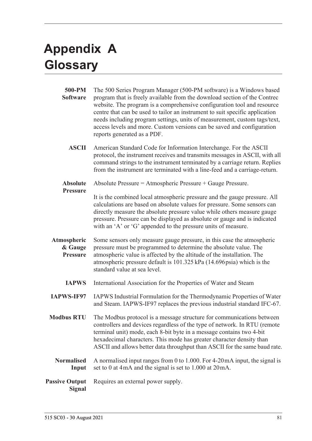# <span id="page-90-1"></span>**Appendix A Glossary**

<span id="page-90-0"></span>

| 500-PM<br><b>Software</b>                 | The 500 Series Program Manager (500-PM software) is a Windows based<br>program that is freely available from the download section of the Contrec<br>website. The program is a comprehensive configuration tool and resource<br>centre that can be used to tailor an instrument to suit specific application<br>needs including program settings, units of measurement, custom tags/text,<br>access levels and more. Custom versions can be saved and configuration<br>reports generated as a PDF. |
|-------------------------------------------|---------------------------------------------------------------------------------------------------------------------------------------------------------------------------------------------------------------------------------------------------------------------------------------------------------------------------------------------------------------------------------------------------------------------------------------------------------------------------------------------------|
| <b>ASCII</b>                              | American Standard Code for Information Interchange. For the ASCII<br>protocol, the instrument receives and transmits messages in ASCII, with all<br>command strings to the instrument terminated by a carriage return. Replies<br>from the instrument are terminated with a line-feed and a carriage-return.                                                                                                                                                                                      |
| <b>Absolute</b>                           | Absolute Pressure = Atmospheric Pressure + Gauge Pressure.                                                                                                                                                                                                                                                                                                                                                                                                                                        |
| <b>Pressure</b>                           | It is the combined local atmospheric pressure and the gauge pressure. All<br>calculations are based on absolute values for pressure. Some sensors can<br>directly measure the absolute pressure value while others measure gauge<br>pressure. Pressure can be displayed as absolute or gauge and is indicated<br>with an 'A' or 'G' appended to the pressure units of measure.                                                                                                                    |
| Atmospheric<br>& Gauge<br><b>Pressure</b> | Some sensors only measure gauge pressure, in this case the atmospheric<br>pressure must be programmed to determine the absolute value. The<br>atmospheric value is affected by the altitude of the installation. The<br>atmospheric pressure default is 101.325 kPa (14.696 psia) which is the<br>standard value at sea level.                                                                                                                                                                    |
| <b>IAPWS</b>                              | International Association for the Properties of Water and Steam                                                                                                                                                                                                                                                                                                                                                                                                                                   |
| <b>IAPWS-IF97</b>                         | IAPWS Industrial Formulation for the Thermodynamic Properties of Water<br>and Steam. IAPWS-IF97 replaces the previous industrial standard IFC-67.                                                                                                                                                                                                                                                                                                                                                 |
| <b>Modbus RTU</b>                         | The Modbus protocol is a message structure for communications between<br>controllers and devices regardless of the type of network. In RTU (remote<br>terminal unit) mode, each 8-bit byte in a message contains two 4-bit<br>hexadecimal characters. This mode has greater character density than<br>ASCII and allows better data throughput than ASCII for the same baud rate.                                                                                                                  |
| <b>Normalised</b><br>Input                | A normalised input ranges from 0 to 1.000. For $4\n-20$ mA input, the signal is<br>set to 0 at 4mA and the signal is set to 1.000 at 20mA.                                                                                                                                                                                                                                                                                                                                                        |
| <b>Passive Output</b><br><b>Signal</b>    | Requires an external power supply.                                                                                                                                                                                                                                                                                                                                                                                                                                                                |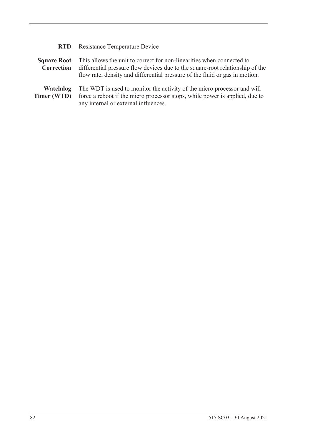| <b>RTD</b>                       | <b>Resistance Temperature Device</b>                                                                                                                                                                                                  |
|----------------------------------|---------------------------------------------------------------------------------------------------------------------------------------------------------------------------------------------------------------------------------------|
| <b>Square Root</b><br>Correction | This allows the unit to correct for non-linearities when connected to<br>differential pressure flow devices due to the square-root relationship of the<br>flow rate, density and differential pressure of the fluid or gas in motion. |
| Watchdog<br>Timer (WTD)          | The WDT is used to monitor the activity of the micro processor and will<br>force a reboot if the micro processor stops, while power is applied, due to<br>any internal or external influences.                                        |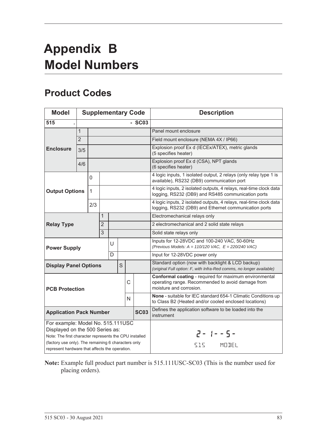# <span id="page-92-1"></span>**Appendix B Model Numbers**

# <span id="page-92-0"></span>**Product Codes**

| <b>Model</b>                                                                                          |                                                                                                                                |              |                |   |                                                                                                                 |               | <b>Supplementary Code</b>                                                                                              | <b>Description</b>                                                                                                                     |
|-------------------------------------------------------------------------------------------------------|--------------------------------------------------------------------------------------------------------------------------------|--------------|----------------|---|-----------------------------------------------------------------------------------------------------------------|---------------|------------------------------------------------------------------------------------------------------------------------|----------------------------------------------------------------------------------------------------------------------------------------|
| 515                                                                                                   |                                                                                                                                |              |                |   |                                                                                                                 |               | $-SC03$                                                                                                                |                                                                                                                                        |
|                                                                                                       | $\mathbf{1}$                                                                                                                   |              |                |   |                                                                                                                 |               |                                                                                                                        | Panel mount enclosure                                                                                                                  |
|                                                                                                       | $\overline{2}$                                                                                                                 |              |                |   |                                                                                                                 |               |                                                                                                                        | Field mount enclosure (NEMA 4X / IP66)                                                                                                 |
| <b>Enclosure</b>                                                                                      | 3/5                                                                                                                            |              |                |   |                                                                                                                 |               |                                                                                                                        | Explosion proof Ex d (IECEx/ATEX), metric glands<br>(5 specifies heater)                                                               |
|                                                                                                       | 4/6                                                                                                                            |              |                |   |                                                                                                                 |               |                                                                                                                        | Explosion proof Ex d (CSA), NPT glands<br>(6 specifies heater)                                                                         |
| 0                                                                                                     |                                                                                                                                |              |                |   | 4 logic inputs, 1 isolated output, 2 relays (only relay type 1 is<br>available), RS232 (DB9) communication port |               |                                                                                                                        |                                                                                                                                        |
| <b>Output Options</b>                                                                                 |                                                                                                                                | $\mathbf{1}$ |                |   |                                                                                                                 |               |                                                                                                                        | 4 logic inputs, 2 isolated outputs, 4 relays, real-time clock data<br>logging, RS232 (DB9) and RS485 communication ports               |
|                                                                                                       |                                                                                                                                | 2/3          |                |   |                                                                                                                 |               |                                                                                                                        | 4 logic inputs, 2 isolated outputs, 4 relays, real-time clock data<br>logging, RS232 (DB9) and Ethernet communication ports            |
|                                                                                                       |                                                                                                                                |              | 1              |   |                                                                                                                 |               |                                                                                                                        | Electromechanical relays only                                                                                                          |
| <b>Relay Type</b>                                                                                     |                                                                                                                                |              | $\overline{2}$ |   |                                                                                                                 |               |                                                                                                                        | 2 electromechanical and 2 solid state relays                                                                                           |
|                                                                                                       |                                                                                                                                |              | $\overline{3}$ |   |                                                                                                                 |               |                                                                                                                        | Solid state relays only                                                                                                                |
| <b>Power Supply</b>                                                                                   |                                                                                                                                |              |                | U |                                                                                                                 |               |                                                                                                                        | Inputs for 12-28VDC and 100-240 VAC, 50-60Hz<br>(Previous Models: $A = 110/120$ VAC, $E = 220/240$ VAC)                                |
|                                                                                                       |                                                                                                                                |              |                | D |                                                                                                                 |               |                                                                                                                        | Input for 12-28VDC power only                                                                                                          |
| <b>Display Panel Options</b>                                                                          |                                                                                                                                |              |                |   | S                                                                                                               |               |                                                                                                                        | Standard option (now with backlight & LCD backup)<br>(original Full option: F, with Infra-Red comms, no longer available)              |
| C<br><b>PCB Protection</b>                                                                            |                                                                                                                                |              |                |   |                                                                                                                 |               |                                                                                                                        | Conformal coating - required for maximum environmental<br>operating range. Recommended to avoid damage from<br>moisture and corrosion. |
| N                                                                                                     |                                                                                                                                |              |                |   |                                                                                                                 |               | None - suitable for IEC standard 654-1 Climatic Conditions up<br>to Class B2 (Heated and/or cooled enclosed locations) |                                                                                                                                        |
| <b>SC03</b><br><b>Application Pack Number</b>                                                         |                                                                                                                                |              |                |   | Defines the application software to be loaded into the<br>instrument                                            |               |                                                                                                                        |                                                                                                                                        |
|                                                                                                       | For example: Model No. 515.111USC<br>Displayed on the 500 Series as:<br>Note: The first character represents the CPU installed |              |                |   |                                                                                                                 | $2 - 1 - 5 -$ |                                                                                                                        |                                                                                                                                        |
| (factory use only). The remaining 6 characters only<br>represent hardware that affects the operation. |                                                                                                                                |              |                |   |                                                                                                                 |               | MODEL<br>515                                                                                                           |                                                                                                                                        |

**Note:** Example full product part number is 515.111USC-SC03 (This is the number used for placing orders).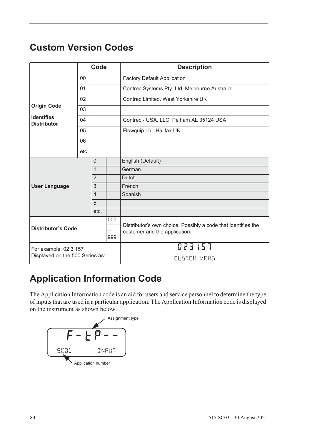# <span id="page-93-1"></span>**Custom Version Codes**

|                                         |      | Code           |                                                               | <b>Description</b>                            |
|-----------------------------------------|------|----------------|---------------------------------------------------------------|-----------------------------------------------|
|                                         | 00   |                |                                                               | <b>Factory Default Application</b>            |
|                                         | 01   |                |                                                               | Contrec Systems Pty. Ltd. Melbourne Australia |
|                                         | 02   |                |                                                               | Contrec Limited. West Yorkshire UK            |
| <b>Origin Code</b>                      | 03   |                |                                                               |                                               |
| <b>Identifies</b><br><b>Distributor</b> | 04   |                |                                                               | Contrec - USA, LLC. Pelham AL 35124 USA       |
|                                         | 05   |                |                                                               | Flowquip Ltd. Halifax UK                      |
|                                         | 06   |                |                                                               |                                               |
|                                         | etc. |                |                                                               |                                               |
| $\Omega$                                |      |                | English (Default)                                             |                                               |
|                                         |      | $\mathbf{1}$   |                                                               | German                                        |
|                                         |      | $\overline{2}$ |                                                               | Dutch                                         |
| <b>User Language</b>                    |      | 3              |                                                               | French                                        |
|                                         |      | $\overline{4}$ |                                                               | Spanish                                       |
|                                         |      | 5              |                                                               |                                               |
|                                         |      | etc.           |                                                               |                                               |
| 000                                     |      |                | Distributor's own choice. Possibly a code that identifies the |                                               |
| <b>Distributor's Code</b><br>$\cdots$   |      |                | customer and the application.                                 |                                               |
|                                         |      |                | 999                                                           |                                               |
| For example: 02 3 157                   |      |                |                                                               | 023157                                        |
| Displayed on the 500 Series as:         |      |                |                                                               | CUSTOM VERS                                   |

# **Application Information Code**

The Application Information code is an aid for users and service personnel to determine the type of inputs that are used in a particular application. The Application Information code is displayed on the instrument as shown below.

<span id="page-93-0"></span>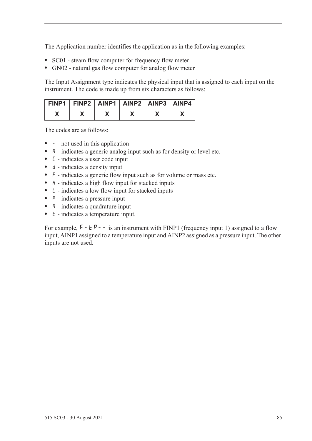The Application number identifies the application as in the following examples:

- **•** SC01 steam flow computer for frequency flow meter
- **•** GN02 natural gas flow computer for analog flow meter

The Input Assignment type indicates the physical input that is assigned to each input on the instrument. The code is made up from six characters as follows:

| FINP1   FINP2   AINP1   AINP2   AINP3   AINP4 |  |  |  |
|-----------------------------------------------|--|--|--|
|                                               |  |  |  |

The codes are as follows:

- - not used in this application
- **A** indicates a generic analog input such as for density or level etc.
- **•** C indicates a user code input
- d indicates a density input
- **•** F indicates a generic flow input such as for volume or mass etc.
- H indicates a high flow input for stacked inputs
- **•** L indicates a low flow input for stacked inputs
- **•** P indicates a pressure input
- **q** indicates a quadrature input
- *k* indicates a temperature input.

For example,  $F - tP - -$  is an instrument with FINP1 (frequency input 1) assigned to a flow input, AINP1 assigned to a temperature input and AINP2 assigned as a pressure input. The other inputs are not used.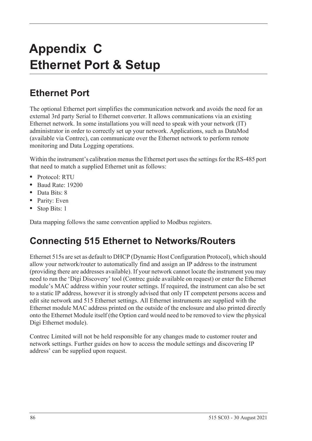# **Appendix C Ethernet Port & Setup**

# **Ethernet Port**

The optional Ethernet port simplifies the communication network and avoids the need for an external 3rd party Serial to Ethernet converter. It allows communications via an existing Ethernet network. In some installations you will need to speak with your network (IT) administrator in order to correctly set up your network. Applications, such as DataMod (available via Contrec), can communicate over the Ethernet network to perform remote monitoring and Data Logging operations.

Within the instrument's calibration menus the Ethernet port uses the settings for the RS-485 port that need to match a supplied Ethernet unit as follows:

- **•** Protocol: RTU
- **•** Baud Rate: 19200
- **•** Data Bits: 8
- **•** Parity: Even
- **•** Stop Bits: 1

Data mapping follows the same convention applied to Modbus registers.

# **Connecting 515 Ethernet to Networks/Routers**

Ethernet 515s are set as default to DHCP (Dynamic Host Configuration Protocol), which should allow your network/router to automatically find and assign an IP address to the instrument (providing there are addresses available). If your network cannot locate the instrument you may need to run the 'Digi Discovery' tool (Contrec guide available on request) or enter the Ethernet module's MAC address within your router settings. If required, the instrument can also be set to a static IP address, however it is strongly advised that only IT competent persons access and edit site network and 515 Ethernet settings. All Ethernet instruments are supplied with the Ethernet module MAC address printed on the outside of the enclosure and also printed directly onto the Ethernet Module itself (the Option card would need to be removed to view the physical Digi Ethernet module).

Contrec Limited will not be held responsible for any changes made to customer router and network settings. Further guides on how to access the module settings and discovering IP address' can be supplied upon request.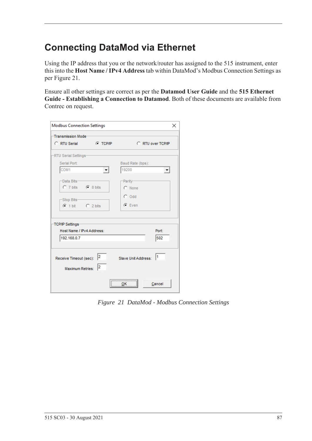# **Connecting DataMod via Ethernet**

Using the IP address that you or the network/router has assigned to the 515 instrument, enter this into the **Host Name / IPv4 Address** tab within DataMod's Modbus Connection Settings as per [Figure 21.](#page-96-0)

Ensure all other settings are correct as per the **Datamod User Guide** and the **515 Ethernet Guide - Establishing a Connection to Datamod**. Both of these documents are available from Contrec on request.

| Transmission Mode-        |                  |                     |                   |
|---------------------------|------------------|---------------------|-------------------|
| C RTU Serial              | <b>CONTINUES</b> |                     | C RTU over TCP/IP |
| -RTU Serial Settings-     |                  |                     |                   |
| Serial Port:              |                  | Baud Rate (bps):    |                   |
| COM1                      |                  | 19200               |                   |
| -Data Bits-               |                  | -Parity-            |                   |
| C 7 bits C 8 bits         |                  | C None              |                   |
|                           |                  | $C$ Odd             |                   |
| -Stop Bits-               |                  |                     |                   |
| $C$ 1 bit $C$ 2 bits      |                  | $G$ Even            |                   |
| <b>TCP/IP Settings</b>    |                  |                     |                   |
| Host Name / IPv4 Address: |                  |                     | Port:             |
| 192.168.0.7               |                  |                     | 502               |
|                           |                  |                     |                   |
|                           |                  |                     |                   |
| Receive Timeout (sec): 2  |                  | Slave Unit Address: | 1                 |
| <b>Maximum Retries:</b>   | 2                |                     |                   |
|                           |                  | ,                   |                   |
|                           |                  | ок                  | Cancel            |

<span id="page-96-0"></span>*Figure 21 DataMod - Modbus Connection Settings*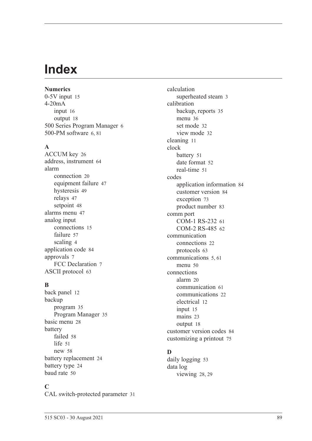# **Index**

**Numerics** 0-5V inpu[t 15](#page-24-0) 4-20mA input [16](#page-25-0) output [18](#page-27-0) 500 Series Program Manage[r 6](#page-15-0) 500-PM software [6,](#page-15-0) [81](#page-90-0)

#### **A**

ACCUM ke[y 26](#page-35-0) address, instrumen[t 64](#page-73-0) alarm connection [20](#page-29-0) equipment failur[e 47](#page-56-0) hysteresi[s 49](#page-58-0) relays [47](#page-56-1) setpoin[t 48](#page-57-0) alarms menu [47](#page-56-2) analog input connection[s 15](#page-24-1) failur[e 57](#page-66-0) scalin[g 4](#page-13-0) application cod[e 84](#page-93-0) approvals [7](#page-16-0) FCC Declaration [7](#page-16-1) ASCII protoco[l 63](#page-72-0)

### **B**

back panel [12](#page-21-0) backup program [35](#page-44-0) Program Manage[r 35](#page-44-1) basic men[u 28](#page-37-0) battery faile[d 58](#page-67-0) lif[e 51](#page-60-1) ne[w 58](#page-67-0) battery replacemen[t 24](#page-33-0) battery typ[e 24](#page-33-1) baud rat[e 50](#page-59-1)

### **C**

CAL switch-protected parameter [31](#page-40-0)

calculation superheated stea[m 3](#page-12-0) calibration backup, reports [35](#page-44-0) menu [36](#page-45-0) set mode [32](#page-41-0) view mode [32](#page-41-1) cleaning [11](#page-20-0) clock batter[y 51](#page-60-1) date format [52](#page-61-0) real-tim[e 51](#page-60-2) codes application information [84](#page-93-0) customer versio[n 84](#page-93-1) exception [73](#page-82-1) product numbe[r 83](#page-92-0) comm port COM-1 RS-232 [61](#page-70-0) COM-2 RS-485 [62](#page-71-0) communication connection[s 22](#page-31-0) protocols [63](#page-72-1) communication[s 5,](#page-14-1) [61](#page-70-1) menu [50](#page-59-2) connections alar[m 20](#page-29-0) communication [61](#page-70-2) communication[s 22](#page-31-0) electrical [12](#page-21-1) input [15](#page-24-2) mains [23](#page-32-0) output [18](#page-27-1) customer version codes [84](#page-93-1) customizing a printout [75](#page-84-1)

# **D**

daily logging [53](#page-62-0) data log viewing [28,](#page-37-1) [29](#page-38-0)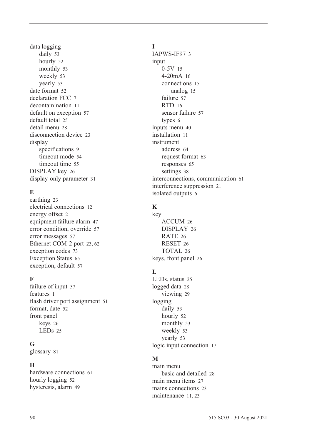data logging daily [53](#page-62-0) hourl[y 52](#page-61-1) monthly [53](#page-62-1) weekl[y 53](#page-62-2) yearly [53](#page-62-3) date format [52](#page-61-0) declaration FCC [7](#page-16-1) decontamination [11](#page-20-0) default on exception [57](#page-66-1) default tota[l 25](#page-34-0) detail men[u 28](#page-37-0) disconnection device [23](#page-32-1) display specifications [9](#page-18-0) timeout mod[e 54](#page-63-0) timeout time [55](#page-64-0) DISPLAY key [26](#page-35-1) display-only parameter [31](#page-40-1)

# **E**

earthin[g 23](#page-32-2) electrical connections [12](#page-21-1) energy offset [2](#page-11-0) equipment failure alarm [47](#page-56-0) error condition, overrid[e 57](#page-66-2) error message[s 57](#page-66-3) Ethernet COM-2 por[t 23,](#page-32-3) [62](#page-71-1) exception codes [73](#page-82-1) Exception Status [65](#page-74-0) exception, default [57](#page-66-1)

# **F**

failure of input [57](#page-66-0) features [1](#page-10-0) flash driver port assignmen[t 51](#page-60-3) format, date [52](#page-61-0) front panel keys [26](#page-35-2) LEDs [25](#page-34-1)

### **G**

glossary [81](#page-90-1)

# **H**

hardware connections [61](#page-70-2) hourly logging [52](#page-61-1) hysteresis, alar[m 49](#page-58-0)

### **I**

IAPWS-IF97 [3](#page-12-0) input 0-5[V 15](#page-24-0) 4-20mA [16](#page-25-0) connections [15](#page-24-2) analog [15](#page-24-1) failure [57](#page-66-0) RTD [16](#page-25-1) sensor failure [57](#page-66-0) types [6](#page-15-1) inputs menu [40](#page-49-0) installation [11](#page-20-1) instrument address [64](#page-73-0) request forma[t 63](#page-72-2) response[s 65](#page-74-1) setting[s 38](#page-47-0) interconnections, communication [61](#page-70-2) interference suppression [21](#page-30-0) isolated output[s 6](#page-15-2)

# **K**

key ACCUM [26](#page-35-0) DISPLA[Y 26](#page-35-1) RATE [26](#page-35-3) RESE[T 26](#page-35-4) TOTAL [26](#page-35-5) keys, front panel [26](#page-35-2)

# **L**

LEDs, status [25](#page-34-1) logged dat[a 28](#page-37-1) viewin[g 29](#page-38-0) logging daily [53](#page-62-0) hourly [52](#page-61-1) monthly [53](#page-62-1) weekl[y 53](#page-62-2) yearly [53](#page-62-3) logic input connection [17](#page-26-0)

# **M**

main menu basic and detailed [28](#page-37-0) main menu item[s 27](#page-36-0) mains connections [23](#page-32-0) maintenanc[e 11,](#page-20-1) [23](#page-32-4)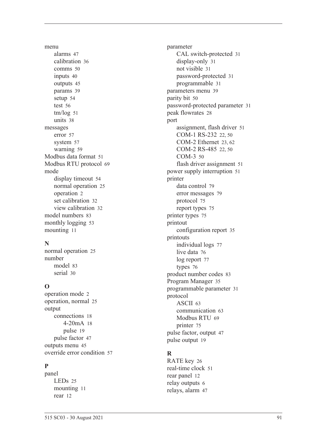menu alarm[s 47](#page-56-2) calibratio[n 36](#page-45-0) comms [50](#page-59-2) input[s 40](#page-49-0) output[s 45](#page-54-0) params [39](#page-48-0) setu[p 54](#page-63-1) test [56](#page-65-0) tm/lo[g 51](#page-60-4) unit[s 38](#page-47-1) messages erro[r 57](#page-66-3) syste[m 57](#page-66-4) warnin[g 59](#page-68-0) Modbus data forma[t 51](#page-60-5) Modbus RTU protoco[l 69](#page-78-0) mode display timeou[t 54](#page-63-0) normal operatio[n 25](#page-34-2) operatio[n 2](#page-11-1) set calibration [32](#page-41-0) view calibration [32](#page-41-1) model number[s 83](#page-92-1) monthly logging [53](#page-62-1) mountin[g 11](#page-20-2)

# **N**

normal operatio[n 25](#page-34-2) number mode[l 83](#page-92-1) seria[l 30](#page-39-1)

# **O**

operation mod[e 2](#page-11-1) operation, norma[l 25](#page-34-2) output connection[s 18](#page-27-1) 4-20m[A 18](#page-27-0) puls[e 19](#page-28-0) pulse facto[r 47](#page-56-3) outputs men[u 45](#page-54-0) override error condition [57](#page-66-2)

# **P**

panel LED[s 25](#page-34-1) mountin[g 11](#page-20-2) rear [12](#page-21-0)

parameter CAL switch-protected [31](#page-40-0) display-only [31](#page-40-1) not visibl[e 31](#page-40-2) password-protected [31](#page-40-3) programmable [31](#page-40-4) parameters men[u 39](#page-48-0) parity bit [50](#page-59-3) password-protected parameter [31](#page-40-3) peak flowrate[s 28](#page-37-2) port assignment, flash driver [51](#page-60-3) COM-1 RS-232 [22,](#page-31-1) [50](#page-59-4) COM-2 Ethernet [23,](#page-32-3) [62](#page-71-1) COM-2 RS-485 [22,](#page-31-2) [50](#page-59-5) COM-[3 50](#page-59-6) flash driver assignment [51](#page-60-3) power supply interruption [51](#page-60-1) printer data control [79](#page-88-0) error messages [79](#page-88-1) protocol [75](#page-84-2) report types [75](#page-84-3) printer type[s 75](#page-84-4) printout configuration repor[t 35](#page-44-2) printouts individual logs [77](#page-86-0) live data [76](#page-85-0) log report [77](#page-86-1) type[s 76](#page-85-1) product number codes [83](#page-92-0) Program Manager [35](#page-44-1) programmable parameter [31](#page-40-4) protocol ASCI[I 63](#page-72-0) communication [63](#page-72-1) Modbus RT[U 69](#page-78-0) printer [75](#page-84-2) pulse factor, output [47](#page-56-3) pulse output [19](#page-28-0)

# **R**

RATE key [26](#page-35-3) real-time cloc[k 51](#page-60-2) rear panel [12](#page-21-0) relay output[s 6](#page-15-3) relays, alarm [47](#page-56-1)